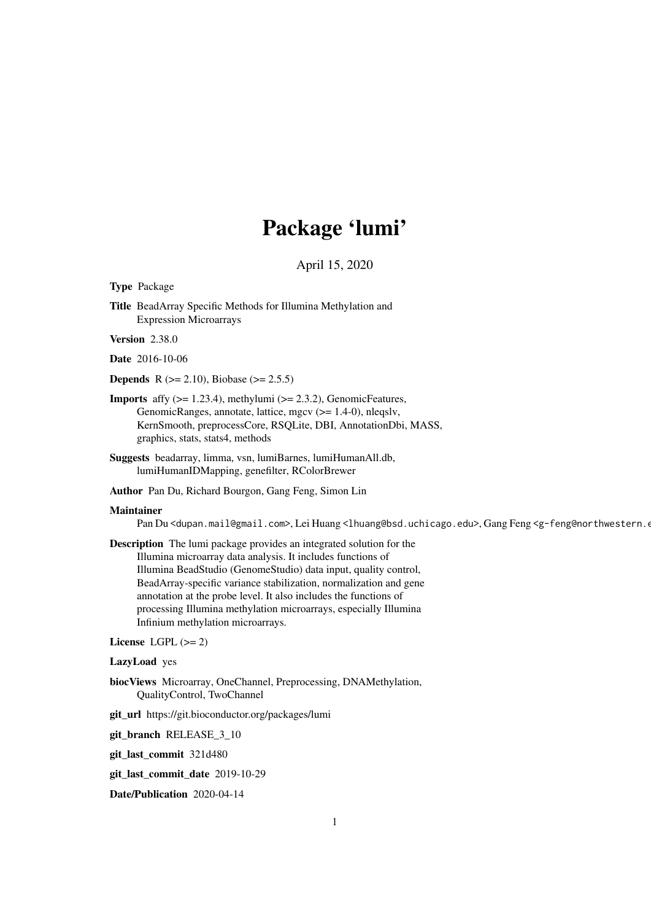# Package 'lumi'

April 15, 2020

<span id="page-0-0"></span>Type Package

Title BeadArray Specific Methods for Illumina Methylation and Expression Microarrays

Version 2.38.0

Date 2016-10-06

**Depends** R ( $>= 2.10$ ), Biobase ( $>= 2.5.5$ )

- **Imports** affy  $(>= 1.23.4)$ , methylumi  $(>= 2.3.2)$ , GenomicFeatures, GenomicRanges, annotate, lattice, mgcv (>= 1.4-0), nleqslv, KernSmooth, preprocessCore, RSQLite, DBI, AnnotationDbi, MASS, graphics, stats, stats4, methods
- Suggests beadarray, limma, vsn, lumiBarnes, lumiHumanAll.db, lumiHumanIDMapping, genefilter, RColorBrewer
- Author Pan Du, Richard Bourgon, Gang Feng, Simon Lin

#### Maintainer

Pan Du <dupan.mail@gmail.com>, Lei Huang <lhuang@bsd.uchicago.edu>, Gang Feng <g-feng@northwestern.o

Description The lumi package provides an integrated solution for the Illumina microarray data analysis. It includes functions of Illumina BeadStudio (GenomeStudio) data input, quality control, BeadArray-specific variance stabilization, normalization and gene annotation at the probe level. It also includes the functions of processing Illumina methylation microarrays, especially Illumina Infinium methylation microarrays.

# License LGPL  $(>= 2)$

LazyLoad yes

- biocViews Microarray, OneChannel, Preprocessing, DNAMethylation, QualityControl, TwoChannel
- git\_url https://git.bioconductor.org/packages/lumi

git\_branch RELEASE\_3\_10

git\_last\_commit 321d480

git\_last\_commit\_date 2019-10-29

Date/Publication 2020-04-14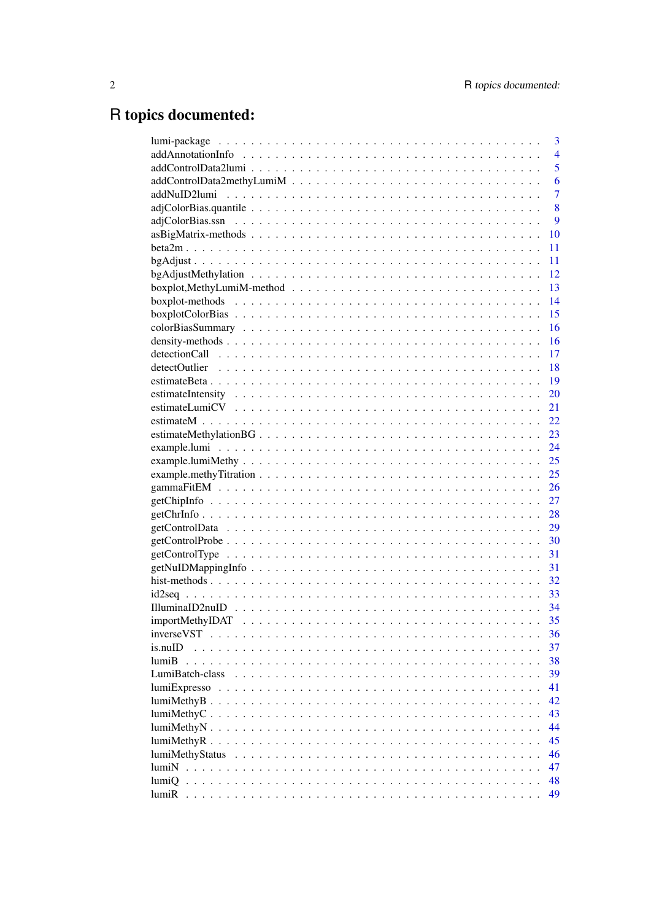# R topics documented:

|                  | 3              |
|------------------|----------------|
|                  | $\overline{4}$ |
|                  | 5              |
|                  | 6              |
| addNuID2lumi     | $\overline{7}$ |
|                  | 8              |
|                  | 9              |
|                  | 10             |
|                  | 11             |
|                  | 11             |
|                  | 12             |
|                  | 13             |
|                  | 14             |
|                  | 15             |
|                  | 16             |
|                  | 16             |
|                  | 17             |
|                  | 18             |
|                  | 19             |
|                  | 20             |
|                  | 21             |
|                  | 22             |
|                  | 23             |
|                  | 24             |
|                  | 25             |
|                  | 25             |
|                  | 26             |
|                  | 27             |
|                  | 28             |
|                  | 29             |
|                  | 30             |
|                  | 31             |
|                  | 31             |
|                  | 32             |
|                  | 33             |
|                  | -34            |
|                  | 35             |
| inverseVST       | 36             |
|                  |                |
| is.nuID<br>lumiB | 37             |
|                  | 38             |
| LumiBatch-class  | 39             |
| lumiExpresso     | 41             |
|                  | 42             |
| lumiMethyC.      | 43             |
|                  | 44             |
|                  | 45             |
| lumiMethyStatus  | 46             |
| lumiN            | 47             |
| lumiQ            | 48             |
| lumiR            | 49             |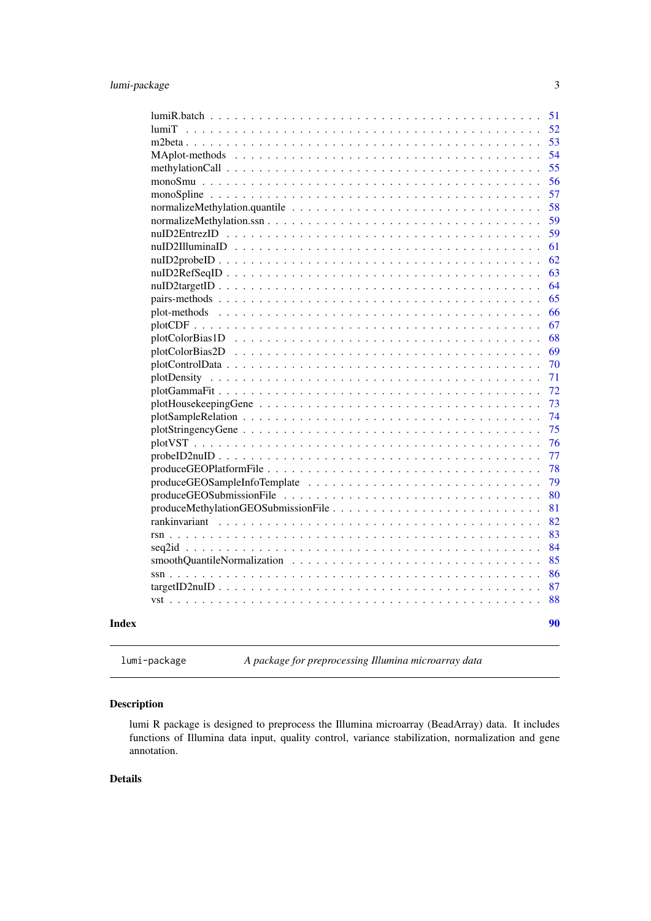<span id="page-2-0"></span>

lumi-package *A package for preprocessing Illumina microarray data*

# Description

lumi R package is designed to preprocess the Illumina microarray (BeadArray) data. It includes functions of Illumina data input, quality control, variance stabilization, normalization and gene annotation.

#### Details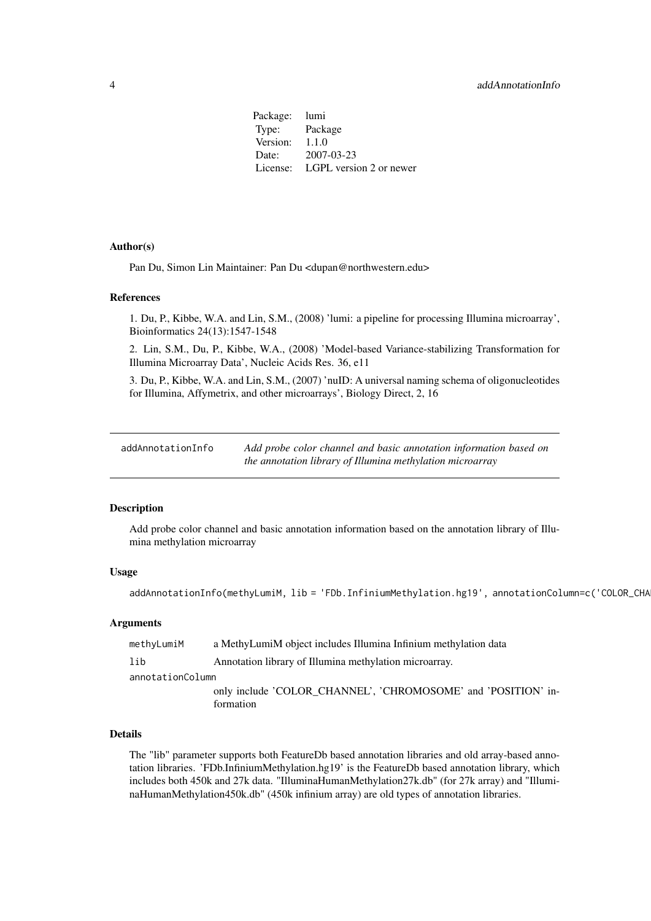<span id="page-3-0"></span>Package: lumi Type: Package Version: 1.1.0 Date: 2007-03-23 License: LGPL version 2 or newer

#### Author(s)

Pan Du, Simon Lin Maintainer: Pan Du <dupan@northwestern.edu>

#### References

1. Du, P., Kibbe, W.A. and Lin, S.M., (2008) 'lumi: a pipeline for processing Illumina microarray', Bioinformatics 24(13):1547-1548

2. Lin, S.M., Du, P., Kibbe, W.A., (2008) 'Model-based Variance-stabilizing Transformation for Illumina Microarray Data', Nucleic Acids Res. 36, e11

3. Du, P., Kibbe, W.A. and Lin, S.M., (2007) 'nuID: A universal naming schema of oligonucleotides for Illumina, Affymetrix, and other microarrays', Biology Direct, 2, 16

<span id="page-3-1"></span>addAnnotationInfo *Add probe color channel and basic annotation information based on the annotation library of Illumina methylation microarray*

# Description

Add probe color channel and basic annotation information based on the annotation library of Illumina methylation microarray

# Usage

```
addAnnotationInfo(methyLumiM, lib = 'FDb.InfiniumMethylation.hg19', annotationColumn=c('COLOR_CHA
```
#### Arguments

| methyLumiM       | a MethyLumiM object includes Illumina Infinium methylation data |
|------------------|-----------------------------------------------------------------|
| lib              | Annotation library of Illumina methylation microarray.          |
| annotationColumn |                                                                 |
|                  | only include 'COLOR CHANNEL', 'CHROMOSOME' and 'POSITION' in-   |
|                  | formation                                                       |

#### Details

The "lib" parameter supports both FeatureDb based annotation libraries and old array-based annotation libraries. 'FDb.InfiniumMethylation.hg19' is the FeatureDb based annotation library, which includes both 450k and 27k data. "IlluminaHumanMethylation27k.db" (for 27k array) and "IlluminaHumanMethylation450k.db" (450k infinium array) are old types of annotation libraries.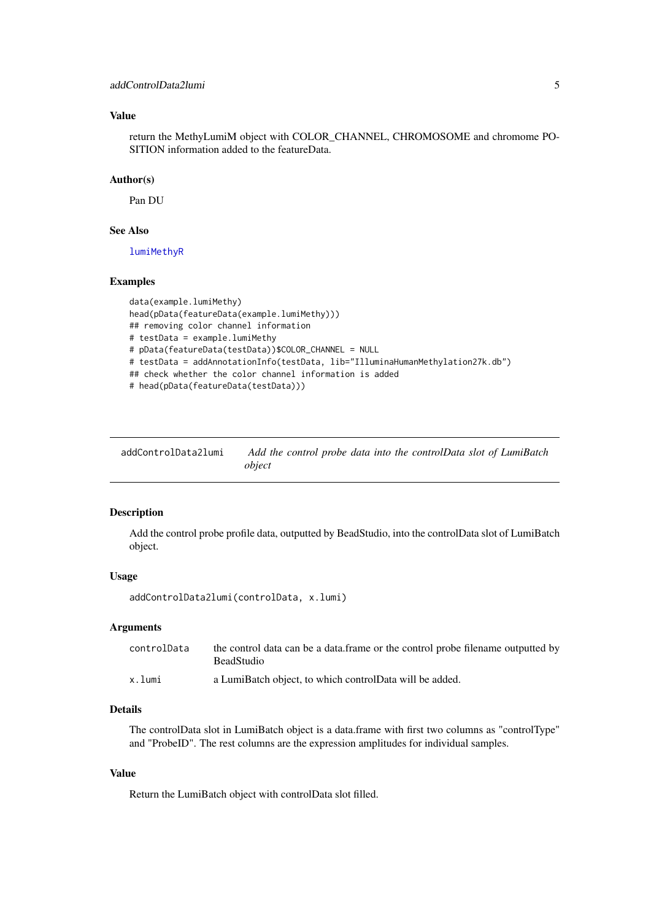#### <span id="page-4-0"></span>addControlData2lumi 5

# Value

return the MethyLumiM object with COLOR\_CHANNEL, CHROMOSOME and chromome PO-SITION information added to the featureData.

#### Author(s)

Pan DU

# See Also

[lumiMethyR](#page-44-1)

# Examples

```
data(example.lumiMethy)
head(pData(featureData(example.lumiMethy)))
## removing color channel information
# testData = example.lumiMethy
# pData(featureData(testData))$COLOR_CHANNEL = NULL
# testData = addAnnotationInfo(testData, lib="IlluminaHumanMethylation27k.db")
## check whether the color channel information is added
# head(pData(featureData(testData)))
```
<span id="page-4-1"></span>

| addControlData2lumi | Add the control probe data into the controlData slot of LumiBatch |  |  |  |
|---------------------|-------------------------------------------------------------------|--|--|--|
|                     | obiect                                                            |  |  |  |

#### Description

Add the control probe profile data, outputted by BeadStudio, into the controlData slot of LumiBatch object.

#### Usage

addControlData2lumi(controlData, x.lumi)

# Arguments

| controlData | the control data can be a data. frame or the control probe filename outputted by<br><b>BeadStudio</b> |
|-------------|-------------------------------------------------------------------------------------------------------|
| x.lumi      | a LumiBatch object, to which controlData will be added.                                               |

#### Details

The controlData slot in LumiBatch object is a data.frame with first two columns as "controlType" and "ProbeID". The rest columns are the expression amplitudes for individual samples.

# Value

Return the LumiBatch object with controlData slot filled.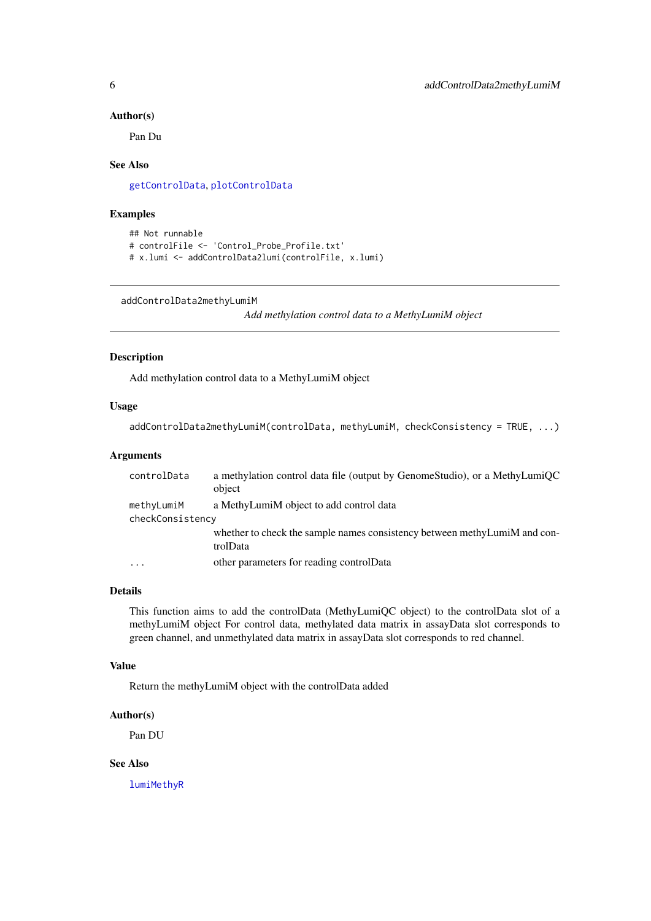#### <span id="page-5-0"></span>Author(s)

Pan Du

# See Also

[getControlData](#page-28-1), [plotControlData](#page-69-1)

#### Examples

```
## Not runnable
# controlFile <- 'Control_Probe_Profile.txt'
# x.lumi <- addControlData2lumi(controlFile, x.lumi)
```

```
addControlData2methyLumiM
```
*Add methylation control data to a MethyLumiM object*

# Description

Add methylation control data to a MethyLumiM object

# Usage

```
addControlData2methyLumiM(controlData, methyLumiM, checkConsistency = TRUE, ...)
```
#### Arguments

| controlData       | a methylation control data file (output by GenomeStudio), or a MethyLumiQC<br>object  |
|-------------------|---------------------------------------------------------------------------------------|
| methyLumiM        | a MethyLumiM object to add control data                                               |
| checkConsistency  |                                                                                       |
|                   | whether to check the sample names consistency between methyLumiM and con-<br>trolData |
| $\cdot\cdot\cdot$ | other parameters for reading controlData                                              |

# Details

This function aims to add the controlData (MethyLumiQC object) to the controlData slot of a methyLumiM object For control data, methylated data matrix in assayData slot corresponds to green channel, and unmethylated data matrix in assayData slot corresponds to red channel.

#### Value

Return the methyLumiM object with the controlData added

#### Author(s)

Pan DU

#### See Also

[lumiMethyR](#page-44-1)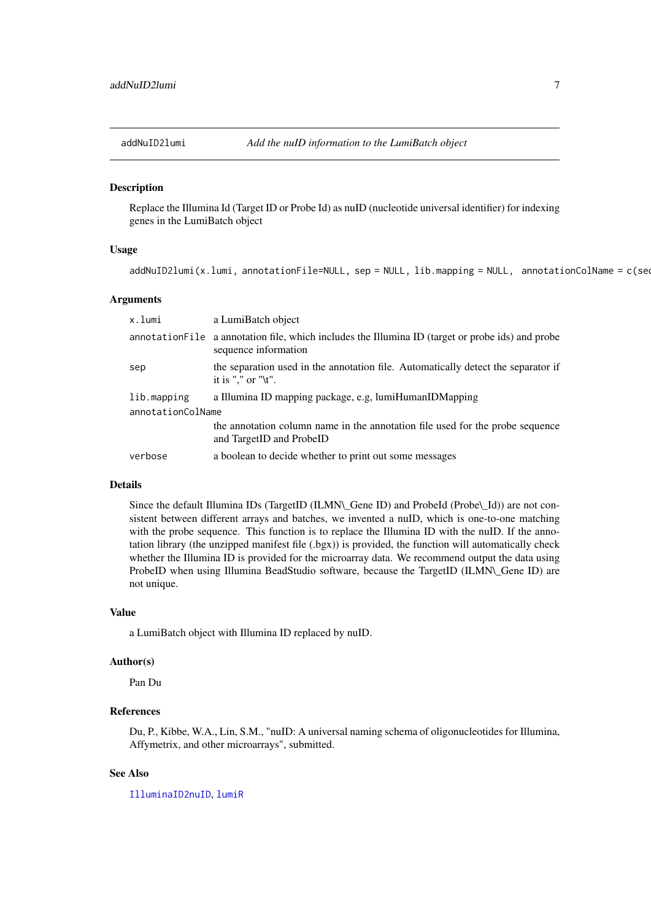<span id="page-6-0"></span>

# Description

Replace the Illumina Id (Target ID or Probe Id) as nuID (nucleotide universal identifier) for indexing genes in the LumiBatch object

#### Usage

addNuID2lumi(x.lumi, annotationFile=NULL, sep = NULL, lib.mapping = NULL, annotationColName = c(sequence

#### Arguments

| x.lumi            | a LumiBatch object                                                                                                        |  |  |
|-------------------|---------------------------------------------------------------------------------------------------------------------------|--|--|
|                   | annotation File a annotation file, which includes the Illumina ID (target or probe ids) and probe<br>sequence information |  |  |
| sep               | the separation used in the annotation file. Automatically detect the separator if<br>it is "," or " $\mathbf{t}$ ".       |  |  |
| lib.mapping       | a Illumina ID mapping package, e.g, lumiHumanIDMapping                                                                    |  |  |
| annotationColName |                                                                                                                           |  |  |
|                   | the annotation column name in the annotation file used for the probe sequence<br>and TargetID and ProbeID                 |  |  |
| verbose           | a boolean to decide whether to print out some messages                                                                    |  |  |

# Details

Since the default Illumina IDs (TargetID (ILMN\\_Gene ID) and ProbeId (Probe\\_Id)) are not consistent between different arrays and batches, we invented a nuID, which is one-to-one matching with the probe sequence. This function is to replace the Illumina ID with the nuID. If the annotation library (the unzipped manifest file (.bgx)) is provided, the function will automatically check whether the Illumina ID is provided for the microarray data. We recommend output the data using ProbeID when using Illumina BeadStudio software, because the TargetID (ILMN\ Gene ID) are not unique.

#### Value

a LumiBatch object with Illumina ID replaced by nuID.

#### Author(s)

Pan Du

#### References

Du, P., Kibbe, W.A., Lin, S.M., "nuID: A universal naming schema of oligonucleotides for Illumina, Affymetrix, and other microarrays", submitted.

# See Also

[IlluminaID2nuID](#page-33-1), [lumiR](#page-48-1)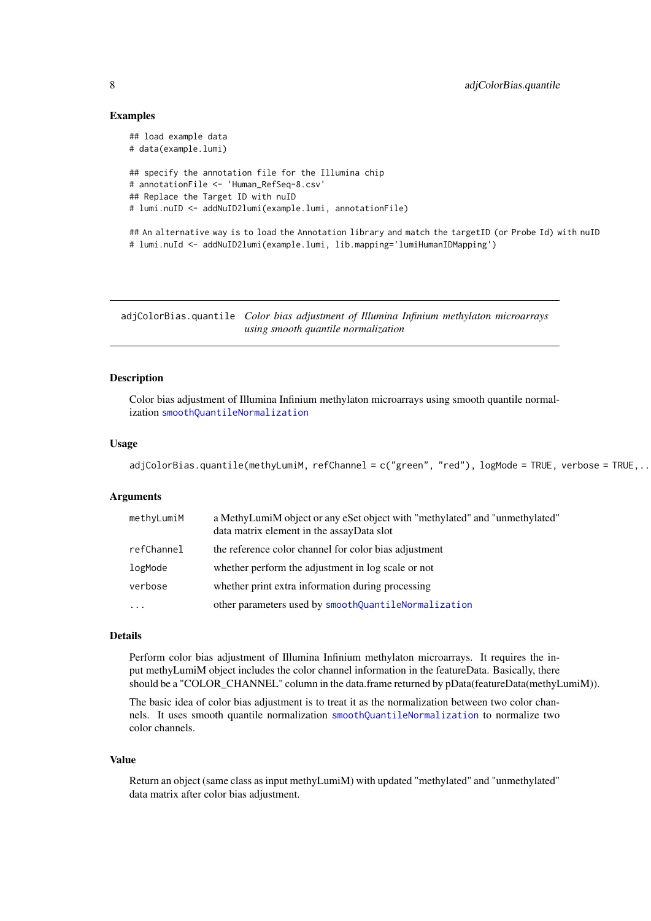#### Examples

```
## load example data
# data(example.lumi)
## specify the annotation file for the Illumina chip
# annotationFile <- 'Human_RefSeq-8.csv'
## Replace the Target ID with nuID
# lumi.nuID <- addNuID2lumi(example.lumi, annotationFile)
## An alternative way is to load the Annotation library and match the targetID (or Probe Id) with nuID
# lumi.nuId <- addNuID2lumi(example.lumi, lib.mapping='lumiHumanIDMapping')
```
<span id="page-7-1"></span>adjColorBias.quantile *Color bias adjustment of Illumina Infinium methylaton microarrays using smooth quantile normalization*

# Description

Color bias adjustment of Illumina Infinium methylaton microarrays using smooth quantile normalization [smoothQuantileNormalization](#page-84-1)

#### Usage

```
adjColorBias.quantile(methyLumiM, refChannel = c("green", "red"), logMode = TRUE, verbose = TRUE,..
```
#### Arguments

| methyLumiM | a MethyLumiM object or any eSet object with "methylated" and "unmethylated"<br>data matrix element in the assayData slot |
|------------|--------------------------------------------------------------------------------------------------------------------------|
| refChannel | the reference color channel for color bias adjustment                                                                    |
| logMode    | whether perform the adjustment in log scale or not                                                                       |
| verbose    | whether print extra information during processing                                                                        |
| $\ddotsc$  | other parameters used by smoothQuantileNormalization                                                                     |

#### Details

Perform color bias adjustment of Illumina Infinium methylaton microarrays. It requires the input methyLumiM object includes the color channel information in the featureData. Basically, there should be a "COLOR\_CHANNEL" column in the data.frame returned by pData(featureData(methyLumiM)).

The basic idea of color bias adjustment is to treat it as the normalization between two color channels. It uses smooth quantile normalization [smoothQuantileNormalization](#page-84-1) to normalize two color channels.

# Value

Return an object (same class as input methyLumiM) with updated "methylated" and "unmethylated" data matrix after color bias adjustment.

<span id="page-7-0"></span>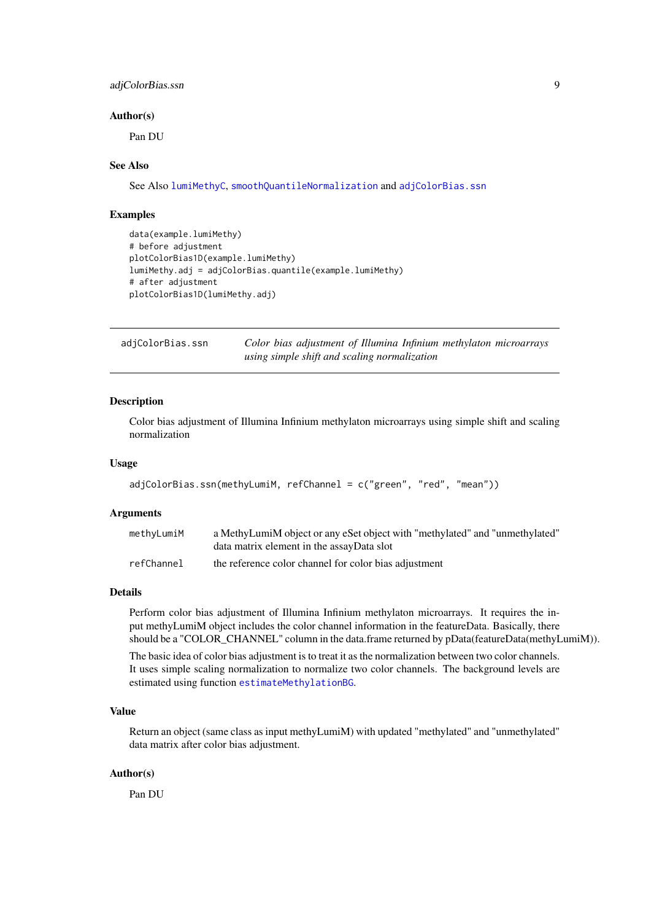#### <span id="page-8-0"></span>adjColorBias.ssn 9

#### Author(s)

Pan DU

# See Also

See Also [lumiMethyC](#page-42-1), [smoothQuantileNormalization](#page-84-1) and [adjColorBias.ssn](#page-8-1)

#### Examples

```
data(example.lumiMethy)
# before adjustment
plotColorBias1D(example.lumiMethy)
lumiMethy.adj = adjColorBias.quantile(example.lumiMethy)
# after adjustment
plotColorBias1D(lumiMethy.adj)
```
<span id="page-8-1"></span>

| adjColorBias.ssn | Color bias adjustment of Illumina Infinium methylaton microarrays |  |
|------------------|-------------------------------------------------------------------|--|
|                  | using simple shift and scaling normalization                      |  |

# Description

Color bias adjustment of Illumina Infinium methylaton microarrays using simple shift and scaling normalization

# Usage

```
adjColorBias.ssn(methyLumiM, refChannel = c("green", "red", "mean"))
```
# Arguments

| methyLumiM | a MethyLumiM object or any eSet object with "methylated" and "unmethylated" |
|------------|-----------------------------------------------------------------------------|
|            | data matrix element in the assayData slot                                   |
| refChannel | the reference color channel for color bias adjustment                       |

# Details

Perform color bias adjustment of Illumina Infinium methylaton microarrays. It requires the input methyLumiM object includes the color channel information in the featureData. Basically, there should be a "COLOR\_CHANNEL" column in the data.frame returned by pData(featureData(methyLumiM)).

The basic idea of color bias adjustment is to treat it as the normalization between two color channels. It uses simple scaling normalization to normalize two color channels. The background levels are estimated using function [estimateMethylationBG](#page-22-1).

# Value

Return an object (same class as input methyLumiM) with updated "methylated" and "unmethylated" data matrix after color bias adjustment.

# Author(s)

Pan DU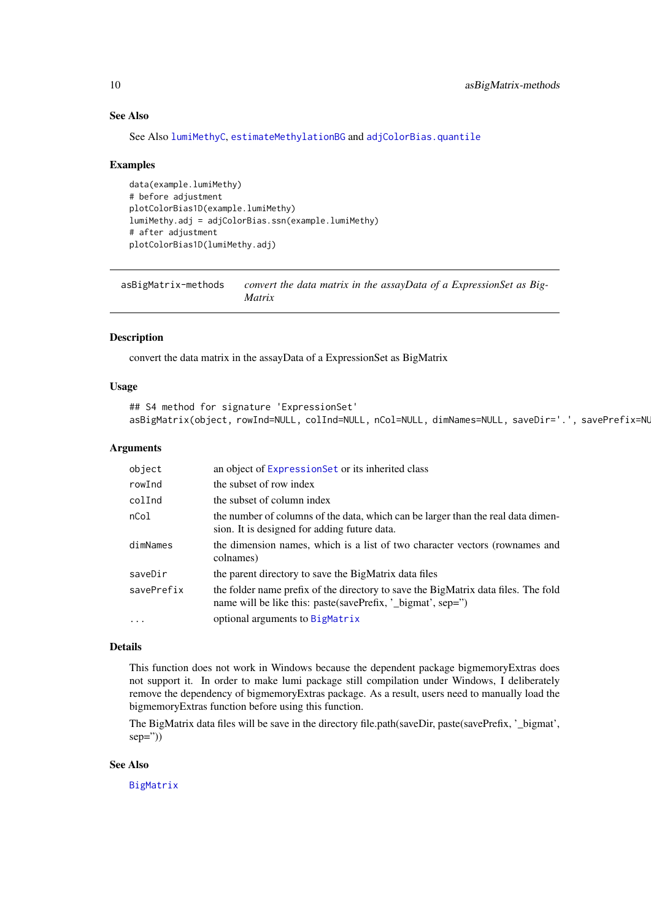#### See Also

See Also [lumiMethyC](#page-42-1), [estimateMethylationBG](#page-22-1) and [adjColorBias.quantile](#page-7-1)

#### Examples

```
data(example.lumiMethy)
# before adjustment
plotColorBias1D(example.lumiMethy)
lumiMethy.adj = adjColorBias.ssn(example.lumiMethy)
# after adjustment
plotColorBias1D(lumiMethy.adj)
```
asBigMatrix-methods *convert the data matrix in the assayData of a ExpressionSet as Big-Matrix*

#### Description

convert the data matrix in the assayData of a ExpressionSet as BigMatrix

#### Usage

```
## S4 method for signature 'ExpressionSet'
asBigMatrix(object, rowInd=NULL, colInd=NULL, nCol=NULL, dimNames=NULL, saveDir='.', savePrefix=NU
```
# Arguments

| object     | an object of Expression Set or its inherited class                                                                                                |
|------------|---------------------------------------------------------------------------------------------------------------------------------------------------|
| rowInd     | the subset of row index                                                                                                                           |
| colInd     | the subset of column index                                                                                                                        |
| nCol       | the number of columns of the data, which can be larger than the real data dimen-<br>sion. It is designed for adding future data.                  |
| dimNames   | the dimension names, which is a list of two character vectors (rownames and<br>colnames)                                                          |
| saveDir    | the parent directory to save the BigMatrix data files                                                                                             |
| savePrefix | the folder name prefix of the directory to save the BigMatrix data files. The fold<br>name will be like this: paste(savePrefix, '_bigmat', sep=") |
| $\ddots$ . | optional arguments to BigMatrix                                                                                                                   |

#### Details

This function does not work in Windows because the dependent package bigmemoryExtras does not support it. In order to make lumi package still compilation under Windows, I deliberately remove the dependency of bigmemoryExtras package. As a result, users need to manually load the bigmemoryExtras function before using this function.

The BigMatrix data files will be save in the directory file.path(saveDir, paste(savePrefix, '\_bigmat',  $sep=")$ 

#### See Also

[BigMatrix](#page-0-0)

<span id="page-9-0"></span>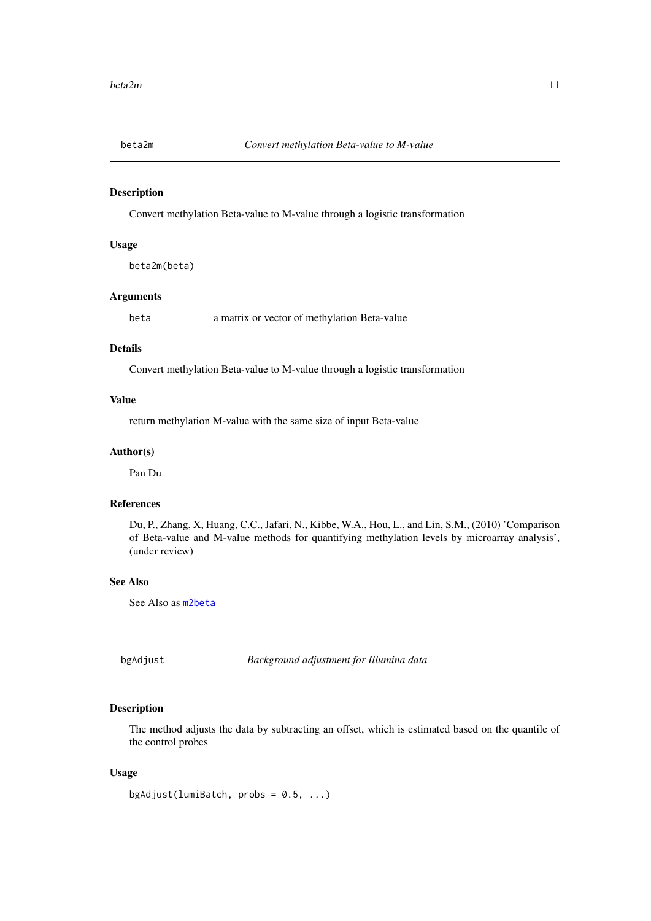<span id="page-10-0"></span>

#### Description

Convert methylation Beta-value to M-value through a logistic transformation

# Usage

beta2m(beta)

# Arguments

beta a matrix or vector of methylation Beta-value

# Details

Convert methylation Beta-value to M-value through a logistic transformation

# Value

return methylation M-value with the same size of input Beta-value

#### Author(s)

Pan Du

#### References

Du, P., Zhang, X, Huang, C.C., Jafari, N., Kibbe, W.A., Hou, L., and Lin, S.M., (2010) 'Comparison of Beta-value and M-value methods for quantifying methylation levels by microarray analysis', (under review)

# See Also

See Also as [m2beta](#page-52-1)

bgAdjust *Background adjustment for Illumina data*

#### Description

The method adjusts the data by subtracting an offset, which is estimated based on the quantile of the control probes

```
bgAdjust(lumiBatch, probs = 0.5, ...)
```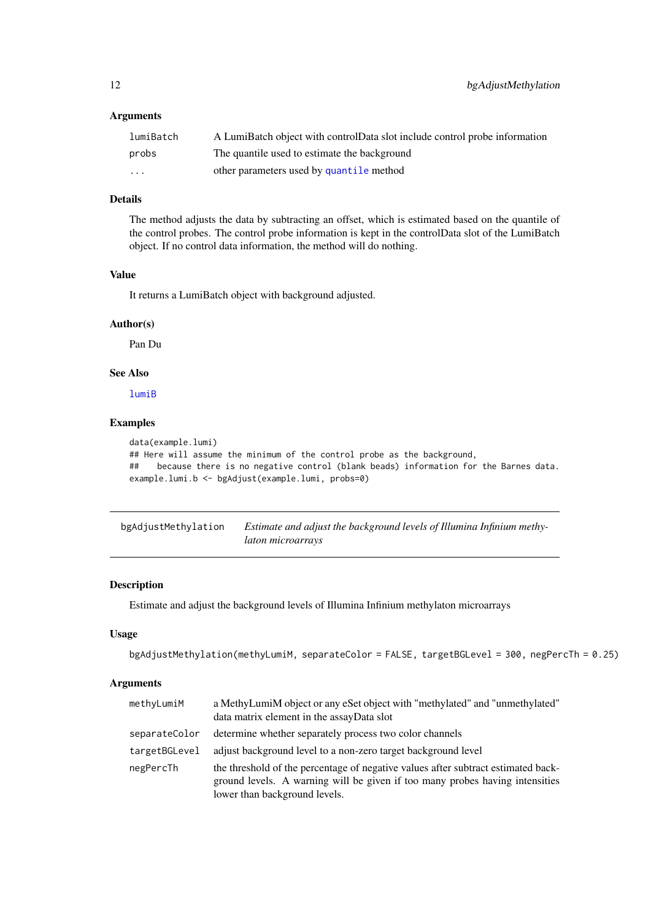# <span id="page-11-0"></span>Arguments

| lumiBatch | A LumiBatch object with controlData slot include control probe information |
|-----------|----------------------------------------------------------------------------|
| probs     | The quantile used to estimate the background                               |
| .         | other parameters used by quantile method                                   |

# Details

The method adjusts the data by subtracting an offset, which is estimated based on the quantile of the control probes. The control probe information is kept in the controlData slot of the LumiBatch object. If no control data information, the method will do nothing.

# Value

It returns a LumiBatch object with background adjusted.

#### Author(s)

Pan Du

# See Also

[lumiB](#page-37-1)

#### Examples

```
data(example.lumi)
## Here will assume the minimum of the control probe as the background,
## because there is no negative control (blank beads) information for the Barnes data.
example.lumi.b <- bgAdjust(example.lumi, probs=0)
```
<span id="page-11-1"></span>bgAdjustMethylation *Estimate and adjust the background levels of Illumina Infinium methylaton microarrays*

# Description

Estimate and adjust the background levels of Illumina Infinium methylaton microarrays

#### Usage

```
bgAdjustMethylation(methyLumiM, separateColor = FALSE, targetBGLevel = 300, negPercTh = 0.25)
```
# Arguments

| methyLumiM    | a MethyLumiM object or any eSet object with "methylated" and "unmethylated"<br>data matrix element in the assayData slot                                                                           |
|---------------|----------------------------------------------------------------------------------------------------------------------------------------------------------------------------------------------------|
| separateColor | determine whether separately process two color channels                                                                                                                                            |
| targetBGLevel | adjust background level to a non-zero target background level                                                                                                                                      |
| negPercTh     | the threshold of the percentage of negative values after subtract estimated back-<br>ground levels. A warning will be given if too many probes having intensities<br>lower than background levels. |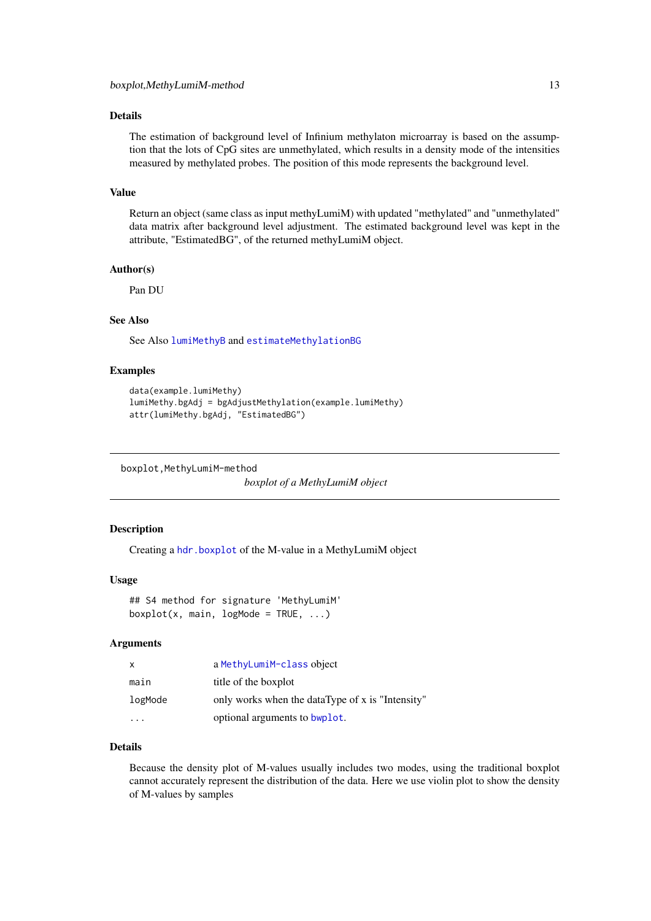#### <span id="page-12-0"></span>Details

The estimation of background level of Infinium methylaton microarray is based on the assumption that the lots of CpG sites are unmethylated, which results in a density mode of the intensities measured by methylated probes. The position of this mode represents the background level.

#### Value

Return an object (same class as input methyLumiM) with updated "methylated" and "unmethylated" data matrix after background level adjustment. The estimated background level was kept in the attribute, "EstimatedBG", of the returned methyLumiM object.

# Author(s)

Pan DU

# See Also

See Also [lumiMethyB](#page-41-1) and [estimateMethylationBG](#page-22-1)

### Examples

```
data(example.lumiMethy)
lumiMethy.bgAdj = bgAdjustMethylation(example.lumiMethy)
attr(lumiMethy.bgAdj, "EstimatedBG")
```
boxplot,MethyLumiM-method

*boxplot of a MethyLumiM object*

#### Description

Creating a [hdr.boxplot](#page-0-0) of the M-value in a MethyLumiM object

#### Usage

```
## S4 method for signature 'MethyLumiM'
boxplot(x, main, logMode = TRUE, ...)
```
#### Arguments

| X       | a MethyLumiM-class object                        |  |
|---------|--------------------------------------------------|--|
| main    | title of the boxplot                             |  |
| logMode | only works when the dataType of x is "Intensity" |  |
|         | optional arguments to bwplot.                    |  |

# Details

Because the density plot of M-values usually includes two modes, using the traditional boxplot cannot accurately represent the distribution of the data. Here we use violin plot to show the density of M-values by samples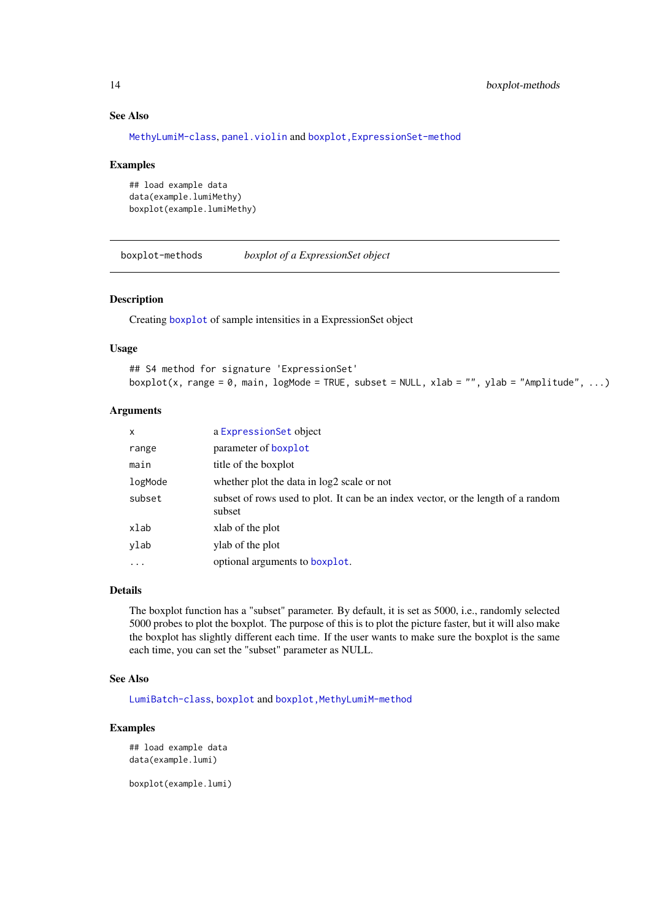# See Also

[MethyLumiM-class](#page-0-0), [panel.violin](#page-0-0) and [boxplot,ExpressionSet-method](#page-0-0)

#### Examples

```
## load example data
data(example.lumiMethy)
boxplot(example.lumiMethy)
```
boxplot-methods *boxplot of a ExpressionSet object*

# Description

Creating [boxplot](#page-0-0) of sample intensities in a ExpressionSet object

#### Usage

```
## S4 method for signature 'ExpressionSet'
boxplot(x, range = 0, main, logMode = TRUE, subset = NULL, xlab = "", ylab = "Amplitude", ...)
```
#### Arguments

| $\mathsf{x}$ | a Expression Set object                                                                     |
|--------------|---------------------------------------------------------------------------------------------|
| range        | parameter of boxplot                                                                        |
| main         | title of the boxplot                                                                        |
| logMode      | whether plot the data in log2 scale or not                                                  |
| subset       | subset of rows used to plot. It can be an index vector, or the length of a random<br>subset |
| xlab         | xlab of the plot                                                                            |
| ylab         | ylab of the plot                                                                            |
| $\ddots$     | optional arguments to boxplot.                                                              |

#### Details

The boxplot function has a "subset" parameter. By default, it is set as 5000, i.e., randomly selected 5000 probes to plot the boxplot. The purpose of this is to plot the picture faster, but it will also make the boxplot has slightly different each time. If the user wants to make sure the boxplot is the same each time, you can set the "subset" parameter as NULL.

# See Also

[LumiBatch-class](#page-38-1), [boxplot](#page-0-0) and [boxplot,MethyLumiM-method](#page-0-0)

# Examples

```
## load example data
data(example.lumi)
```
boxplot(example.lumi)

<span id="page-13-0"></span>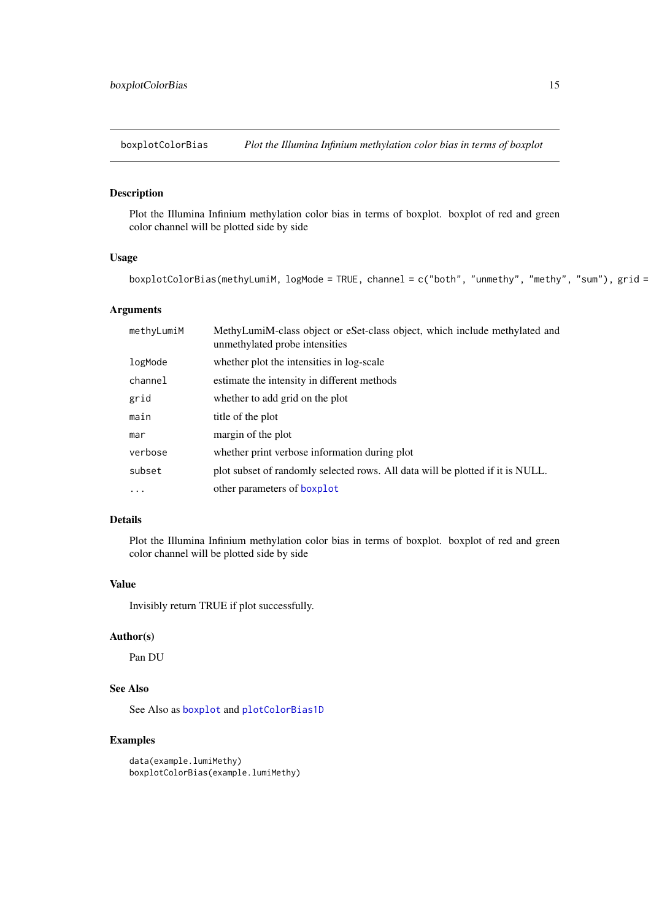<span id="page-14-0"></span>boxplotColorBias *Plot the Illumina Infinium methylation color bias in terms of boxplot*

#### Description

Plot the Illumina Infinium methylation color bias in terms of boxplot. boxplot of red and green color channel will be plotted side by side

# Usage

```
boxplotColorBias(methyLumiM, logMode = TRUE, channel = c("both", "unmethy", "methy", "sum"), grid =
```
# Arguments

| methyLumiM | MethyLumiM-class object or eSet-class object, which include methylated and<br>unmethylated probe intensities |
|------------|--------------------------------------------------------------------------------------------------------------|
| logMode    | whether plot the intensities in log-scale                                                                    |
| channel    | estimate the intensity in different methods                                                                  |
| grid       | whether to add grid on the plot                                                                              |
| main       | title of the plot                                                                                            |
| mar        | margin of the plot                                                                                           |
| verbose    | whether print verbose information during plot                                                                |
| subset     | plot subset of randomly selected rows. All data will be plotted if it is NULL.                               |
| $\ddots$ . | other parameters of boxplot                                                                                  |

# Details

Plot the Illumina Infinium methylation color bias in terms of boxplot. boxplot of red and green color channel will be plotted side by side

# Value

Invisibly return TRUE if plot successfully.

#### Author(s)

Pan DU

# See Also

See Also as [boxplot](#page-0-0) and [plotColorBias1D](#page-67-1)

# Examples

data(example.lumiMethy) boxplotColorBias(example.lumiMethy)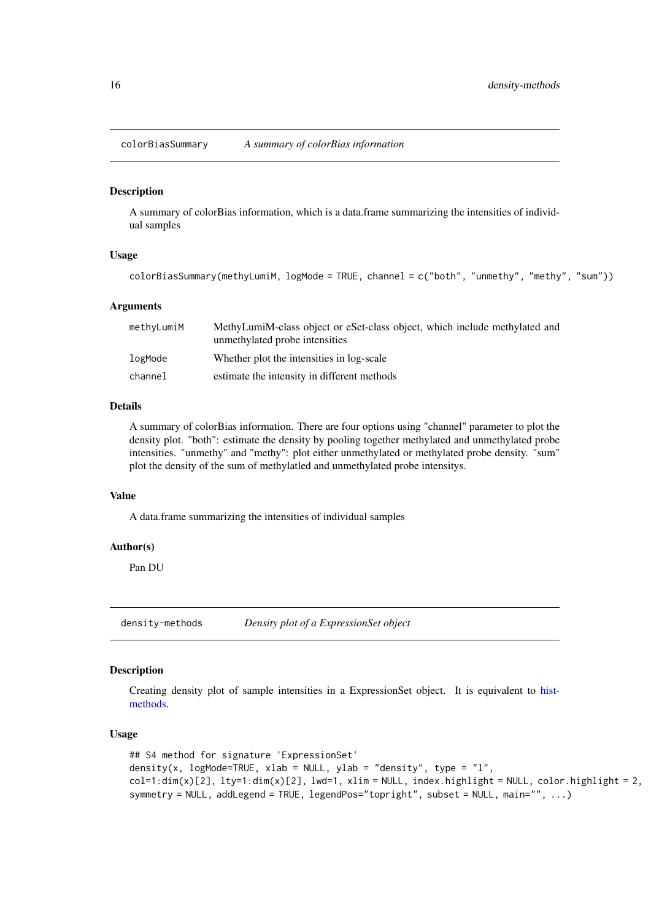<span id="page-15-0"></span>

#### Description

A summary of colorBias information, which is a data.frame summarizing the intensities of individual samples

#### Usage

```
colorBiasSummary(methyLumiM, logMode = TRUE, channel = c("both", "unmethy", "methy", "sum"))
```
#### Arguments

| methyLumiM | MethyLumiM-class object or eSet-class object, which include methylated and<br>unmethylated probe intensities |
|------------|--------------------------------------------------------------------------------------------------------------|
| logMode    | Whether plot the intensities in log-scale                                                                    |
| channel    | estimate the intensity in different methods                                                                  |

# Details

A summary of colorBias information. There are four options using "channel" parameter to plot the density plot. "both": estimate the density by pooling together methylated and unmethylated probe intensities. "unmethy" and "methy": plot either unmethylated or methylated probe density. "sum" plot the density of the sum of methylatled and unmethylated probe intensitys.

# Value

A data.frame summarizing the intensities of individual samples

# Author(s)

Pan DU

<span id="page-15-1"></span>density-methods *Density plot of a ExpressionSet object*

# Description

Creating density plot of sample intensities in a ExpressionSet object. It is equivalent to [hist](#page-31-1)[methods.](#page-31-1)

```
## S4 method for signature 'ExpressionSet'
density(x, logMode=TRUE, xlab = NULL, ylab = "density", type = "l",
col=1:dim(x)[2], lty=1:dim(x)[2], lwd=1, xlim = NULL, index.highlight = NULL, color.highlight = 2,
symmetry = NULL, addLegend = TRUE, legendPos="topright", subset = NULL, main="", ...)
```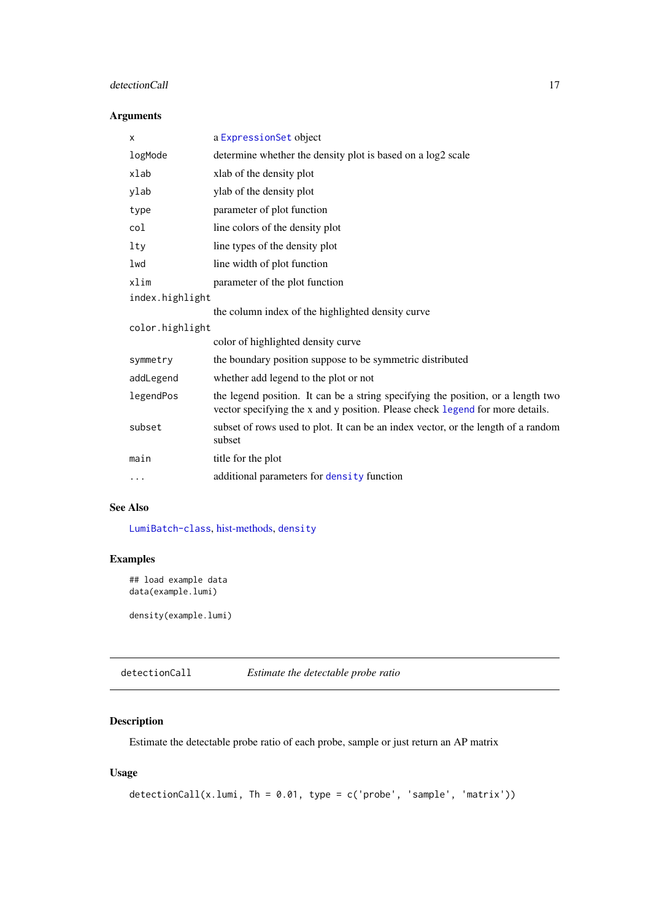# <span id="page-16-0"></span>detectionCall 17

# Arguments

| X               | a ExpressionSet object                                                                                                                                            |  |
|-----------------|-------------------------------------------------------------------------------------------------------------------------------------------------------------------|--|
| logMode         | determine whether the density plot is based on a log2 scale                                                                                                       |  |
| xlab            | xlab of the density plot                                                                                                                                          |  |
| ylab            | ylab of the density plot                                                                                                                                          |  |
| type            | parameter of plot function                                                                                                                                        |  |
| col             | line colors of the density plot                                                                                                                                   |  |
| lty             | line types of the density plot                                                                                                                                    |  |
| lwd             | line width of plot function                                                                                                                                       |  |
| xlim            | parameter of the plot function                                                                                                                                    |  |
| index.highlight |                                                                                                                                                                   |  |
|                 | the column index of the highlighted density curve                                                                                                                 |  |
| color.highlight |                                                                                                                                                                   |  |
|                 | color of highlighted density curve                                                                                                                                |  |
| symmetry        | the boundary position suppose to be symmetric distributed                                                                                                         |  |
| addLegend       | whether add legend to the plot or not                                                                                                                             |  |
| legendPos       | the legend position. It can be a string specifying the position, or a length two<br>vector specifying the x and y position. Please check legend for more details. |  |
| subset          | subset of rows used to plot. It can be an index vector, or the length of a random<br>subset                                                                       |  |
| main            | title for the plot                                                                                                                                                |  |
| $\cdots$        | additional parameters for density function                                                                                                                        |  |

# See Also

[LumiBatch-class](#page-38-1), [hist-methods,](#page-31-1) [density](#page-0-0)

# Examples

```
## load example data
data(example.lumi)
```
density(example.lumi)

detectionCall *Estimate the detectable probe ratio*

# Description

Estimate the detectable probe ratio of each probe, sample or just return an AP matrix

```
detectionCall(x.lumi, Th = 0.01, type = c('probe', 'sample', 'matrix'))
```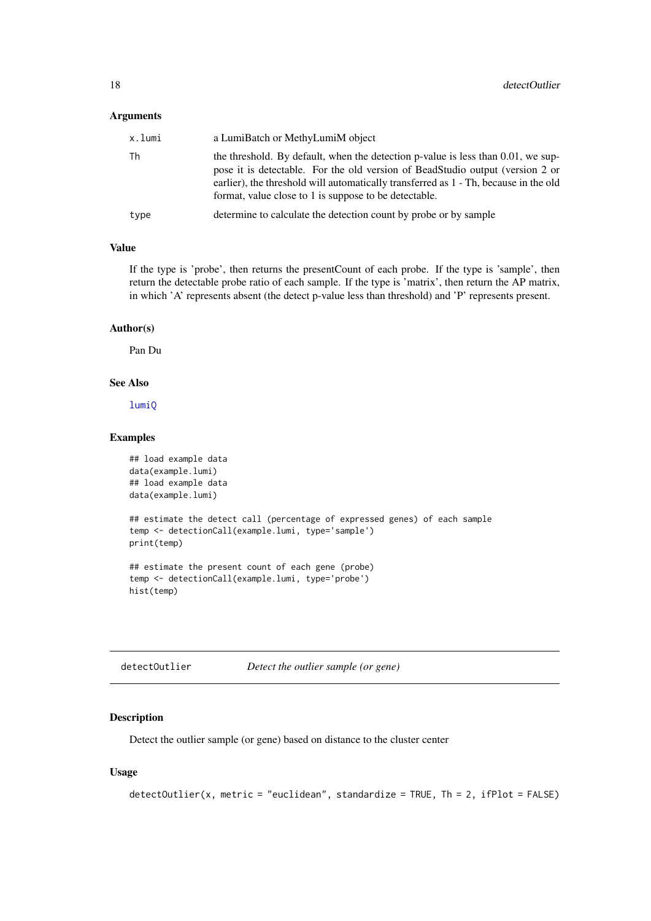# <span id="page-17-0"></span>Arguments

| x.lumi | a LumiBatch or MethyLumiM object                                                                                                                                                                                                                                                                                      |  |
|--------|-----------------------------------------------------------------------------------------------------------------------------------------------------------------------------------------------------------------------------------------------------------------------------------------------------------------------|--|
| Th     | the threshold. By default, when the detection p-value is less than $0.01$ , we sup-<br>pose it is detectable. For the old version of BeadStudio output (version 2 or<br>earlier), the threshold will automatically transferred as 1 - Th, because in the old<br>format, value close to 1 is suppose to be detectable. |  |
| type   | determine to calculate the detection count by probe or by sample                                                                                                                                                                                                                                                      |  |
|        |                                                                                                                                                                                                                                                                                                                       |  |

# Value

If the type is 'probe', then returns the presentCount of each probe. If the type is 'sample', then return the detectable probe ratio of each sample. If the type is 'matrix', then return the AP matrix, in which 'A' represents absent (the detect p-value less than threshold) and 'P' represents present.

#### Author(s)

Pan Du

#### See Also

[lumiQ](#page-47-1)

# Examples

```
## load example data
data(example.lumi)
## load example data
data(example.lumi)
## estimate the detect call (percentage of expressed genes) of each sample
temp <- detectionCall(example.lumi, type='sample')
print(temp)
## estimate the present count of each gene (probe)
temp <- detectionCall(example.lumi, type='probe')
hist(temp)
```

| detectOutlier | Detect the outlier sample (or gene) |
|---------------|-------------------------------------|
|---------------|-------------------------------------|

# Description

Detect the outlier sample (or gene) based on distance to the cluster center

```
detectOutlier(x, metric = "euclidean", standardize = TRUE, Th = 2, ifPlot = FALSE)
```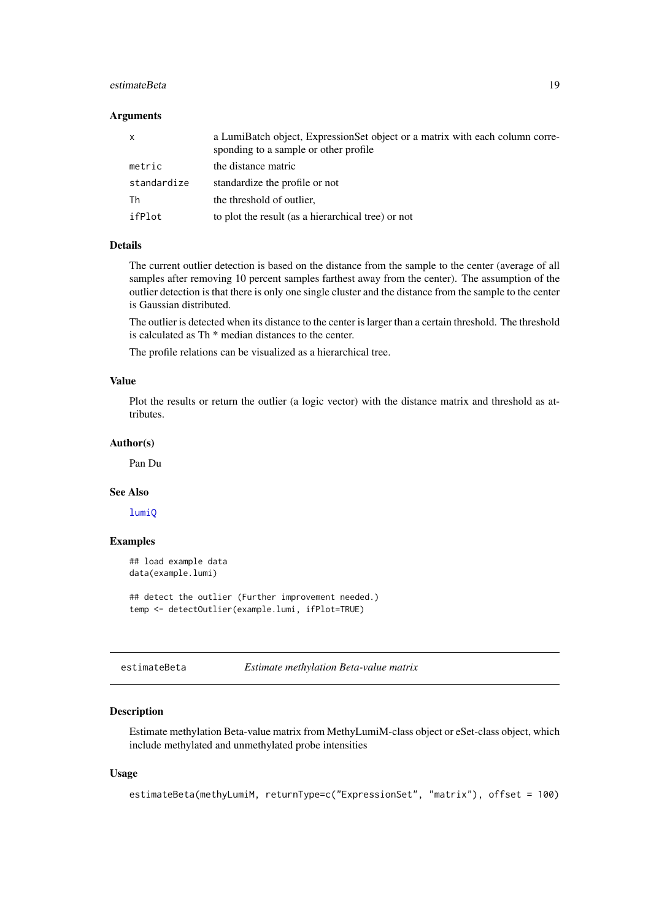#### <span id="page-18-0"></span>estimateBeta 19

#### Arguments

| $\mathsf{x}$ | a LumiBatch object, ExpressionSet object or a matrix with each column corre-<br>sponding to a sample or other profile |
|--------------|-----------------------------------------------------------------------------------------------------------------------|
| metric       | the distance matric                                                                                                   |
| standardize  | standardize the profile or not                                                                                        |
| Th           | the threshold of outlier,                                                                                             |
| ifPlot       | to plot the result (as a hierarchical tree) or not                                                                    |

# Details

The current outlier detection is based on the distance from the sample to the center (average of all samples after removing 10 percent samples farthest away from the center). The assumption of the outlier detection is that there is only one single cluster and the distance from the sample to the center is Gaussian distributed.

The outlier is detected when its distance to the center is larger than a certain threshold. The threshold is calculated as Th \* median distances to the center.

The profile relations can be visualized as a hierarchical tree.

# Value

Plot the results or return the outlier (a logic vector) with the distance matrix and threshold as attributes.

#### Author(s)

Pan Du

# See Also

[lumiQ](#page-47-1)

# Examples

```
## load example data
data(example.lumi)
```
## detect the outlier (Further improvement needed.) temp <- detectOutlier(example.lumi, ifPlot=TRUE)

<span id="page-18-1"></span>estimateBeta *Estimate methylation Beta-value matrix*

#### Description

Estimate methylation Beta-value matrix from MethyLumiM-class object or eSet-class object, which include methylated and unmethylated probe intensities

```
estimateBeta(methyLumiM, returnType=c("ExpressionSet", "matrix"), offset = 100)
```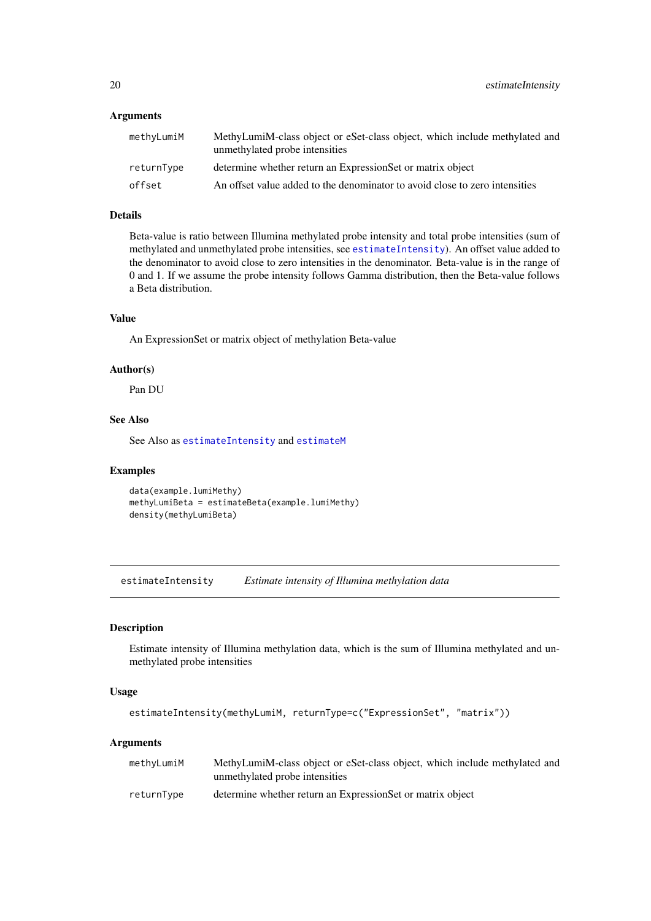# <span id="page-19-0"></span>Arguments

| methyLumiM | MethyLumiM-class object or eSet-class object, which include methylated and<br>unmethylated probe intensities |
|------------|--------------------------------------------------------------------------------------------------------------|
| returnType | determine whether return an ExpressionSet or matrix object                                                   |
| offset     | An offset value added to the denominator to avoid close to zero intensities                                  |

# Details

Beta-value is ratio between Illumina methylated probe intensity and total probe intensities (sum of methylated and unmethylated probe intensities, see [estimateIntensity](#page-19-1)). An offset value added to the denominator to avoid close to zero intensities in the denominator. Beta-value is in the range of 0 and 1. If we assume the probe intensity follows Gamma distribution, then the Beta-value follows a Beta distribution.

# Value

An ExpressionSet or matrix object of methylation Beta-value

#### Author(s)

Pan DU

# See Also

See Also as [estimateIntensity](#page-19-1) and [estimateM](#page-21-1)

#### Examples

```
data(example.lumiMethy)
methyLumiBeta = estimateBeta(example.lumiMethy)
density(methyLumiBeta)
```
<span id="page-19-1"></span>estimateIntensity *Estimate intensity of Illumina methylation data*

# Description

Estimate intensity of Illumina methylation data, which is the sum of Illumina methylated and unmethylated probe intensities

# Usage

```
estimateIntensity(methyLumiM, returnType=c("ExpressionSet", "matrix"))
```
# Arguments

| methyLumiM | MethyLumiM-class object or eSet-class object, which include methylated and<br>unmethylated probe intensities |
|------------|--------------------------------------------------------------------------------------------------------------|
| returnTvpe | determine whether return an ExpressionSet or matrix object                                                   |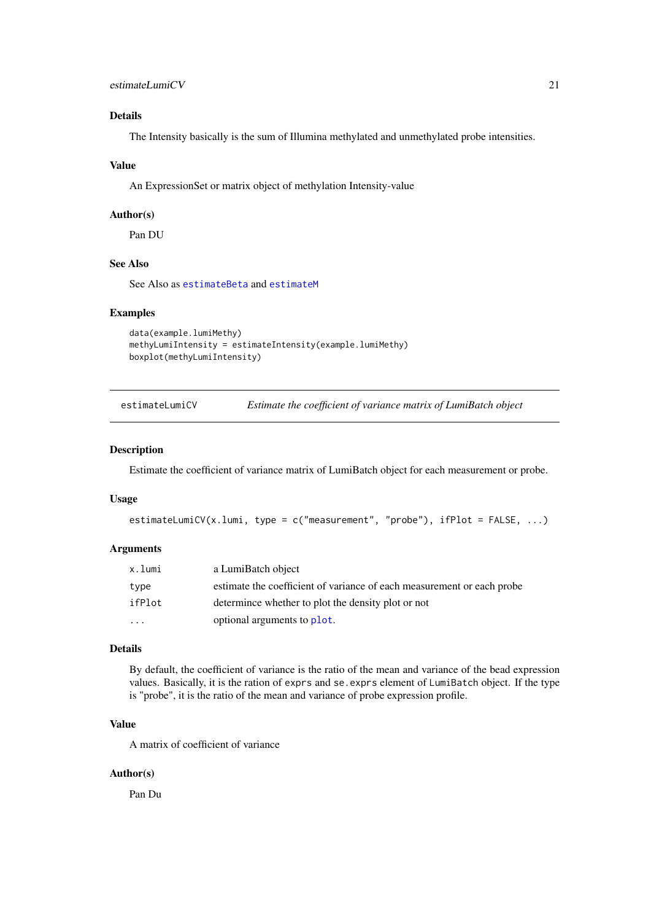# <span id="page-20-0"></span>Details

The Intensity basically is the sum of Illumina methylated and unmethylated probe intensities.

#### Value

An ExpressionSet or matrix object of methylation Intensity-value

#### Author(s)

Pan DU

# See Also

See Also as [estimateBeta](#page-18-1) and [estimateM](#page-21-1)

#### Examples

```
data(example.lumiMethy)
methylLumifIntensity = estimateIntensity(example.lumimethyl)boxplot(methyLumiIntensity)
```

| estimateLumiCV | Estimate the coefficient of variance matrix of LumiBatch object |  |
|----------------|-----------------------------------------------------------------|--|
|                |                                                                 |  |

# Description

Estimate the coefficient of variance matrix of LumiBatch object for each measurement or probe.

#### Usage

```
estimateLumiCV(x.lumi, type = c("measurement", "probe"), ifPlot = FALSE, ...)
```
# Arguments

| x.lumi | a LumiBatch object                                                     |
|--------|------------------------------------------------------------------------|
| type   | estimate the coefficient of variance of each measurement or each probe |
| ifPlot | determined whether to plot the density plot or not                     |
| .      | optional arguments to plot.                                            |

# Details

By default, the coefficient of variance is the ratio of the mean and variance of the bead expression values. Basically, it is the ration of exprs and se.exprs element of LumiBatch object. If the type is "probe", it is the ratio of the mean and variance of probe expression profile.

#### Value

A matrix of coefficient of variance

# Author(s)

Pan Du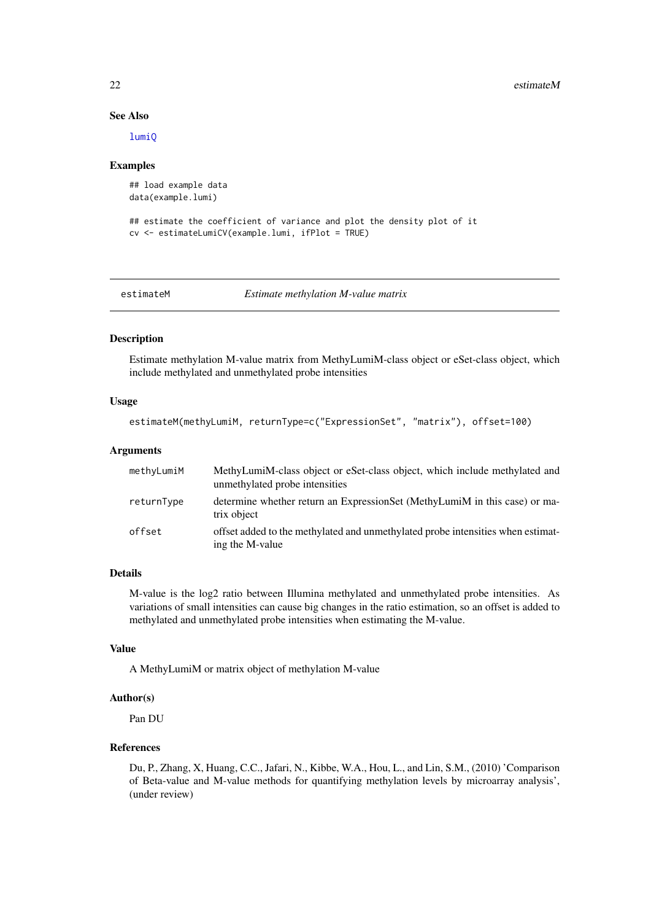#### 22 estimateM

#### See Also

[lumiQ](#page-47-1)

# Examples

```
## load example data
data(example.lumi)
```

```
## estimate the coefficient of variance and plot the density plot of it
cv <- estimateLumiCV(example.lumi, ifPlot = TRUE)
```
<span id="page-21-1"></span>

estimateM *Estimate methylation M-value matrix*

#### Description

Estimate methylation M-value matrix from MethyLumiM-class object or eSet-class object, which include methylated and unmethylated probe intensities

# Usage

```
estimateM(methyLumiM, returnType=c("ExpressionSet", "matrix"), offset=100)
```
# Arguments

| methyLumiM | MethyLumiM-class object or eSet-class object, which include methylated and<br>unmethylated probe intensities |
|------------|--------------------------------------------------------------------------------------------------------------|
| returnType | determine whether return an ExpressionSet (MethyLumiM in this case) or ma-<br>trix object                    |
| offset     | offset added to the methylated and unmethylated probe intensities when estimat-<br>ing the M-value           |

# Details

M-value is the log2 ratio between Illumina methylated and unmethylated probe intensities. As variations of small intensities can cause big changes in the ratio estimation, so an offset is added to methylated and unmethylated probe intensities when estimating the M-value.

#### Value

A MethyLumiM or matrix object of methylation M-value

# Author(s)

Pan DU

# References

Du, P., Zhang, X, Huang, C.C., Jafari, N., Kibbe, W.A., Hou, L., and Lin, S.M., (2010) 'Comparison of Beta-value and M-value methods for quantifying methylation levels by microarray analysis', (under review)

<span id="page-21-0"></span>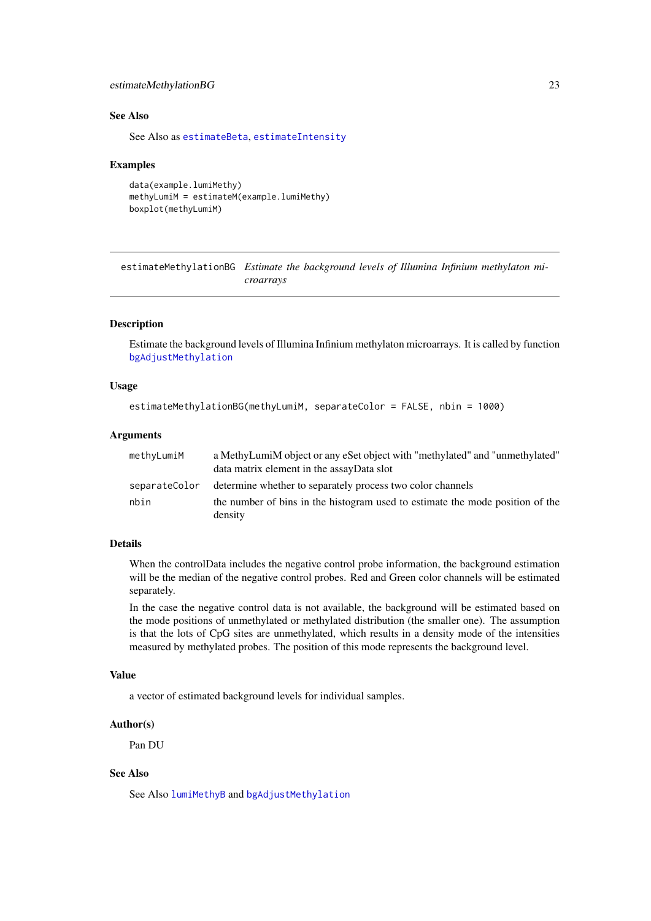#### <span id="page-22-0"></span>estimateMethylationBG 23

#### See Also

See Also as [estimateBeta](#page-18-1), [estimateIntensity](#page-19-1)

#### Examples

```
data(example.lumiMethy)
methyLumiM = estimateM(example.lumiMethy)
boxplot(methyLumiM)
```
<span id="page-22-1"></span>estimateMethylationBG *Estimate the background levels of Illumina Infinium methylaton microarrays*

#### Description

Estimate the background levels of Illumina Infinium methylaton microarrays. It is called by function [bgAdjustMethylation](#page-11-1)

#### Usage

```
estimateMethylationBG(methyLumiM, separateColor = FALSE, nbin = 1000)
```
#### Arguments

| methyLumiM    | a MethyLumiM object or any eSet object with "methylated" and "unmethylated"<br>data matrix element in the assayData slot |
|---------------|--------------------------------------------------------------------------------------------------------------------------|
| separateColor | determine whether to separately process two color channels                                                               |
| nbin          | the number of bins in the histogram used to estimate the mode position of the<br>density                                 |

# Details

When the controlData includes the negative control probe information, the background estimation will be the median of the negative control probes. Red and Green color channels will be estimated separately.

In the case the negative control data is not available, the background will be estimated based on the mode positions of unmethylated or methylated distribution (the smaller one). The assumption is that the lots of CpG sites are unmethylated, which results in a density mode of the intensities measured by methylated probes. The position of this mode represents the background level.

# Value

a vector of estimated background levels for individual samples.

#### Author(s)

Pan DU

# See Also

See Also [lumiMethyB](#page-41-1) and [bgAdjustMethylation](#page-11-1)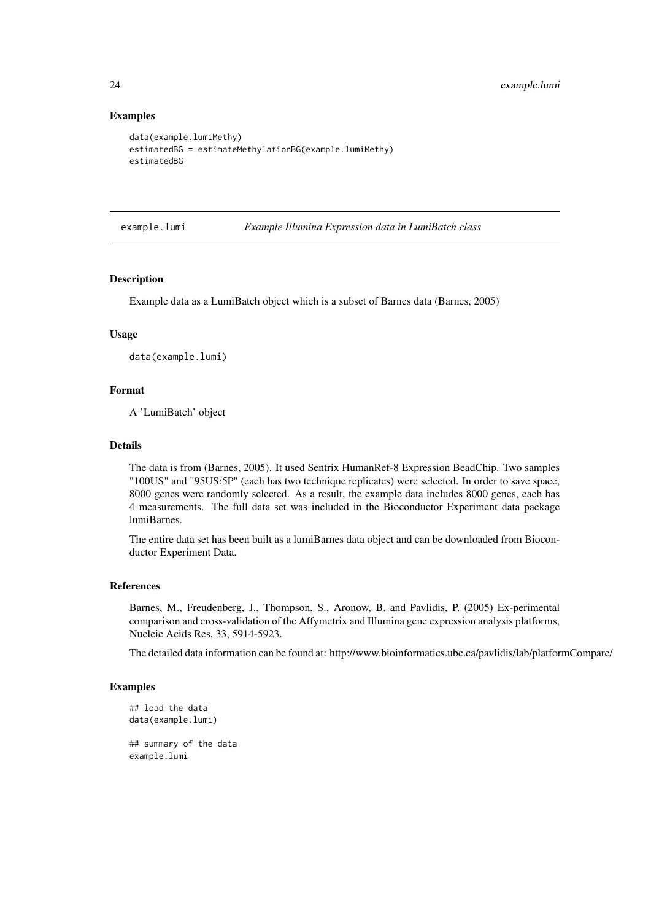#### Examples

```
data(example.lumiMethy)
estimatedBG = estimateMethylationBG(example.lumiMethy)
estimatedBG
```
example.lumi *Example Illumina Expression data in LumiBatch class*

#### Description

Example data as a LumiBatch object which is a subset of Barnes data (Barnes, 2005)

#### Usage

data(example.lumi)

# Format

A 'LumiBatch' object

# Details

The data is from (Barnes, 2005). It used Sentrix HumanRef-8 Expression BeadChip. Two samples "100US" and "95US:5P" (each has two technique replicates) were selected. In order to save space, 8000 genes were randomly selected. As a result, the example data includes 8000 genes, each has 4 measurements. The full data set was included in the Bioconductor Experiment data package lumiBarnes.

The entire data set has been built as a lumiBarnes data object and can be downloaded from Bioconductor Experiment Data.

#### References

Barnes, M., Freudenberg, J., Thompson, S., Aronow, B. and Pavlidis, P. (2005) Ex-perimental comparison and cross-validation of the Affymetrix and Illumina gene expression analysis platforms, Nucleic Acids Res, 33, 5914-5923.

The detailed data information can be found at: http://www.bioinformatics.ubc.ca/pavlidis/lab/platformCompare/

#### Examples

```
## load the data
data(example.lumi)
```
## summary of the data example.lumi

<span id="page-23-0"></span>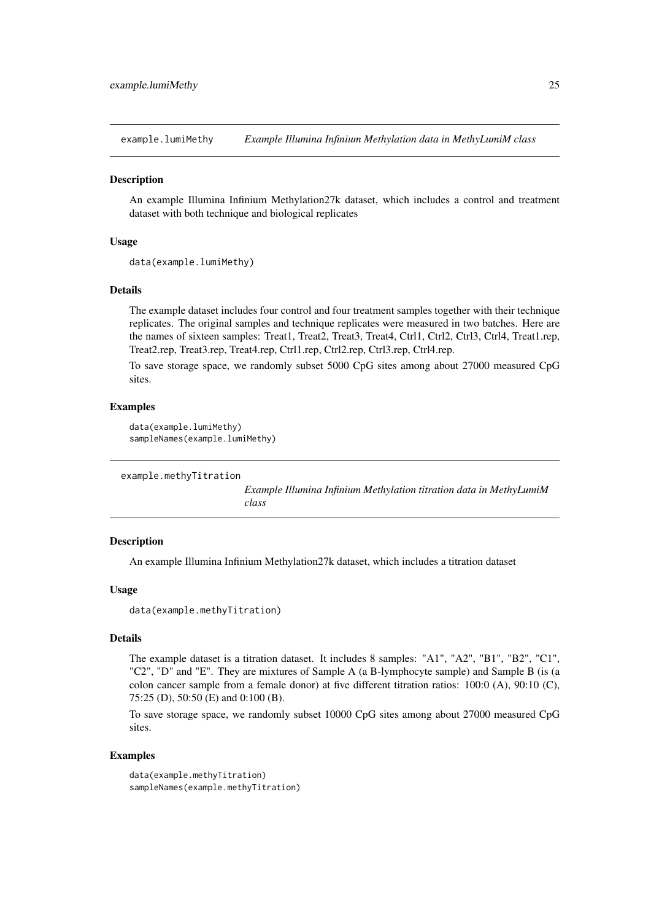<span id="page-24-0"></span>example.lumiMethy *Example Illumina Infinium Methylation data in MethyLumiM class*

#### Description

An example Illumina Infinium Methylation27k dataset, which includes a control and treatment dataset with both technique and biological replicates

#### Usage

```
data(example.lumiMethy)
```
#### Details

The example dataset includes four control and four treatment samples together with their technique replicates. The original samples and technique replicates were measured in two batches. Here are the names of sixteen samples: Treat1, Treat2, Treat3, Treat4, Ctrl1, Ctrl2, Ctrl3, Ctrl4, Treat1.rep, Treat2.rep, Treat3.rep, Treat4.rep, Ctrl1.rep, Ctrl2.rep, Ctrl3.rep, Ctrl4.rep.

To save storage space, we randomly subset 5000 CpG sites among about 27000 measured CpG sites.

#### Examples

```
data(example.lumiMethy)
sampleNames(example.lumiMethy)
```

```
example.methyTitration
```
*Example Illumina Infinium Methylation titration data in MethyLumiM class*

#### Description

An example Illumina Infinium Methylation27k dataset, which includes a titration dataset

#### Usage

```
data(example.methyTitration)
```
# Details

The example dataset is a titration dataset. It includes 8 samples: "A1", "A2", "B1", "B2", "C1", "C2", "D" and "E". They are mixtures of Sample A (a B-lymphocyte sample) and Sample B (is (a colon cancer sample from a female donor) at five different titration ratios: 100:0 (A), 90:10 (C), 75:25 (D), 50:50 (E) and 0:100 (B).

To save storage space, we randomly subset 10000 CpG sites among about 27000 measured CpG sites.

#### Examples

```
data(example.methyTitration)
sampleNames(example.methyTitration)
```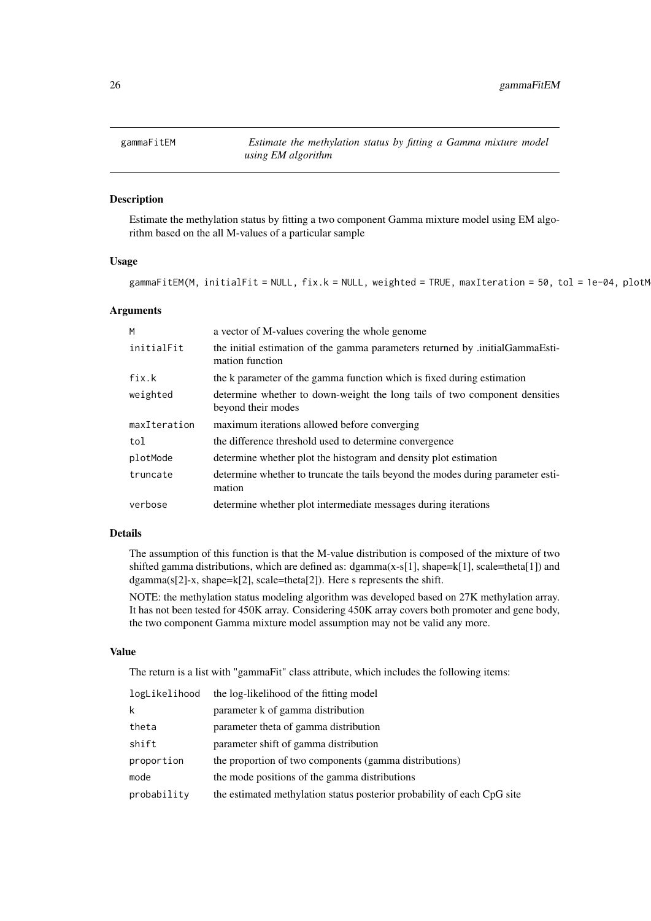<span id="page-25-0"></span>

#### Description

Estimate the methylation status by fitting a two component Gamma mixture model using EM algorithm based on the all M-values of a particular sample

# Usage

```
gammaFitEM(M, initialFit = NULL, fix.k = NULL, weighted = TRUE, maxIteration = 50, tol = 1e-04, plotM
```
#### Arguments

| M            | a vector of M-values covering the whole genome                                                   |
|--------------|--------------------------------------------------------------------------------------------------|
| initialFit   | the initial estimation of the gamma parameters returned by .initialGammaEsti-<br>mation function |
| fix.k        | the k parameter of the gamma function which is fixed during estimation                           |
| weighted     | determine whether to down-weight the long tails of two component densities<br>beyond their modes |
| maxIteration | maximum iterations allowed before converging                                                     |
| tol          | the difference threshold used to determine convergence                                           |
|              |                                                                                                  |
| plotMode     | determine whether plot the histogram and density plot estimation                                 |
| truncate     | determine whether to truncate the tails beyond the modes during parameter esti-<br>mation        |

#### Details

The assumption of this function is that the M-value distribution is composed of the mixture of two shifted gamma distributions, which are defined as: dgamma $(x-s[1]$ , shape=k[1], scale=theta[1]) and dgamma(s[2]-x, shape=k[2], scale=theta[2]). Here s represents the shift.

NOTE: the methylation status modeling algorithm was developed based on 27K methylation array. It has not been tested for 450K array. Considering 450K array covers both promoter and gene body, the two component Gamma mixture model assumption may not be valid any more.

# Value

The return is a list with "gammaFit" class attribute, which includes the following items:

| logLikelihood | the log-likelihood of the fitting model                                 |
|---------------|-------------------------------------------------------------------------|
| k             | parameter k of gamma distribution                                       |
| theta         | parameter theta of gamma distribution                                   |
| shift         | parameter shift of gamma distribution                                   |
| proportion    | the proportion of two components (gamma distributions)                  |
| mode          | the mode positions of the gamma distributions                           |
| probability   | the estimated methylation status posterior probability of each CpG site |
|               |                                                                         |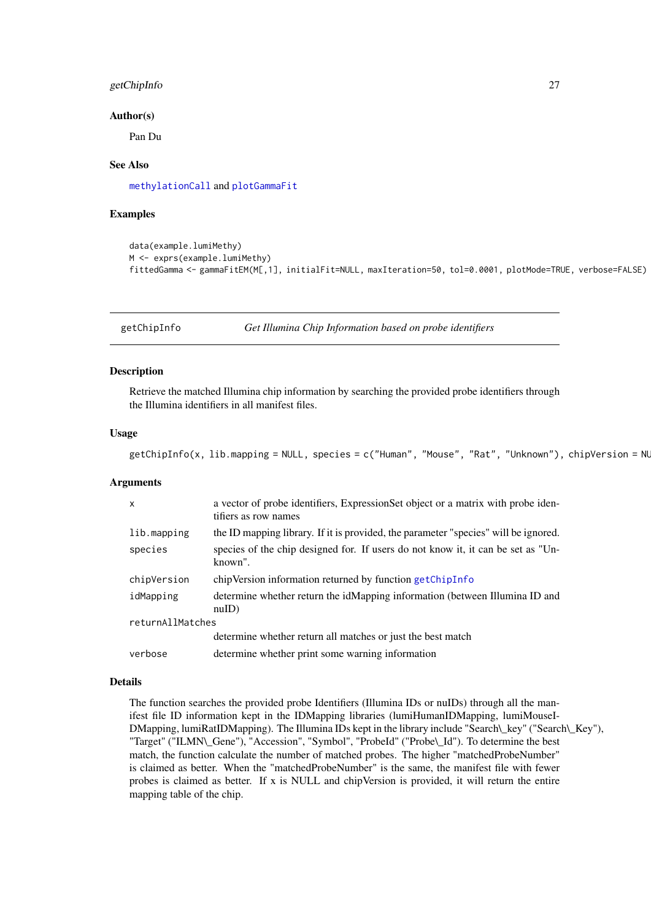#### <span id="page-26-0"></span>getChipInfo 27

#### Author(s)

Pan Du

# See Also

[methylationCall](#page-54-1) and [plotGammaFit](#page-71-1)

#### Examples

```
data(example.lumiMethy)
M <- exprs(example.lumiMethy)
fittedGamma <- gammaFitEM(M[,1], initialFit=NULL, maxIteration=50, tol=0.0001, plotMode=TRUE, verbose=FALSE)
```
<span id="page-26-1"></span>

getChipInfo *Get Illumina Chip Information based on probe identifiers*

#### Description

Retrieve the matched Illumina chip information by searching the provided probe identifiers through the Illumina identifiers in all manifest files.

#### Usage

```
getChipInfo(x, lib.mapping = NULL, species = c("Human", "Mouse", "Rat", "Unknown"), chipVersion = NL
```
#### Arguments

| X                | a vector of probe identifiers, ExpressionSet object or a matrix with probe iden-<br>tifiers as row names |  |
|------------------|----------------------------------------------------------------------------------------------------------|--|
| lib.mapping      | the ID mapping library. If it is provided, the parameter "species" will be ignored.                      |  |
| species          | species of the chip designed for. If users do not know it, it can be set as "Un-<br>known".              |  |
| chipVersion      | chipVersion information returned by function getChipInfo                                                 |  |
| idMapping        | determine whether return the idMapping information (between Illumina ID and<br>nullD)                    |  |
| returnAllMatches |                                                                                                          |  |
|                  | determine whether return all matches or just the best match                                              |  |
| verbose          | determine whether print some warning information                                                         |  |

#### Details

The function searches the provided probe Identifiers (Illumina IDs or nuIDs) through all the manifest file ID information kept in the IDMapping libraries (lumiHumanIDMapping, lumiMouseI-DMapping, lumiRatIDMapping). The Illumina IDs kept in the library include "Search\\_key" ("Search\\_Key"), "Target" ("ILMN\\_Gene"), "Accession", "Symbol", "ProbeId" ("Probe\\_Id"). To determine the best match, the function calculate the number of matched probes. The higher "matchedProbeNumber" is claimed as better. When the "matchedProbeNumber" is the same, the manifest file with fewer probes is claimed as better. If x is NULL and chipVersion is provided, it will return the entire mapping table of the chip.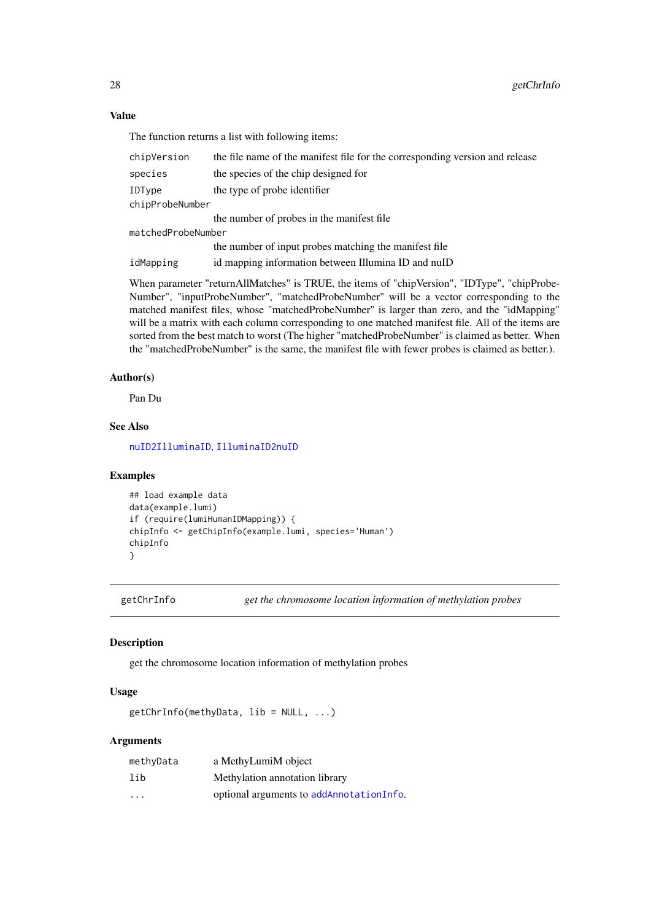#### Value

The function returns a list with following items:

| chipVersion        | the file name of the manifest file for the corresponding version and release |  |
|--------------------|------------------------------------------------------------------------------|--|
| species            | the species of the chip designed for                                         |  |
| IDType             | the type of probe identifier                                                 |  |
| chipProbeNumber    |                                                                              |  |
|                    | the number of probes in the manifest file                                    |  |
| matchedProbeNumber |                                                                              |  |
|                    | the number of input probes matching the manifest file                        |  |
| idMapping          | id mapping information between Illumina ID and nuID                          |  |

When parameter "returnAllMatches" is TRUE, the items of "chipVersion", "IDType", "chipProbe-Number", "inputProbeNumber", "matchedProbeNumber" will be a vector corresponding to the matched manifest files, whose "matchedProbeNumber" is larger than zero, and the "idMapping" will be a matrix with each column corresponding to one matched manifest file. All of the items are sorted from the best match to worst (The higher "matchedProbeNumber" is claimed as better. When the "matchedProbeNumber" is the same, the manifest file with fewer probes is claimed as better.).

# Author(s)

Pan Du

# See Also

[nuID2IlluminaID](#page-60-1), [IlluminaID2nuID](#page-33-1)

#### Examples

```
## load example data
data(example.lumi)
if (require(lumiHumanIDMapping)) {
chipInfo <- getChipInfo(example.lumi, species='Human')
chipInfo
}
```
getChrInfo *get the chromosome location information of methylation probes*

# Description

get the chromosome location information of methylation probes

# Usage

getChrInfo(methyData, lib = NULL, ...)

# Arguments

| methyData               | a MethyLumiM object                      |
|-------------------------|------------------------------------------|
| lib                     | Methylation annotation library           |
| $\cdot$ $\cdot$ $\cdot$ | optional arguments to addAnnotationInfo. |

<span id="page-27-0"></span>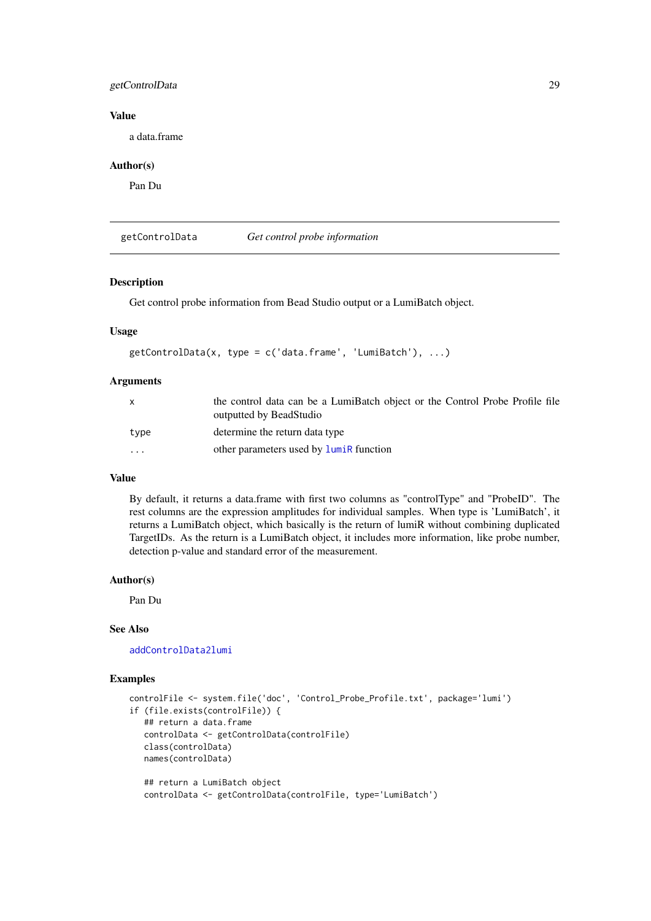#### <span id="page-28-0"></span>getControlData 29

#### Value

a data.frame

#### Author(s)

Pan Du

<span id="page-28-1"></span>getControlData *Get control probe information*

# Description

Get control probe information from Bead Studio output or a LumiBatch object.

# Usage

```
getControlData(x, type = c('data.frame', 'LumiBatch'), ...)
```
# Arguments

| X        | the control data can be a LumiBatch object or the Control Probe Profile file<br>outputted by BeadStudio |
|----------|---------------------------------------------------------------------------------------------------------|
| type     | determine the return data type                                                                          |
| $\cdots$ | other parameters used by <b>luminal</b> function                                                        |

# Value

By default, it returns a data.frame with first two columns as "controlType" and "ProbeID". The rest columns are the expression amplitudes for individual samples. When type is 'LumiBatch', it returns a LumiBatch object, which basically is the return of lumiR without combining duplicated TargetIDs. As the return is a LumiBatch object, it includes more information, like probe number, detection p-value and standard error of the measurement.

#### Author(s)

Pan Du

# See Also

[addControlData2lumi](#page-4-1)

# Examples

```
controlFile <- system.file('doc', 'Control_Probe_Profile.txt', package='lumi')
if (file.exists(controlFile)) {
   ## return a data.frame
   controlData <- getControlData(controlFile)
   class(controlData)
   names(controlData)
   ## return a LumiBatch object
   controlData <- getControlData(controlFile, type='LumiBatch')
```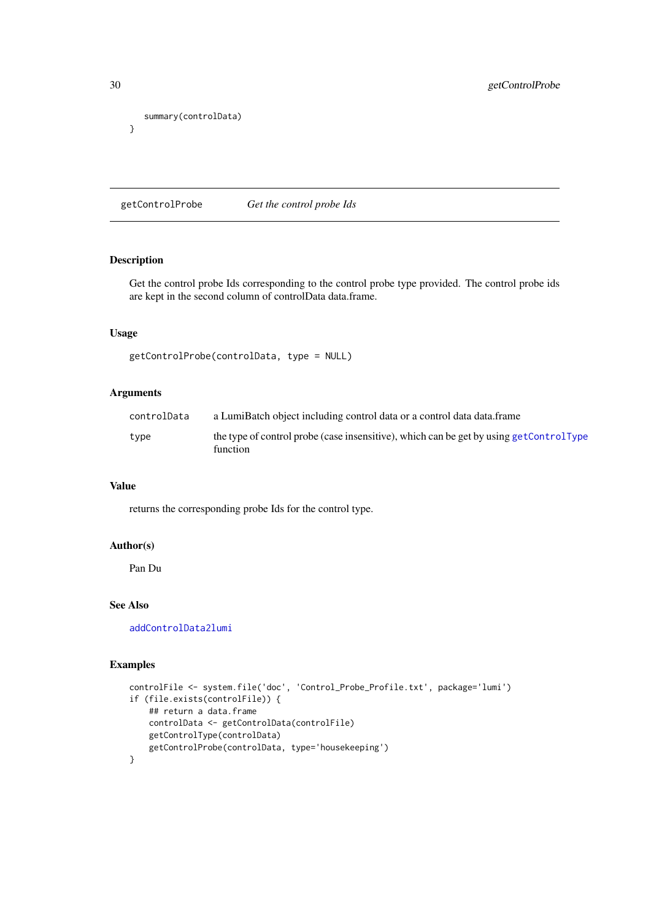```
summary(controlData)
}
```
getControlProbe *Get the control probe Ids*

# Description

Get the control probe Ids corresponding to the control probe type provided. The control probe ids are kept in the second column of controlData data.frame.

# Usage

```
getControlProbe(controlData, type = NULL)
```
# Arguments

| controlData | a LumiBatch object including control data or a control data data.frame                             |
|-------------|----------------------------------------------------------------------------------------------------|
| type        | the type of control probe (case insensitive), which can be get by using getControlType<br>function |

# Value

returns the corresponding probe Ids for the control type.

# Author(s)

Pan Du

# See Also

[addControlData2lumi](#page-4-1)

# Examples

```
controlFile <- system.file('doc', 'Control_Probe_Profile.txt', package='lumi')
if (file.exists(controlFile)) {
    ## return a data.frame
   controlData <- getControlData(controlFile)
    getControlType(controlData)
   getControlProbe(controlData, type='housekeeping')
}
```
<span id="page-29-0"></span>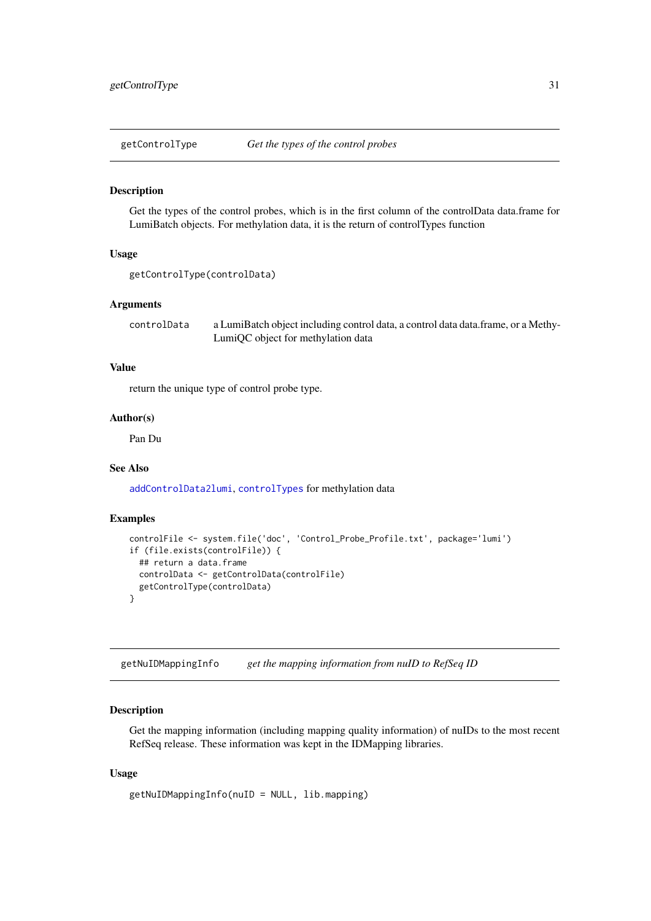<span id="page-30-1"></span><span id="page-30-0"></span>getControlType *Get the types of the control probes*

#### Description

Get the types of the control probes, which is in the first column of the controlData data.frame for LumiBatch objects. For methylation data, it is the return of controlTypes function

# Usage

```
getControlType(controlData)
```
# Arguments

controlData a LumiBatch object including control data, a control data data.frame, or a Methy-LumiQC object for methylation data

# Value

return the unique type of control probe type.

# Author(s)

Pan Du

# See Also

[addControlData2lumi](#page-4-1), [controlTypes](#page-0-0) for methylation data

#### Examples

```
controlFile <- system.file('doc', 'Control_Probe_Profile.txt', package='lumi')
if (file.exists(controlFile)) {
  ## return a data.frame
 controlData <- getControlData(controlFile)
  getControlType(controlData)
}
```
getNuIDMappingInfo *get the mapping information from nuID to RefSeq ID*

#### Description

Get the mapping information (including mapping quality information) of nuIDs to the most recent RefSeq release. These information was kept in the IDMapping libraries.

```
getNuIDMappingInfo(nuID = NULL, lib.mapping)
```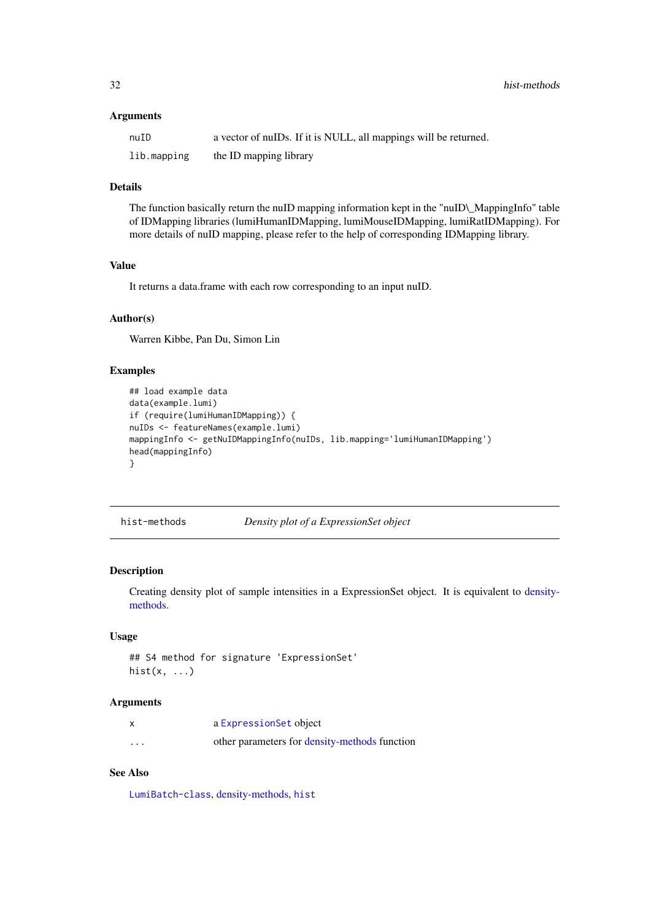# <span id="page-31-0"></span>Arguments

| nuID        | a vector of nuIDs. If it is NULL, all mappings will be returned. |
|-------------|------------------------------------------------------------------|
| lib.mapping | the ID mapping library                                           |

# Details

The function basically return the nuID mapping information kept in the "nuID\\_MappingInfo" table of IDMapping libraries (lumiHumanIDMapping, lumiMouseIDMapping, lumiRatIDMapping). For more details of nuID mapping, please refer to the help of corresponding IDMapping library.

#### Value

It returns a data.frame with each row corresponding to an input nuID.

#### Author(s)

Warren Kibbe, Pan Du, Simon Lin

### Examples

```
## load example data
data(example.lumi)
if (require(lumiHumanIDMapping)) {
nuIDs <- featureNames(example.lumi)
mappingInfo <- getNuIDMappingInfo(nuIDs, lib.mapping='lumiHumanIDMapping')
head(mappingInfo)
}
```
<span id="page-31-1"></span>hist-methods *Density plot of a ExpressionSet object*

# Description

Creating density plot of sample intensities in a ExpressionSet object. It is equivalent to [density](#page-15-1)[methods.](#page-15-1)

#### Usage

```
## S4 method for signature 'ExpressionSet'
hist(x, \ldots)
```
# Arguments

|          | a ExpressionSet object                        |
|----------|-----------------------------------------------|
| $\cdots$ | other parameters for density-methods function |

# See Also

[LumiBatch-class](#page-38-1), [density-methods,](#page-15-1) [hist](#page-0-0)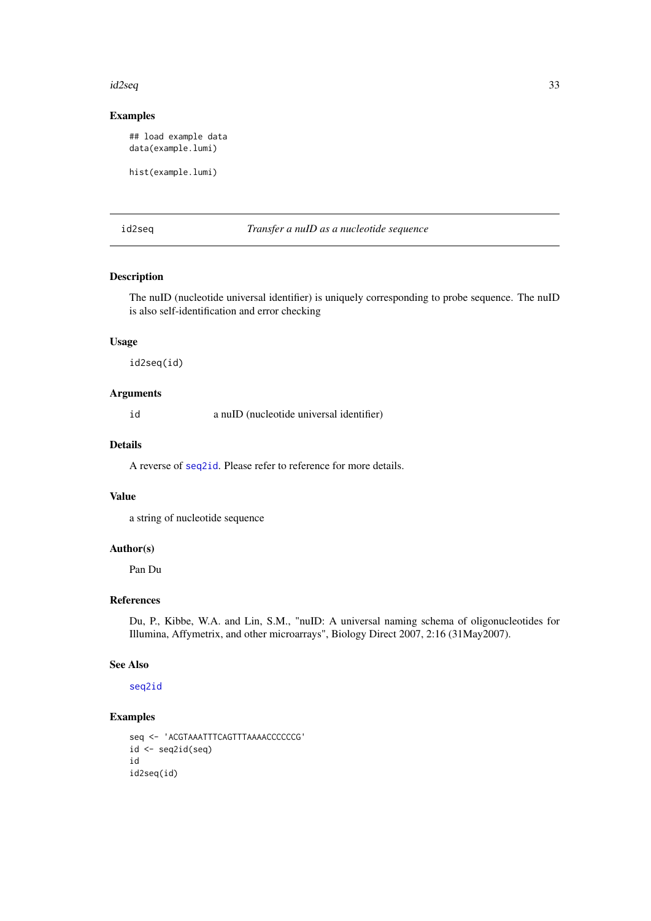#### <span id="page-32-0"></span>id2seq 33

# Examples

## load example data data(example.lumi)

hist(example.lumi)

id2seq *Transfer a nuID as a nucleotide sequence*

# Description

The nuID (nucleotide universal identifier) is uniquely corresponding to probe sequence. The nuID is also self-identification and error checking

# Usage

id2seq(id)

# Arguments

id a nuID (nucleotide universal identifier)

#### Details

A reverse of [seq2id](#page-83-1). Please refer to reference for more details.

#### Value

a string of nucleotide sequence

# Author(s)

Pan Du

# References

Du, P., Kibbe, W.A. and Lin, S.M., "nuID: A universal naming schema of oligonucleotides for Illumina, Affymetrix, and other microarrays", Biology Direct 2007, 2:16 (31May2007).

# See Also

[seq2id](#page-83-1)

# Examples

```
seq <- 'ACGTAAATTTCAGTTTAAAACCCCCCG'
id \leftarrow seq2id(seq)id
id2seq(id)
```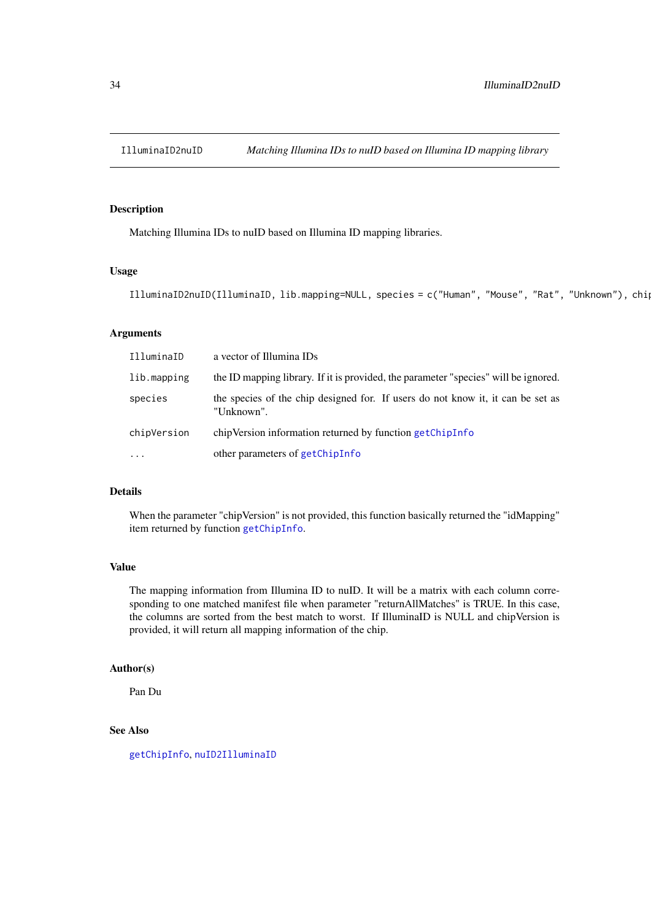<span id="page-33-1"></span><span id="page-33-0"></span>

# Description

Matching Illumina IDs to nuID based on Illumina ID mapping libraries.

# Usage

IlluminaID2nuID(IlluminaID, lib.mapping=NULL, species = c("Human", "Mouse", "Rat", "Unknown"), chi

# Arguments

| IlluminaID  | a vector of Illumina IDs                                                                      |
|-------------|-----------------------------------------------------------------------------------------------|
| lib.mapping | the ID mapping library. If it is provided, the parameter "species" will be ignored.           |
| species     | the species of the chip designed for. If users do not know it, it can be set as<br>"Unknown". |
| chipVersion | chipVersion information returned by function getChipInfo                                      |
| $\ddots$ .  | other parameters of getChipInfo                                                               |

#### Details

When the parameter "chipVersion" is not provided, this function basically returned the "idMapping" item returned by function [getChipInfo](#page-26-1).

# Value

The mapping information from Illumina ID to nuID. It will be a matrix with each column corresponding to one matched manifest file when parameter "returnAllMatches" is TRUE. In this case, the columns are sorted from the best match to worst. If IlluminaID is NULL and chipVersion is provided, it will return all mapping information of the chip.

#### Author(s)

Pan Du

#### See Also

[getChipInfo](#page-26-1), [nuID2IlluminaID](#page-60-1)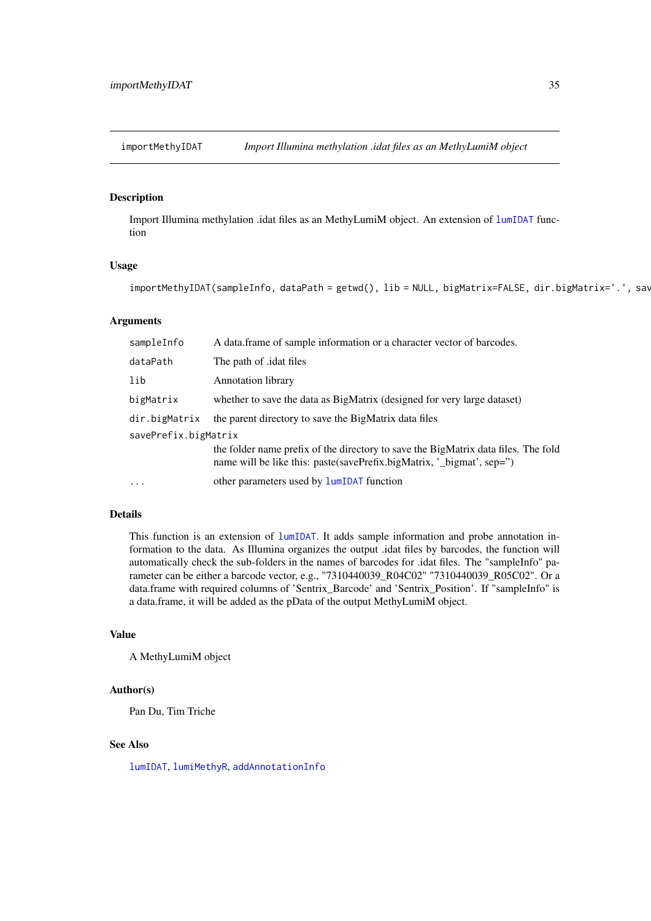<span id="page-34-0"></span>importMethyIDAT *Import Illumina methylation .idat files as an MethyLumiM object*

#### Description

Import Illumina methylation .idat files as an MethyLumiM object. An extension of [lumIDAT](#page-0-0) function

#### Usage

importMethyIDAT(sampleInfo, dataPath = getwd(), lib = NULL, bigMatrix=FALSE, dir.bigMatrix='.', sav

#### Arguments

| sampleInfo           | A data frame of sample information or a character vector of barcodes.                                                                                       |
|----------------------|-------------------------------------------------------------------------------------------------------------------------------------------------------------|
| dataPath             | The path of <i>dat</i> files                                                                                                                                |
| lib                  | <b>Annotation library</b>                                                                                                                                   |
| bigMatrix            | whether to save the data as BigMatrix (designed for very large dataset)                                                                                     |
| dir.bigMatrix        | the parent directory to save the BigMatrix data files                                                                                                       |
| savePrefix.bigMatrix |                                                                                                                                                             |
|                      | the folder name prefix of the directory to save the BigMatrix data files. The fold<br>name will be like this: paste(savePrefix.bigMatrix, '_bigmat', sep=") |
| $\cdots$             | other parameters used by <b>lumIDAT</b> function                                                                                                            |

#### Details

This function is an extension of [lumIDAT](#page-0-0). It adds sample information and probe annotation information to the data. As Illumina organizes the output .idat files by barcodes, the function will automatically check the sub-folders in the names of barcodes for .idat files. The "sampleInfo" parameter can be either a barcode vector, e.g., "7310440039\_R04C02" "7310440039\_R05C02". Or a data.frame with required columns of 'Sentrix\_Barcode' and 'Sentrix\_Position'. If "sampleInfo" is a data.frame, it will be added as the pData of the output MethyLumiM object.

#### Value

A MethyLumiM object

#### Author(s)

Pan Du, Tim Triche

#### See Also

[lumIDAT](#page-0-0), [lumiMethyR](#page-44-1), [addAnnotationInfo](#page-3-1)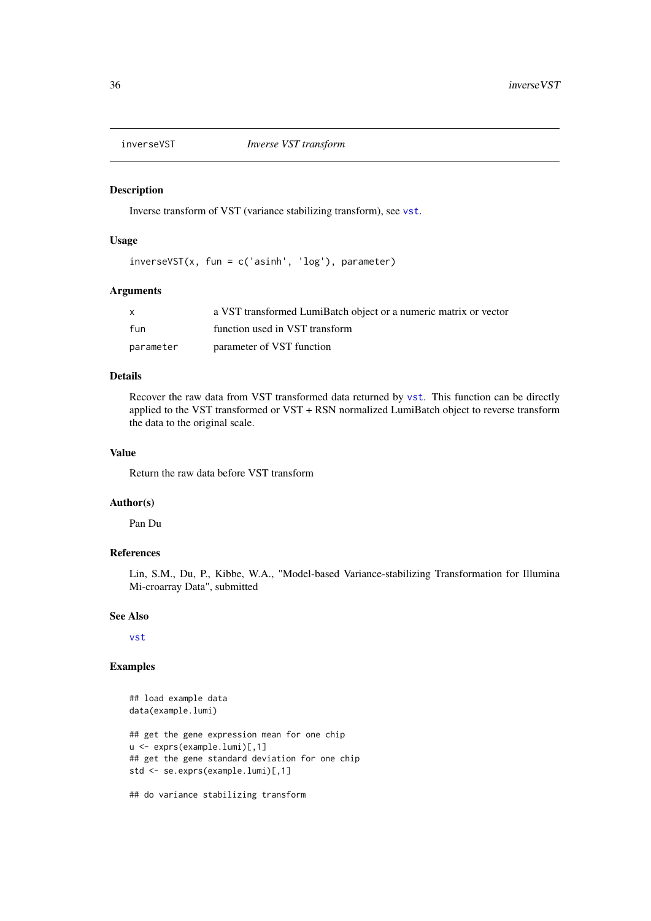<span id="page-35-0"></span>

# Description

Inverse transform of VST (variance stabilizing transform), see [vst](#page-87-1).

#### Usage

```
inverseVST(x, fun = c('asinh', 'log'), parameter)
```
#### Arguments

| X         | a VST transformed LumiBatch object or a numeric matrix or vector |
|-----------|------------------------------------------------------------------|
| fun       | function used in VST transform                                   |
| parameter | parameter of VST function                                        |

# Details

Recover the raw data from VST transformed data returned by [vst](#page-87-1). This function can be directly applied to the VST transformed or VST + RSN normalized LumiBatch object to reverse transform the data to the original scale.

# Value

Return the raw data before VST transform

#### Author(s)

Pan Du

# References

Lin, S.M., Du, P., Kibbe, W.A., "Model-based Variance-stabilizing Transformation for Illumina Mi-croarray Data", submitted

#### See Also

[vst](#page-87-1)

# Examples

```
## load example data
data(example.lumi)
## get the gene expression mean for one chip
u <- exprs(example.lumi)[,1]
## get the gene standard deviation for one chip
std <- se.exprs(example.lumi)[,1]
## do variance stabilizing transform
```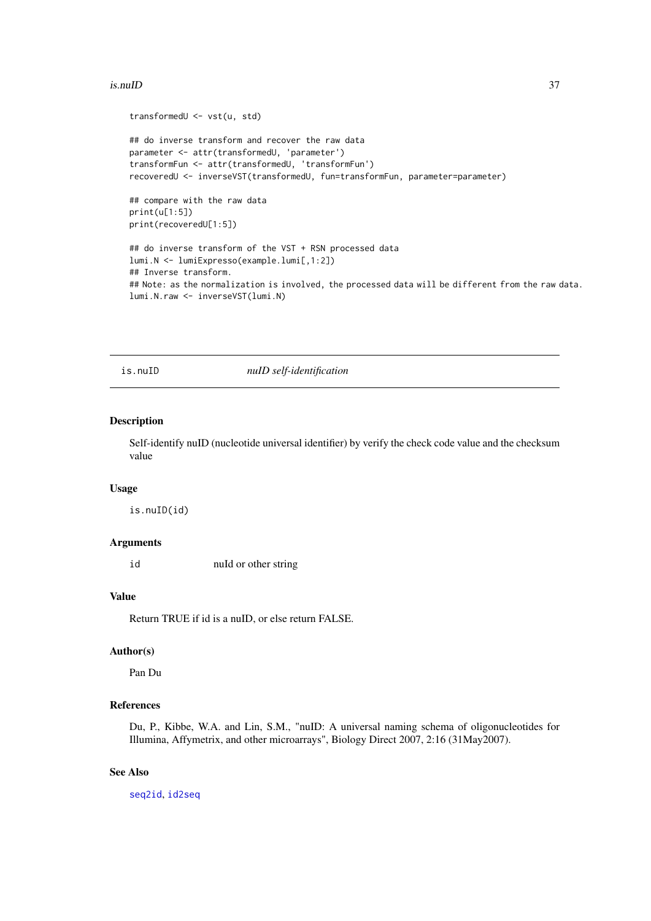#### is.nuID 37

```
transformedU <- vst(u, std)
## do inverse transform and recover the raw data
parameter <- attr(transformedU, 'parameter')
transformFun <- attr(transformedU, 'transformFun')
recoveredU <- inverseVST(transformedU, fun=transformFun, parameter=parameter)
## compare with the raw data
print(u[1:5])
print(recoveredU[1:5])
## do inverse transform of the VST + RSN processed data
lumi.N <- lumiExpresso(example.lumi[,1:2])
## Inverse transform.
## Note: as the normalization is involved, the processed data will be different from the raw data.
lumi.N.raw <- inverseVST(lumi.N)
```
is.nuID *nuID self-identification*

#### Description

Self-identify nuID (nucleotide universal identifier) by verify the check code value and the checksum value

### Usage

is.nuID(id)

#### Arguments

id nuId or other string

# Value

Return TRUE if id is a nuID, or else return FALSE.

# Author(s)

Pan Du

#### References

Du, P., Kibbe, W.A. and Lin, S.M., "nuID: A universal naming schema of oligonucleotides for Illumina, Affymetrix, and other microarrays", Biology Direct 2007, 2:16 (31May2007).

# See Also

[seq2id](#page-83-0), [id2seq](#page-32-0)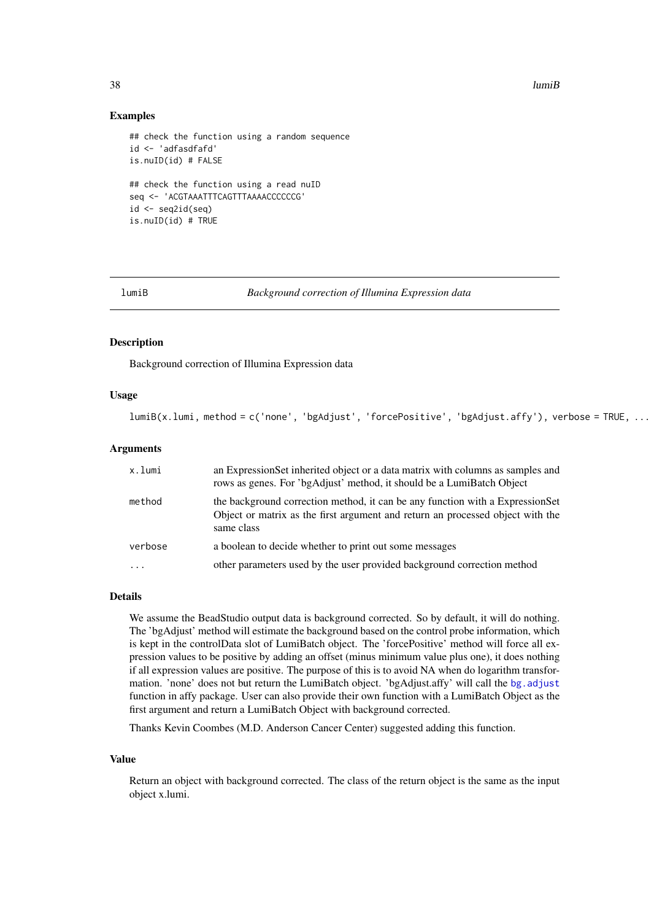38 lumiB

#### Examples

```
## check the function using a random sequence
id <- 'adfasdfafd'
is.nuID(id) # FALSE
## check the function using a read nuID
seq <- 'ACGTAAATTTCAGTTTAAAACCCCCCG'
id \leftarrow seq2id(seq)is.nuID(id) # TRUE
```
<span id="page-37-0"></span>lumiB *Background correction of Illumina Expression data*

#### Description

Background correction of Illumina Expression data

#### Usage

lumiB(x.lumi, method = c('none', 'bgAdjust', 'forcePositive', 'bgAdjust.affy'), verbose = TRUE, ...)

# Arguments

| x.lumi                  | an ExpressionSet inherited object or a data matrix with columns as samples and<br>rows as genes. For 'bgAdjust' method, it should be a LumiBatch Object                       |
|-------------------------|-------------------------------------------------------------------------------------------------------------------------------------------------------------------------------|
| method                  | the background correction method, it can be any function with a ExpressionSet<br>Object or matrix as the first argument and return an processed object with the<br>same class |
| verbose                 | a boolean to decide whether to print out some messages                                                                                                                        |
| $\cdot$ $\cdot$ $\cdot$ | other parameters used by the user provided background correction method                                                                                                       |

### Details

We assume the BeadStudio output data is background corrected. So by default, it will do nothing. The 'bgAdjust' method will estimate the background based on the control probe information, which is kept in the controlData slot of LumiBatch object. The 'forcePositive' method will force all expression values to be positive by adding an offset (minus minimum value plus one), it does nothing if all expression values are positive. The purpose of this is to avoid NA when do logarithm transformation. 'none' does not but return the LumiBatch object. 'bgAdjust.affy' will call the [bg.adjust](#page-0-0) function in affy package. User can also provide their own function with a LumiBatch Object as the first argument and return a LumiBatch Object with background corrected.

Thanks Kevin Coombes (M.D. Anderson Cancer Center) suggested adding this function.

#### Value

Return an object with background corrected. The class of the return object is the same as the input object x.lumi.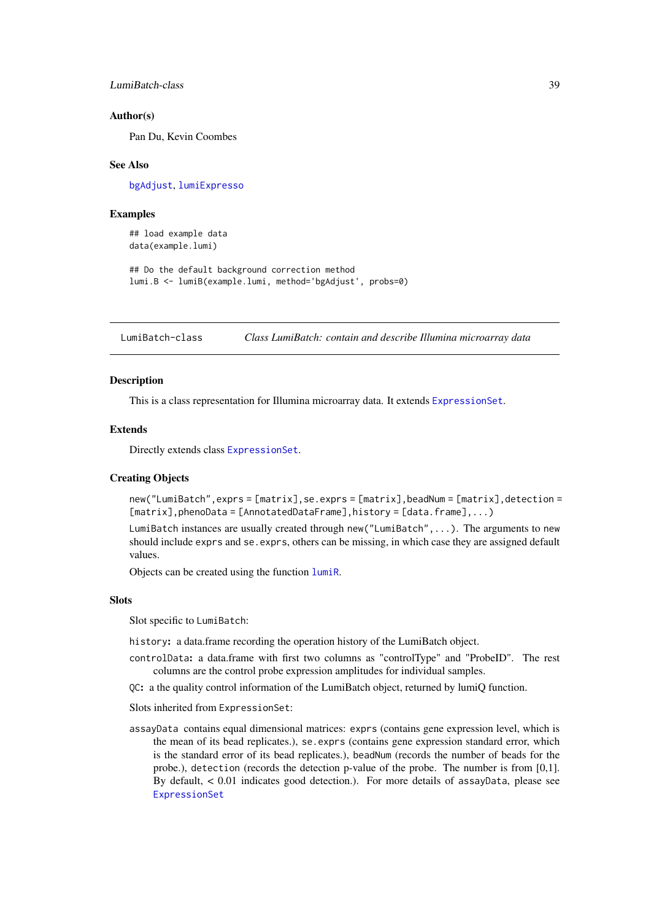LumiBatch-class 39

#### Author(s)

Pan Du, Kevin Coombes

#### See Also

[bgAdjust](#page-10-0), [lumiExpresso](#page-40-0)

#### Examples

## load example data data(example.lumi)

## Do the default background correction method lumi.B <- lumiB(example.lumi, method='bgAdjust', probs=0)

<span id="page-38-1"></span>LumiBatch-class *Class LumiBatch: contain and describe Illumina microarray data*

#### <span id="page-38-0"></span>Description

This is a class representation for Illumina microarray data. It extends [ExpressionSet](#page-0-0).

#### Extends

Directly extends class [ExpressionSet](#page-0-0).

#### Creating Objects

new("LumiBatch",exprs = [matrix],se.exprs = [matrix],beadNum = [matrix],detection =  $[matrix]$ ,phenoData =  $[AnnotatedDataFrame]$ ,history =  $[data-frame]$ ,...)

LumiBatch instances are usually created through new("LumiBatch",...). The arguments to new should include exprs and se.exprs, others can be missing, in which case they are assigned default values.

Objects can be created using the function [lumiR](#page-48-0).

### Slots

Slot specific to LumiBatch:

history: a data.frame recording the operation history of the LumiBatch object.

- controlData: a data.frame with first two columns as "controlType" and "ProbeID". The rest columns are the control probe expression amplitudes for individual samples.
- QC: a the quality control information of the LumiBatch object, returned by lumiQ function.

Slots inherited from ExpressionSet:

assayData contains equal dimensional matrices: exprs (contains gene expression level, which is the mean of its bead replicates.), se.exprs (contains gene expression standard error, which is the standard error of its bead replicates.), beadNum (records the number of beads for the probe.), detection (records the detection p-value of the probe. The number is from [0,1]. By default, < 0.01 indicates good detection.). For more details of assayData, please see [ExpressionSet](#page-0-0)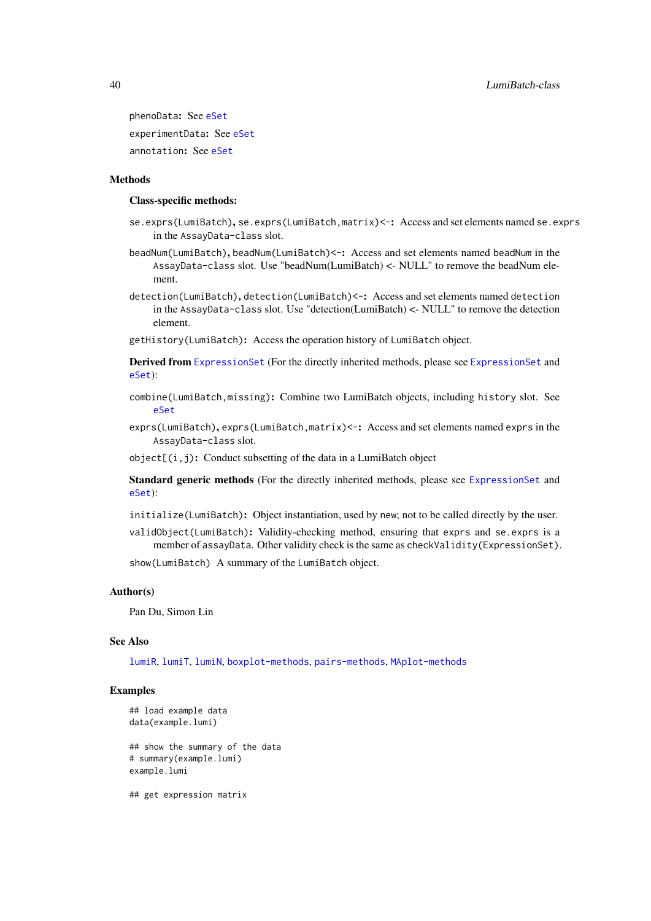phenoData: See [eSet](#page-0-0) experimentData: See [eSet](#page-0-0) annotation: See [eSet](#page-0-0)

### **Methods**

### Class-specific methods:

- se.exprs(LumiBatch), se.exprs(LumiBatch,matrix) <-: Access and set elements named se.exprs in the AssayData-class slot.
- beadNum(LumiBatch), beadNum(LumiBatch) <-: Access and set elements named beadNum in the AssayData-class slot. Use "beadNum(LumiBatch) <- NULL" to remove the beadNum element.
- detection(LumiBatch), detection(LumiBatch) <-: Access and set elements named detection in the AssayData-class slot. Use "detection(LumiBatch) <- NULL" to remove the detection element.

getHistory(LumiBatch): Access the operation history of LumiBatch object.

Derived from [ExpressionSet](#page-0-0) (For the directly inherited methods, please see [ExpressionSet](#page-0-0) and [eSet](#page-0-0)):

- combine(LumiBatch,missing): Combine two LumiBatch objects, including history slot. See [eSet](#page-0-0)
- exprs(LumiBatch), exprs(LumiBatch, matrix) <-: Access and set elements named exprs in the AssayData-class slot.

 $object[(i,j): Conduct$  subsetting of the data in a LumiBatch object

Standard generic methods (For the directly inherited methods, please see [ExpressionSet](#page-0-0) and [eSet](#page-0-0)):

- initialize(LumiBatch): Object instantiation, used by new; not to be called directly by the user.
- validObject(LumiBatch): Validity-checking method, ensuring that exprs and se.exprs is a member of assayData. Other validity check is the same as checkValidity(ExpressionSet).

show(LumiBatch) A summary of the LumiBatch object.

#### Author(s)

Pan Du, Simon Lin

#### See Also

[lumiR](#page-48-0), [lumiT](#page-51-0), [lumiN](#page-46-0), [boxplot-methods](#page-13-0), [pairs-methods](#page-64-0), [MAplot-methods](#page-53-0)

### Examples

```
## load example data
data(example.lumi)
```
## show the summary of the data # summary(example.lumi) example.lumi

## get expression matrix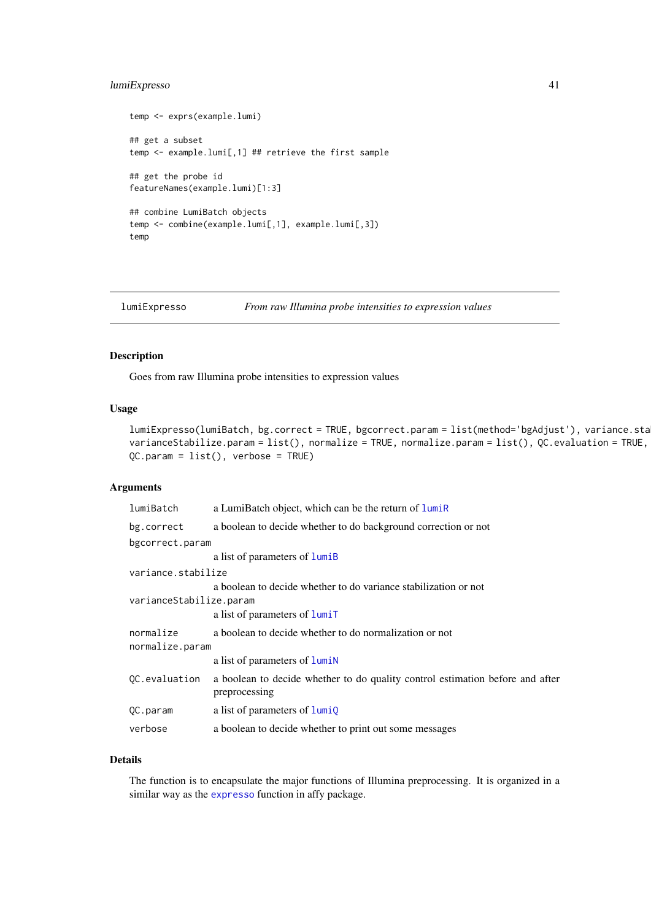#### lumiExpresso 41

```
temp <- exprs(example.lumi)
## get a subset
temp <- example.lumi[,1] ## retrieve the first sample
## get the probe id
featureNames(example.lumi)[1:3]
## combine LumiBatch objects
temp <- combine(example.lumi[,1], example.lumi[,3])
temp
```
<span id="page-40-0"></span>lumiExpresso *From raw Illumina probe intensities to expression values*

### Description

Goes from raw Illumina probe intensities to expression values

### Usage

```
lumiExpresso(lumiBatch, bg.correct = TRUE, bgcorrect.param = list(method='bgAdjust'), variance.sta
varianceStabilize.param = list(), normalize = TRUE, normalize.param = list(), QC.evaluation = TRUE,
QC.param = list(), verbose = TRUE)
```
### Arguments

| lumiBatch               | a LumiBatch object, which can be the return of lumiR                                           |
|-------------------------|------------------------------------------------------------------------------------------------|
| bg.correct              | a boolean to decide whether to do background correction or not                                 |
| bgcorrect.param         |                                                                                                |
|                         | a list of parameters of lumiB                                                                  |
| variance.stabilize      |                                                                                                |
|                         | a boolean to decide whether to do variance stabilization or not                                |
| varianceStabilize.param |                                                                                                |
|                         | a list of parameters of lumiT                                                                  |
| normalize               | a boolean to decide whether to do normalization or not                                         |
| normalize.param         |                                                                                                |
|                         | a list of parameters of <b>lumin</b>                                                           |
| QC.evaluation           | a boolean to decide whether to do quality control estimation before and after<br>preprocessing |
|                         |                                                                                                |
| QC.param                | a list of parameters of $lumiQ$                                                                |
| verbose                 | a boolean to decide whether to print out some messages                                         |

# Details

The function is to encapsulate the major functions of Illumina preprocessing. It is organized in a similar way as the [expresso](#page-0-0) function in affy package.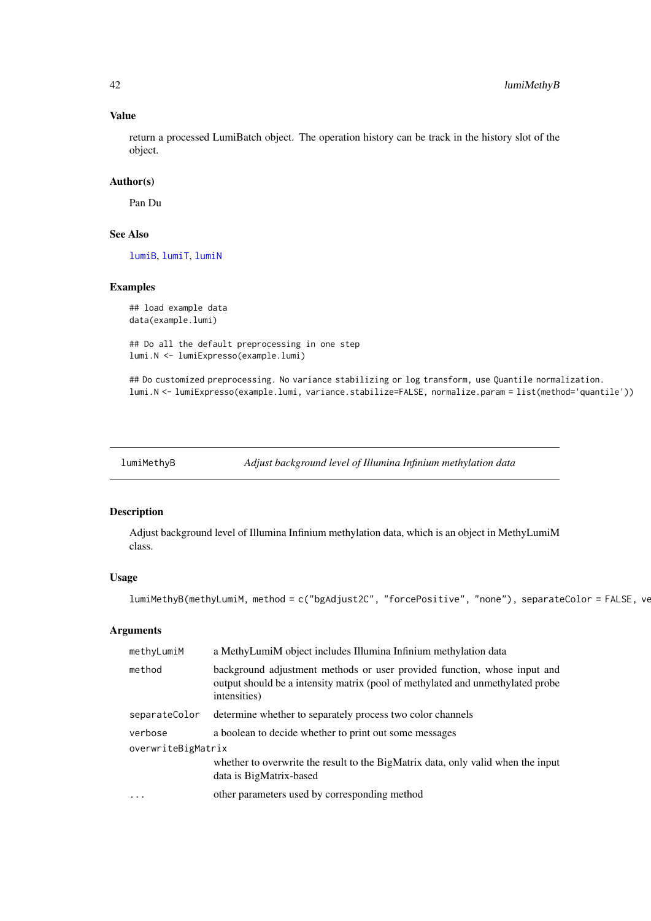# Value

return a processed LumiBatch object. The operation history can be track in the history slot of the object.

# Author(s)

Pan Du

# See Also

[lumiB](#page-37-0), [lumiT](#page-51-0), [lumiN](#page-46-0)

### Examples

## load example data data(example.lumi)

## Do all the default preprocessing in one step lumi.N <- lumiExpresso(example.lumi)

## Do customized preprocessing. No variance stabilizing or log transform, use Quantile normalization. lumi.N <- lumiExpresso(example.lumi, variance.stabilize=FALSE, normalize.param = list(method='quantile'))

lumiMethyB *Adjust background level of Illumina Infinium methylation data*

### Description

Adjust background level of Illumina Infinium methylation data, which is an object in MethyLumiM class.

### Usage

lumiMethyB(methyLumiM, method = c("bgAdjust2C", "forcePositive", "none"), separateColor = FALSE, ve

# Arguments

| background adjustment methods or user provided function, whose input and<br>method<br>output should be a intensity matrix (pool of methylated and unmethylated probe<br>intensities)<br>determine whether to separately process two color channels<br>separateColor<br>a boolean to decide whether to print out some messages<br>verbose<br>overwriteBigMatrix<br>whether to overwrite the result to the BigMatrix data, only valid when the input<br>data is BigMatrix-based<br>other parameters used by corresponding method<br>$\cdot$ | methyLumiM | a MethyLumiM object includes Illumina Infinium methylation data |  |
|-------------------------------------------------------------------------------------------------------------------------------------------------------------------------------------------------------------------------------------------------------------------------------------------------------------------------------------------------------------------------------------------------------------------------------------------------------------------------------------------------------------------------------------------|------------|-----------------------------------------------------------------|--|
|                                                                                                                                                                                                                                                                                                                                                                                                                                                                                                                                           |            |                                                                 |  |
|                                                                                                                                                                                                                                                                                                                                                                                                                                                                                                                                           |            |                                                                 |  |
|                                                                                                                                                                                                                                                                                                                                                                                                                                                                                                                                           |            |                                                                 |  |
|                                                                                                                                                                                                                                                                                                                                                                                                                                                                                                                                           |            |                                                                 |  |
|                                                                                                                                                                                                                                                                                                                                                                                                                                                                                                                                           |            |                                                                 |  |
|                                                                                                                                                                                                                                                                                                                                                                                                                                                                                                                                           |            |                                                                 |  |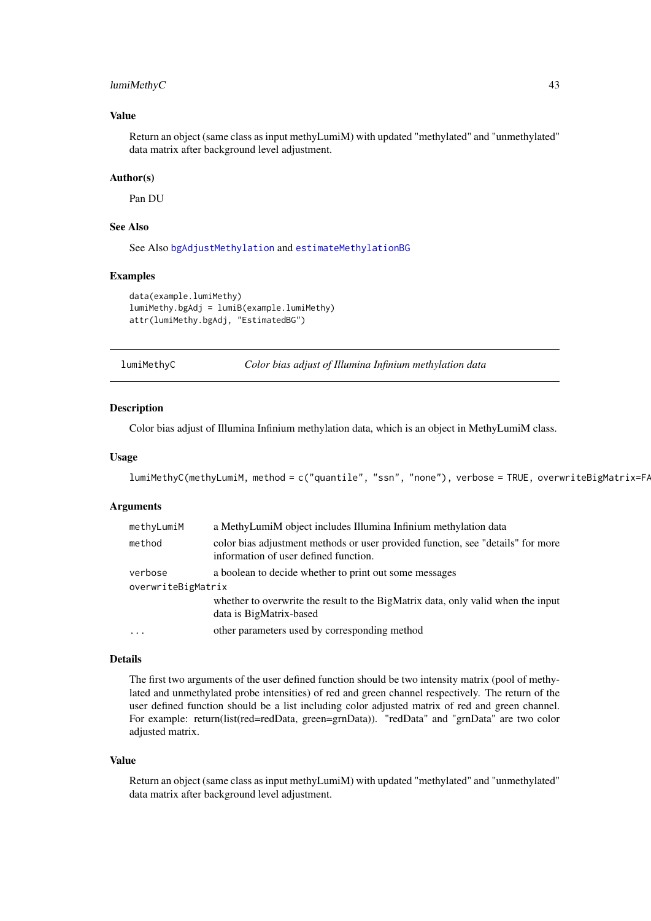#### lumiMethyC 43

#### Value

Return an object (same class as input methyLumiM) with updated "methylated" and "unmethylated" data matrix after background level adjustment.

# Author(s)

Pan DU

### See Also

See Also [bgAdjustMethylation](#page-11-0) and [estimateMethylationBG](#page-22-0)

#### Examples

```
data(example.lumiMethy)
lumiMethy.bgAdj = lumiB(example.lumiMethy)
attr(lumiMethy.bgAdj, "EstimatedBG")
```
lumiMethyC *Color bias adjust of Illumina Infinium methylation data*

#### Description

Color bias adjust of Illumina Infinium methylation data, which is an object in MethyLumiM class.

#### Usage

```
lumiMethyC(methyLumiM, method = c("quantile", "ssn", "none"), verbose = TRUE, overwriteBigMatrix=FA
```
#### Arguments

| methyLumiM         | a MethyLumiM object includes Illumina Infinium methylation data                                                          |  |
|--------------------|--------------------------------------------------------------------------------------------------------------------------|--|
| method             | color bias adjustment methods or user provided function, see "details" for more<br>information of user defined function. |  |
| verbose            | a boolean to decide whether to print out some messages                                                                   |  |
| overwriteBigMatrix |                                                                                                                          |  |
|                    | whether to overwrite the result to the BigMatrix data, only valid when the input<br>data is BigMatrix-based              |  |
|                    | other parameters used by corresponding method                                                                            |  |

#### Details

The first two arguments of the user defined function should be two intensity matrix (pool of methylated and unmethylated probe intensities) of red and green channel respectively. The return of the user defined function should be a list including color adjusted matrix of red and green channel. For example: return(list(red=redData, green=grnData)). "redData" and "grnData" are two color adjusted matrix.

### Value

Return an object (same class as input methyLumiM) with updated "methylated" and "unmethylated" data matrix after background level adjustment.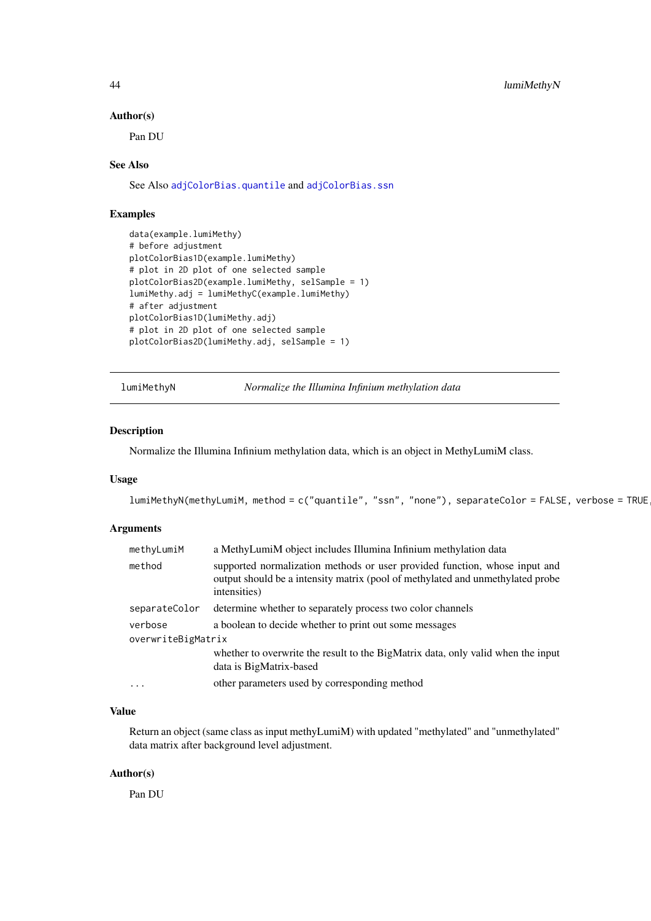#### 44 lumiMethyN

### Author(s)

Pan DU

### See Also

See Also [adjColorBias.quantile](#page-7-0) and [adjColorBias.ssn](#page-8-0)

#### Examples

```
data(example.lumiMethy)
# before adjustment
plotColorBias1D(example.lumiMethy)
# plot in 2D plot of one selected sample
plotColorBias2D(example.lumiMethy, selSample = 1)
lumiMethy.adj = lumiMethyC(example.lumiMethy)
# after adjustment
plotColorBias1D(lumiMethy.adj)
# plot in 2D plot of one selected sample
plotColorBias2D(lumiMethy.adj, selSample = 1)
```
<span id="page-43-0"></span>lumiMethyN *Normalize the Illumina Infinium methylation data*

# Description

Normalize the Illumina Infinium methylation data, which is an object in MethyLumiM class.

### Usage

lumiMethyN(methyLumiM, method = c("quantile", "ssn", "none"), separateColor = FALSE, verbose = TRUE

### Arguments

| methyLumiM         | a MethyLumiM object includes Illumina Infinium methylation data                                                                                                              |
|--------------------|------------------------------------------------------------------------------------------------------------------------------------------------------------------------------|
| method             | supported normalization methods or user provided function, whose input and<br>output should be a intensity matrix (pool of methylated and unmethylated probe<br>intensities) |
| separateColor      | determine whether to separately process two color channels                                                                                                                   |
| verbose            | a boolean to decide whether to print out some messages                                                                                                                       |
| overwriteBigMatrix |                                                                                                                                                                              |
|                    | whether to overwrite the result to the BigMatrix data, only valid when the input<br>data is BigMatrix-based                                                                  |
| $\ddots$ .         | other parameters used by corresponding method                                                                                                                                |

#### Value

Return an object (same class as input methyLumiM) with updated "methylated" and "unmethylated" data matrix after background level adjustment.

### Author(s)

Pan DU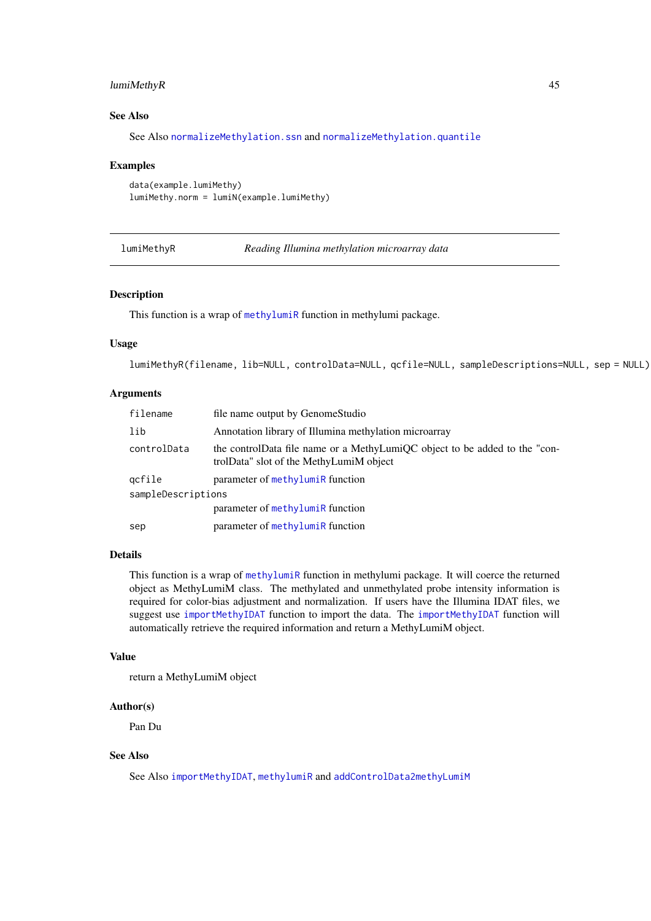#### lumiMethyR 45

#### See Also

See Also [normalizeMethylation.ssn](#page-58-0) and [normalizeMethylation.quantile](#page-57-0)

#### Examples

```
data(example.lumiMethy)
lumiMethy.norm = lumiN(example.lumiMethy)
```
lumiMethyR *Reading Illumina methylation microarray data*

#### Description

This function is a wrap of [methylumiR](#page-0-0) function in methylumi package.

### Usage

lumiMethyR(filename, lib=NULL, controlData=NULL, qcfile=NULL, sampleDescriptions=NULL, sep = NULL)

### Arguments

| filename           | file name output by Genome Studio                                                                                     |  |
|--------------------|-----------------------------------------------------------------------------------------------------------------------|--|
| lib                | Annotation library of Illumina methylation microarray                                                                 |  |
| controlData        | the controlData file name or a MethyLumiQC object to be added to the "con-<br>trolData" slot of the MethyLumiM object |  |
| gcfile             | parameter of methyluming function                                                                                     |  |
| sampleDescriptions |                                                                                                                       |  |
|                    | parameter of methyluming function                                                                                     |  |
| sep                | parameter of methylumiR function                                                                                      |  |

#### Details

This function is a wrap of [methylumiR](#page-0-0) function in methylumi package. It will coerce the returned object as MethyLumiM class. The methylated and unmethylated probe intensity information is required for color-bias adjustment and normalization. If users have the Illumina IDAT files, we suggest use [importMethyIDAT](#page-34-0) function to import the data. The [importMethyIDAT](#page-34-0) function will automatically retrieve the required information and return a MethyLumiM object.

#### Value

return a MethyLumiM object

#### Author(s)

Pan Du

### See Also

See Also [importMethyIDAT](#page-34-0), [methylumiR](#page-0-0) and [addControlData2methyLumiM](#page-5-0)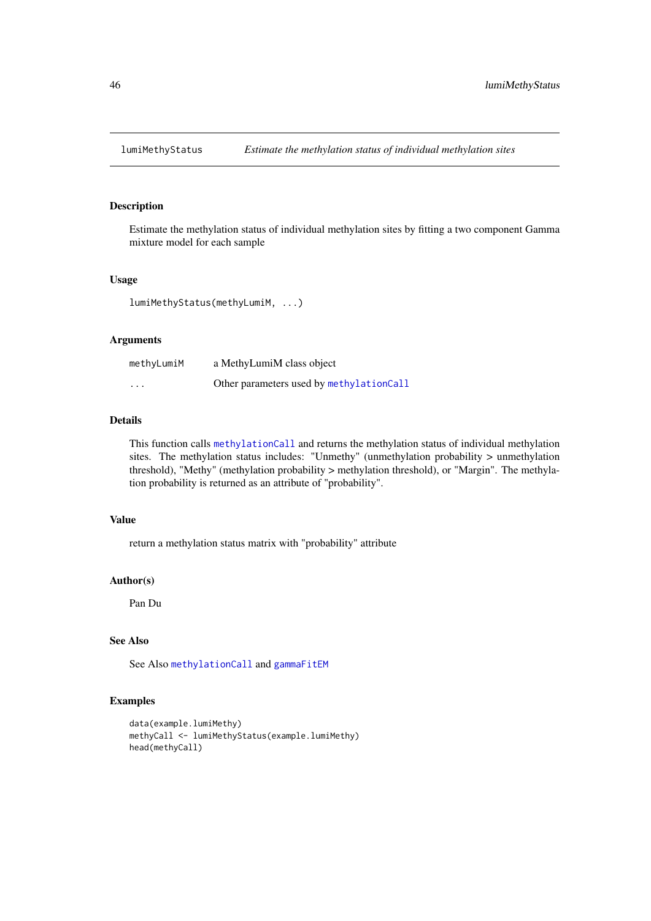Estimate the methylation status of individual methylation sites by fitting a two component Gamma mixture model for each sample

#### Usage

lumiMethyStatus(methyLumiM, ...)

# Arguments

| methyLumiM              | a MethyLumiM class object                |
|-------------------------|------------------------------------------|
| $\cdot$ $\cdot$ $\cdot$ | Other parameters used by methylationCall |

#### Details

This function calls [methylationCall](#page-54-0) and returns the methylation status of individual methylation sites. The methylation status includes: "Unmethy" (unmethylation probability > unmethylation threshold), "Methy" (methylation probability > methylation threshold), or "Margin". The methylation probability is returned as an attribute of "probability".

# Value

return a methylation status matrix with "probability" attribute

### Author(s)

Pan Du

# See Also

See Also [methylationCall](#page-54-0) and [gammaFitEM](#page-25-0)

```
data(example.lumiMethy)
methyCall <- lumiMethyStatus(example.lumiMethy)
head(methyCall)
```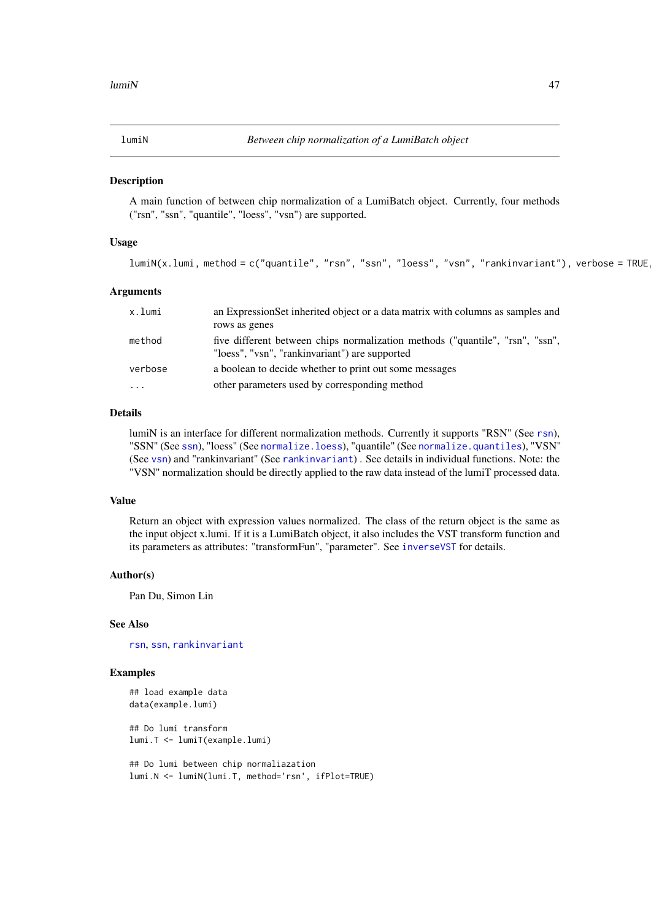<span id="page-46-0"></span>

A main function of between chip normalization of a LumiBatch object. Currently, four methods ("rsn", "ssn", "quantile", "loess", "vsn") are supported.

#### Usage

```
lumiN(x.lumi, method = c("quantile", "rsn", "ssn", "loess", "vsn", "rankinvariant"), verbose = TRUE
```
#### Arguments

| x.lumi  | an Expression Set inherited object or a data matrix with columns as samples and                                                 |
|---------|---------------------------------------------------------------------------------------------------------------------------------|
|         | rows as genes                                                                                                                   |
| method  | five different between chips normalization methods ("quantile", "rsn", "ssn",<br>"loess", "vsn", "rankinvariant") are supported |
| verbose | a boolean to decide whether to print out some messages                                                                          |
| $\cdot$ | other parameters used by corresponding method                                                                                   |

### Details

lumiN is an interface for different normalization methods. Currently it supports "RSN" (See [rsn](#page-82-0)), "SSN" (See [ssn](#page-85-0)), "loess" (See [normalize.loess](#page-0-0)), "quantile" (See [normalize.quantiles](#page-0-0)), "VSN" (See [vsn](#page-0-0)) and "rankinvariant" (See [rankinvariant](#page-81-0)) . See details in individual functions. Note: the "VSN" normalization should be directly applied to the raw data instead of the lumiT processed data.

### Value

Return an object with expression values normalized. The class of the return object is the same as the input object x.lumi. If it is a LumiBatch object, it also includes the VST transform function and its parameters as attributes: "transformFun", "parameter". See [inverseVST](#page-35-0) for details.

### Author(s)

Pan Du, Simon Lin

#### See Also

[rsn](#page-82-0), [ssn](#page-85-0), [rankinvariant](#page-81-0)

### Examples

```
## load example data
data(example.lumi)
```
## Do lumi transform lumi.T <- lumiT(example.lumi)

```
## Do lumi between chip normaliazation
lumi.N <- lumiN(lumi.T, method='rsn', ifPlot=TRUE)
```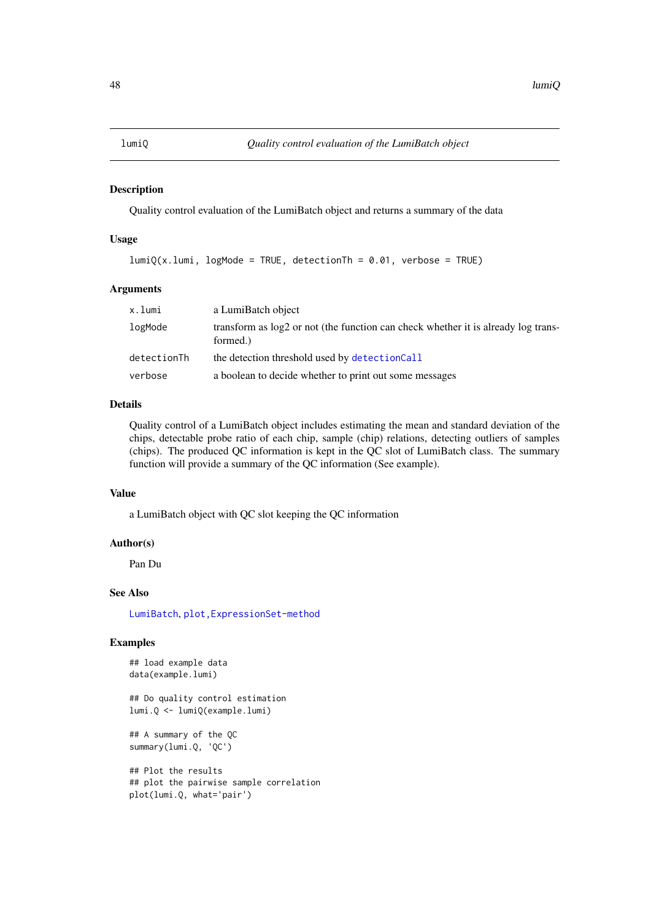<span id="page-47-0"></span>

Quality control evaluation of the LumiBatch object and returns a summary of the data

### Usage

```
lumiQ(x.lumi, logMode = TRUE, detectionTh = 0.01, verbose = TRUE)
```
#### Arguments

| x.lumi      | a LumiBatch object                                                                              |
|-------------|-------------------------------------------------------------------------------------------------|
| logMode     | transform as $log2$ or not (the function can check whether it is already log trans-<br>formed.) |
| detectionTh | the detection threshold used by detectionCall                                                   |
| verbose     | a boolean to decide whether to print out some messages                                          |

### Details

Quality control of a LumiBatch object includes estimating the mean and standard deviation of the chips, detectable probe ratio of each chip, sample (chip) relations, detecting outliers of samples (chips). The produced QC information is kept in the QC slot of LumiBatch class. The summary function will provide a summary of the QC information (See example).

#### Value

a LumiBatch object with QC slot keeping the QC information

### Author(s)

Pan Du

### See Also

[LumiBatch](#page-38-0), [plot,ExpressionSet-method](#page-0-0)

# Examples

```
## load example data
data(example.lumi)
```
## Do quality control estimation lumi.Q <- lumiQ(example.lumi)

## A summary of the QC summary(lumi.Q, 'QC')

```
## Plot the results
## plot the pairwise sample correlation
plot(lumi.Q, what='pair')
```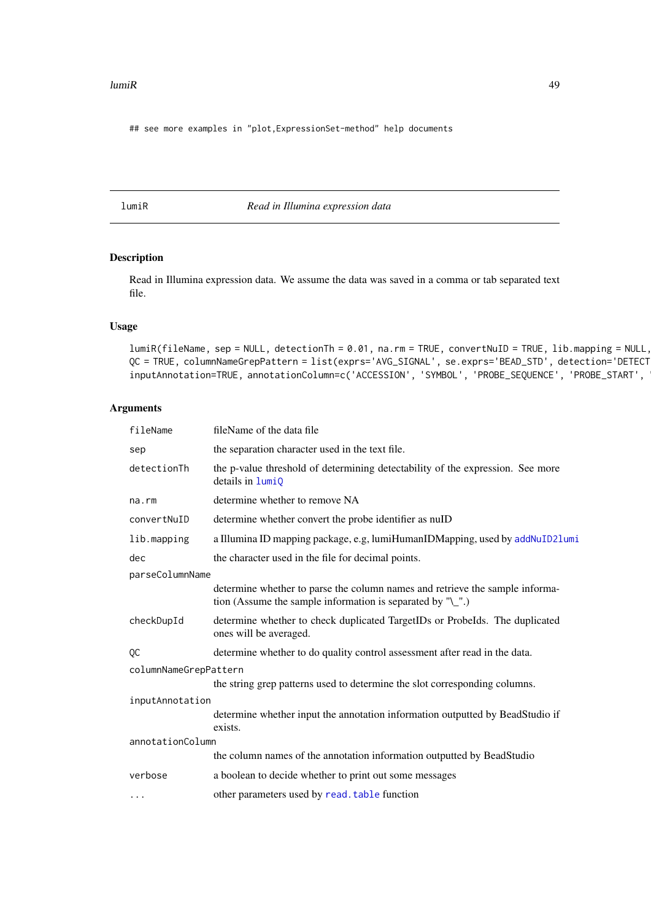#### $l$ umi $R$  49

## see more examples in "plot,ExpressionSet-method" help documents

<span id="page-48-0"></span>lumiR *Read in Illumina expression data*

# Description

Read in Illumina expression data. We assume the data was saved in a comma or tab separated text file.

### Usage

 $lumiR(fileName, sep = NULL, detectionTh = 0.01, na.rm = TRUE, convertNuID = TRUE, lib.mapping = NULL,$ QC = TRUE, columnNameGrepPattern = list(exprs='AVG\_SIGNAL', se.exprs='BEAD\_STD', detection='DETECT inputAnnotation=TRUE, annotationColumn=c('ACCESSION', 'SYMBOL', 'PROBE\_SEQUENCE', 'PROBE\_START',

### Arguments

| fileName              | fileName of the data file                                                                                                                  |  |
|-----------------------|--------------------------------------------------------------------------------------------------------------------------------------------|--|
| sep                   | the separation character used in the text file.                                                                                            |  |
| detectionTh           | the p-value threshold of determining detectability of the expression. See more<br>details in $lumiQ$                                       |  |
| $na$ . $rm$           | determine whether to remove NA                                                                                                             |  |
| convertNuID           | determine whether convert the probe identifier as nuID                                                                                     |  |
| lib.mapping           | a Illumina ID mapping package, e.g, lumiHumanIDMapping, used by addNuID21umi                                                               |  |
| dec                   | the character used in the file for decimal points.                                                                                         |  |
| parseColumnName       |                                                                                                                                            |  |
|                       | determine whether to parse the column names and retrieve the sample informa-<br>tion (Assume the sample information is separated by $"$ ). |  |
| checkDupId            | determine whether to check duplicated TargetIDs or ProbeIds. The duplicated<br>ones will be averaged.                                      |  |
| QC                    | determine whether to do quality control assessment after read in the data.                                                                 |  |
| columnNameGrepPattern |                                                                                                                                            |  |
|                       | the string grep patterns used to determine the slot corresponding columns.                                                                 |  |
| inputAnnotation       |                                                                                                                                            |  |
|                       | determine whether input the annotation information outputted by BeadStudio if<br>exists.                                                   |  |
| annotationColumn      |                                                                                                                                            |  |
|                       | the column names of the annotation information outputted by BeadStudio                                                                     |  |
| verbose               | a boolean to decide whether to print out some messages                                                                                     |  |
| $\cdots$              | other parameters used by read. table function                                                                                              |  |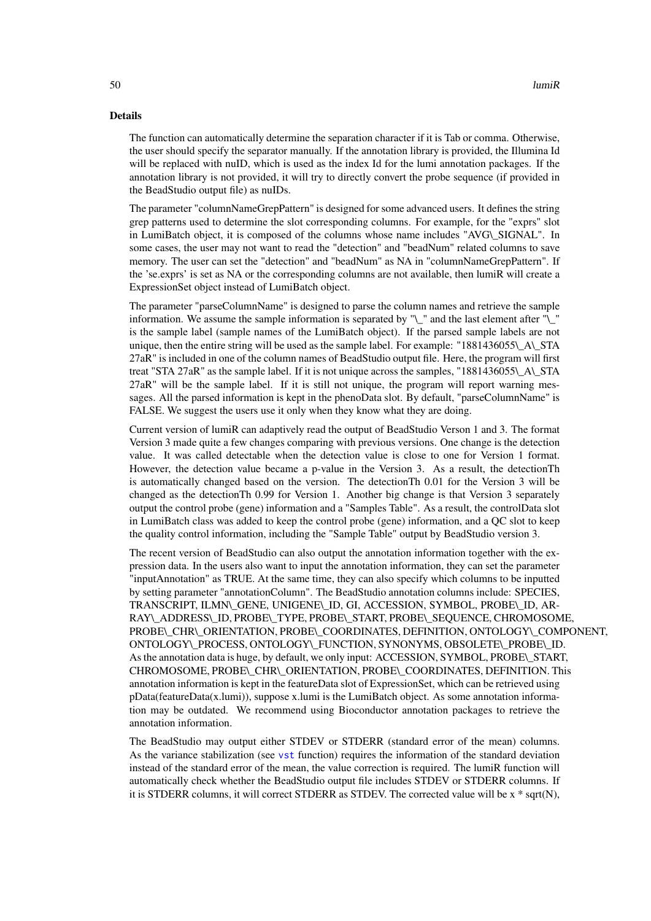### Details

The function can automatically determine the separation character if it is Tab or comma. Otherwise, the user should specify the separator manually. If the annotation library is provided, the Illumina Id will be replaced with nuID, which is used as the index Id for the lumi annotation packages. If the annotation library is not provided, it will try to directly convert the probe sequence (if provided in the BeadStudio output file) as nuIDs.

The parameter "columnNameGrepPattern" is designed for some advanced users. It defines the string grep patterns used to determine the slot corresponding columns. For example, for the "exprs" slot in LumiBatch object, it is composed of the columns whose name includes "AVG\\_SIGNAL". In some cases, the user may not want to read the "detection" and "beadNum" related columns to save memory. The user can set the "detection" and "beadNum" as NA in "columnNameGrepPattern". If the 'se.exprs' is set as NA or the corresponding columns are not available, then lumiR will create a ExpressionSet object instead of LumiBatch object.

The parameter "parseColumnName" is designed to parse the column names and retrieve the sample information. We assume the sample information is separated by " $\langle \rangle$ " and the last element after " $\langle \rangle$ " is the sample label (sample names of the LumiBatch object). If the parsed sample labels are not unique, then the entire string will be used as the sample label. For example: " $1881436055\over{N}$  A\ STA 27aR" is included in one of the column names of BeadStudio output file. Here, the program will first treat "STA 27aR" as the sample label. If it is not unique across the samples, "1881436055\\_A\\_STA 27aR" will be the sample label. If it is still not unique, the program will report warning messages. All the parsed information is kept in the phenoData slot. By default, "parseColumnName" is FALSE. We suggest the users use it only when they know what they are doing.

Current version of lumiR can adaptively read the output of BeadStudio Verson 1 and 3. The format Version 3 made quite a few changes comparing with previous versions. One change is the detection value. It was called detectable when the detection value is close to one for Version 1 format. However, the detection value became a p-value in the Version 3. As a result, the detectionTh is automatically changed based on the version. The detectionTh 0.01 for the Version 3 will be changed as the detectionTh 0.99 for Version 1. Another big change is that Version 3 separately output the control probe (gene) information and a "Samples Table". As a result, the controlData slot in LumiBatch class was added to keep the control probe (gene) information, and a QC slot to keep the quality control information, including the "Sample Table" output by BeadStudio version 3.

The recent version of BeadStudio can also output the annotation information together with the expression data. In the users also want to input the annotation information, they can set the parameter "inputAnnotation" as TRUE. At the same time, they can also specify which columns to be inputted by setting parameter "annotationColumn". The BeadStudio annotation columns include: SPECIES, TRANSCRIPT, ILMN\\_GENE, UNIGENE\\_ID, GI, ACCESSION, SYMBOL, PROBE\\_ID, AR-RAY\\_ADDRESS\\_ID, PROBE\\_TYPE, PROBE\\_START, PROBE\\_SEQUENCE, CHROMOSOME, PROBE\\_CHR\\_ORIENTATION, PROBE\\_COORDINATES, DEFINITION, ONTOLOGY\\_COMPONENT, ONTOLOGY\\_PROCESS, ONTOLOGY\\_FUNCTION, SYNONYMS, OBSOLETE\\_PROBE\\_ID. As the annotation data is huge, by default, we only input: ACCESSION, SYMBOL, PROBE\\_START, CHROMOSOME, PROBE\\_CHR\\_ORIENTATION, PROBE\\_COORDINATES, DEFINITION. This annotation information is kept in the featureData slot of ExpressionSet, which can be retrieved using pData(featureData(x.lumi)), suppose x.lumi is the LumiBatch object. As some annotation information may be outdated. We recommend using Bioconductor annotation packages to retrieve the annotation information.

The BeadStudio may output either STDEV or STDERR (standard error of the mean) columns. As the variance stabilization (see [vst](#page-87-0) function) requires the information of the standard deviation instead of the standard error of the mean, the value correction is required. The lumiR function will automatically check whether the BeadStudio output file includes STDEV or STDERR columns. If it is STDERR columns, it will correct STDERR as STDEV. The corrected value will be x \* sqrt(N),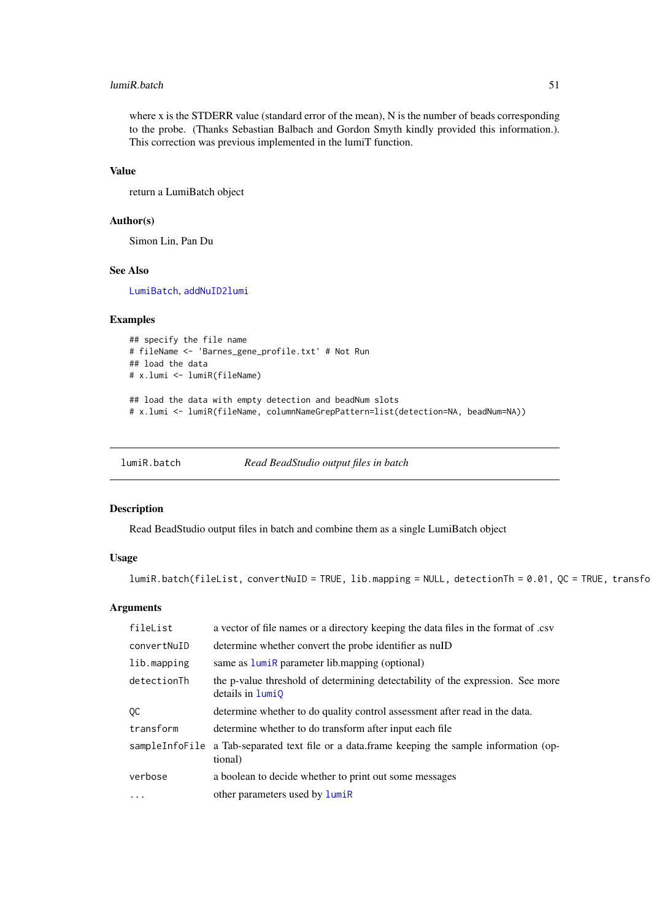#### lumiR.batch 51

where x is the STDERR value (standard error of the mean), N is the number of beads corresponding to the probe. (Thanks Sebastian Balbach and Gordon Smyth kindly provided this information.). This correction was previous implemented in the lumiT function.

#### Value

return a LumiBatch object

### Author(s)

Simon Lin, Pan Du

### See Also

[LumiBatch](#page-38-0), [addNuID2lumi](#page-6-0)

### Examples

```
## specify the file name
# fileName <- 'Barnes_gene_profile.txt' # Not Run
## load the data
# x.lumi <- lumiR(fileName)
## load the data with empty detection and beadNum slots
# x.lumi <- lumiR(fileName, columnNameGrepPattern=list(detection=NA, beadNum=NA))
```
lumiR.batch *Read BeadStudio output files in batch*

### Description

Read BeadStudio output files in batch and combine them as a single LumiBatch object

#### Usage

```
lumiR.batch(fileList, convertNuID = TRUE, lib.mapping = NULL, detectionTh = 0.01, QC = TRUE, transfo
```
#### Arguments

| fileList    | a vector of file names or a directory keeping the data files in the format of .csv                        |
|-------------|-----------------------------------------------------------------------------------------------------------|
| convertNuID | determine whether convert the probe identifier as null                                                    |
| lib.mapping | same as lumiR parameter lib.mapping (optional)                                                            |
| detectionTh | the p-value threshold of determining detectability of the expression. See more<br>details in <b>lumi0</b> |
| QC          | determine whether to do quality control assessment after read in the data.                                |
| transform   | determine whether to do transform after input each file                                                   |
|             | sampleInfoFile a Tab-separated text file or a data.frame keeping the sample information (op-<br>tional)   |
| verbose     | a boolean to decide whether to print out some messages                                                    |
| $\ddots$    | other parameters used by lumiR                                                                            |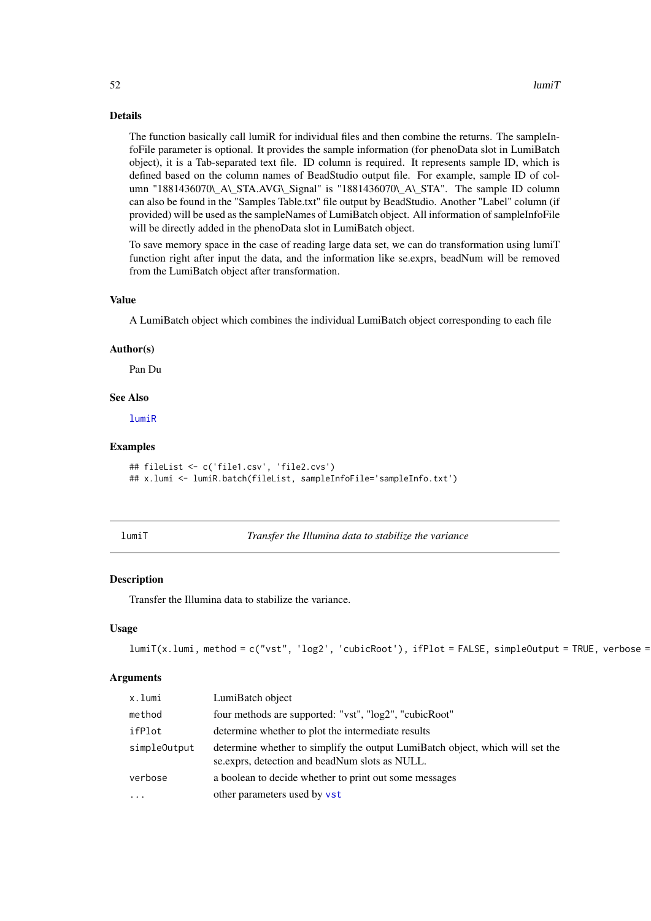#### Details

The function basically call lumiR for individual files and then combine the returns. The sampleInfoFile parameter is optional. It provides the sample information (for phenoData slot in LumiBatch object), it is a Tab-separated text file. ID column is required. It represents sample ID, which is defined based on the column names of BeadStudio output file. For example, sample ID of column "1881436070\\_A\\_STA.AVG\\_Signal" is "1881436070\\_A\\_STA". The sample ID column can also be found in the "Samples Table.txt" file output by BeadStudio. Another "Label" column (if provided) will be used as the sampleNames of LumiBatch object. All information of sampleInfoFile will be directly added in the phenoData slot in LumiBatch object.

To save memory space in the case of reading large data set, we can do transformation using lumiT function right after input the data, and the information like se.exprs, beadNum will be removed from the LumiBatch object after transformation.

#### Value

A LumiBatch object which combines the individual LumiBatch object corresponding to each file

#### Author(s)

Pan Du

#### See Also

[lumiR](#page-48-0)

#### Examples

```
## fileList <- c('file1.csv', 'file2.cvs')
## x.lumi <- lumiR.batch(fileList, sampleInfoFile='sampleInfo.txt')
```
<span id="page-51-0"></span>

lumiT *Transfer the Illumina data to stabilize the variance*

#### Description

Transfer the Illumina data to stabilize the variance.

#### Usage

```
lumiT(x.lumi, method = c("vst", 'log2', 'cubicRoot'), ifPlot = FALSE, simpleOutput = TRUE, verbose =
```
#### Arguments

| x.lumi       | LumiBatch object                                                                                                                 |
|--------------|----------------------------------------------------------------------------------------------------------------------------------|
| method       | four methods are supported: "vst", "log2", "cubicRoot"                                                                           |
| ifPlot       | determine whether to plot the intermediate results                                                                               |
| simpleOutput | determine whether to simplify the output LumiBatch object, which will set the<br>se. exprs, detection and beadNum slots as NULL. |
| verbose      | a boolean to decide whether to print out some messages                                                                           |
| $\cdots$     | other parameters used by vst                                                                                                     |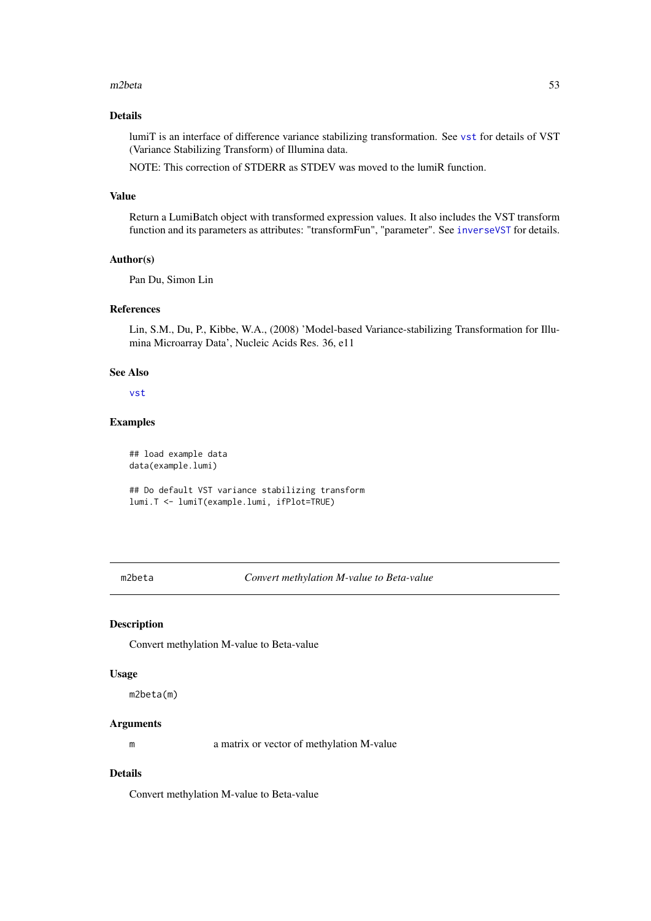#### $m2beta$  53

#### Details

lumiT is an interface of difference variance stabilizing transformation. See [vst](#page-87-0) for details of VST (Variance Stabilizing Transform) of Illumina data.

NOTE: This correction of STDERR as STDEV was moved to the lumiR function.

# Value

Return a LumiBatch object with transformed expression values. It also includes the VST transform function and its parameters as attributes: "transformFun", "parameter". See [inverseVST](#page-35-0) for details.

### Author(s)

Pan Du, Simon Lin

#### References

Lin, S.M., Du, P., Kibbe, W.A., (2008) 'Model-based Variance-stabilizing Transformation for Illumina Microarray Data', Nucleic Acids Res. 36, e11

### See Also

[vst](#page-87-0)

### Examples

```
## load example data
data(example.lumi)
```
## Do default VST variance stabilizing transform lumi.T <- lumiT(example.lumi, ifPlot=TRUE)

m2beta *Convert methylation M-value to Beta-value*

### Description

Convert methylation M-value to Beta-value

#### Usage

m2beta(m)

# Arguments

m a matrix or vector of methylation M-value

# Details

Convert methylation M-value to Beta-value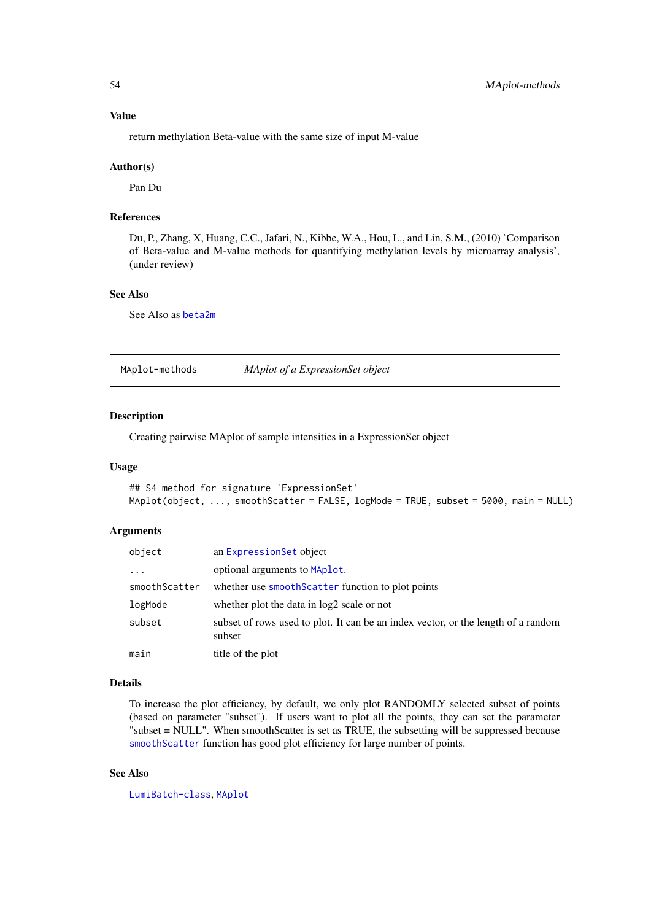### Value

return methylation Beta-value with the same size of input M-value

#### Author(s)

Pan Du

#### References

Du, P., Zhang, X, Huang, C.C., Jafari, N., Kibbe, W.A., Hou, L., and Lin, S.M., (2010) 'Comparison of Beta-value and M-value methods for quantifying methylation levels by microarray analysis', (under review)

### See Also

See Also as [beta2m](#page-10-1)

<span id="page-53-0"></span>MAplot-methods *MAplot of a ExpressionSet object*

#### <span id="page-53-1"></span>Description

Creating pairwise MAplot of sample intensities in a ExpressionSet object

#### Usage

```
## S4 method for signature 'ExpressionSet'
MAplot(object, ..., smoothScatter = FALSE, logMode = TRUE, subset = 5000, main = NULL)
```
### Arguments

| object        | an ExpressionSet object                                                                     |
|---------------|---------------------------------------------------------------------------------------------|
| $\cdots$      | optional arguments to MAplot.                                                               |
| smoothScatter | whether use smooth Scatter function to plot points                                          |
| logMode       | whether plot the data in log2 scale or not                                                  |
| subset        | subset of rows used to plot. It can be an index vector, or the length of a random<br>subset |
| main          | title of the plot                                                                           |

#### Details

To increase the plot efficiency, by default, we only plot RANDOMLY selected subset of points (based on parameter "subset"). If users want to plot all the points, they can set the parameter "subset = NULL". When smoothScatter is set as TRUE, the subsetting will be suppressed because [smoothScatter](#page-0-0) function has good plot efficiency for large number of points.

# See Also

[LumiBatch-class](#page-38-1), [MAplot](#page-53-1)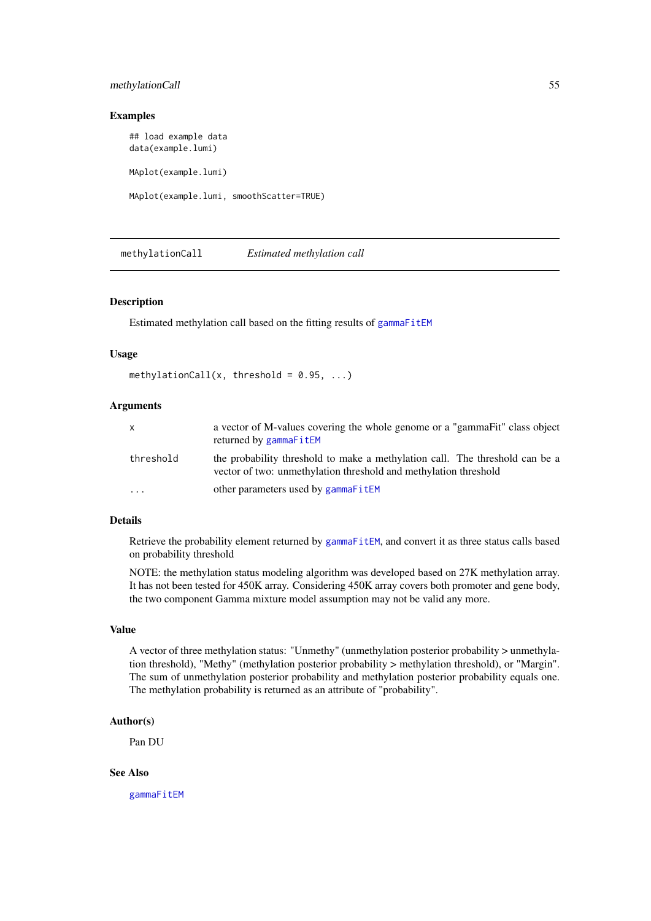#### methylationCall 55

### Examples

## load example data data(example.lumi) MAplot(example.lumi) MAplot(example.lumi, smoothScatter=TRUE)

<span id="page-54-0"></span>methylationCall *Estimated methylation call*

#### Description

Estimated methylation call based on the fitting results of [gammaFitEM](#page-25-0)

### Usage

```
methylationCall(x, threshold = 0.95, ...)
```
### Arguments

| x         | a vector of M-values covering the whole genome or a "gammaFit" class object<br>returned by gammaFitEM                                            |
|-----------|--------------------------------------------------------------------------------------------------------------------------------------------------|
| threshold | the probability threshold to make a methylation call. The threshold can be a<br>vector of two: unmethylation threshold and methylation threshold |
| $\ddotsc$ | other parameters used by gammaFitEM                                                                                                              |

# Details

Retrieve the probability element returned by [gammaFitEM](#page-25-0), and convert it as three status calls based on probability threshold

NOTE: the methylation status modeling algorithm was developed based on 27K methylation array. It has not been tested for 450K array. Considering 450K array covers both promoter and gene body, the two component Gamma mixture model assumption may not be valid any more.

#### Value

A vector of three methylation status: "Unmethy" (unmethylation posterior probability > unmethylation threshold), "Methy" (methylation posterior probability > methylation threshold), or "Margin". The sum of unmethylation posterior probability and methylation posterior probability equals one. The methylation probability is returned as an attribute of "probability".

#### Author(s)

Pan DU

# See Also

[gammaFitEM](#page-25-0)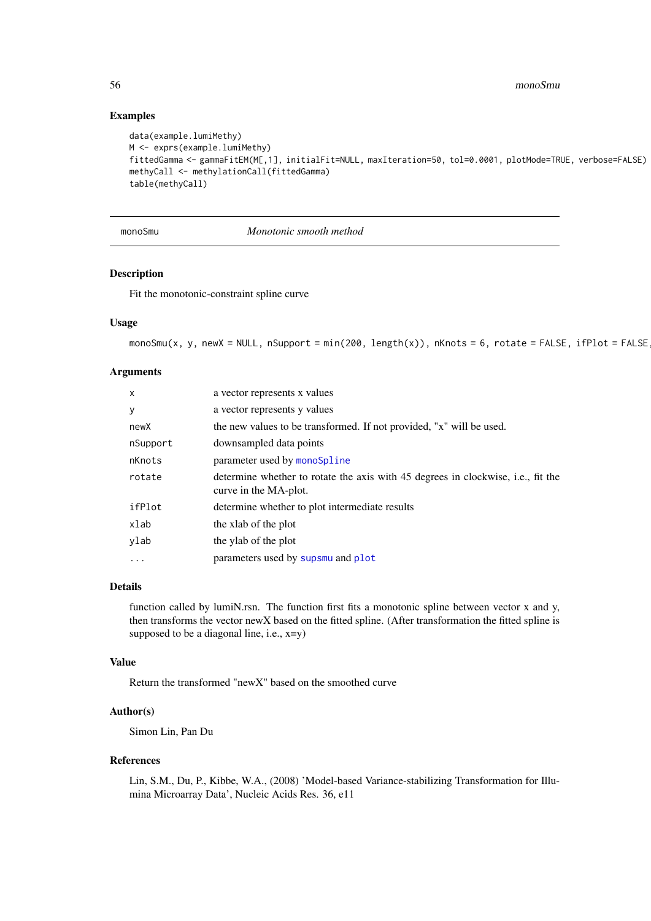56 monoSmu

### Examples

```
data(example.lumiMethy)
M <- exprs(example.lumiMethy)
fittedGamma <- gammaFitEM(M[,1], initialFit=NULL, maxIteration=50, tol=0.0001, plotMode=TRUE, verbose=FALSE)
methyCall <- methylationCall(fittedGamma)
table(methyCall)
```
<span id="page-55-0"></span>monoSmu *Monotonic smooth method*

# Description

Fit the monotonic-constraint spline curve

# Usage

 $monoSmu(x, y, newX = NULL, nSupport = min(200, length(x)), nKnots = 6, rotate = FALSE, ifPlot = FALSE$ 

### Arguments

| $\mathsf{x}$ | a vector represents x values                                                                              |
|--------------|-----------------------------------------------------------------------------------------------------------|
| У            | a vector represents y values                                                                              |
| newX         | the new values to be transformed. If not provided, "x" will be used.                                      |
| nSupport     | downsampled data points                                                                                   |
| nKnots       | parameter used by monoSpline                                                                              |
| rotate       | determine whether to rotate the axis with 45 degrees in clockwise, i.e., fit the<br>curve in the MA-plot. |
| ifPlot       | determine whether to plot intermediate results                                                            |
| xlab         | the xlab of the plot                                                                                      |
| ylab         | the ylab of the plot                                                                                      |
| $\ddotsc$    | parameters used by supsmu and plot                                                                        |

# Details

function called by lumiN.rsn. The function first fits a monotonic spline between vector x and y, then transforms the vector newX based on the fitted spline. (After transformation the fitted spline is supposed to be a diagonal line, i.e.,  $x=y$ )

#### Value

Return the transformed "newX" based on the smoothed curve

# Author(s)

Simon Lin, Pan Du

### References

Lin, S.M., Du, P., Kibbe, W.A., (2008) 'Model-based Variance-stabilizing Transformation for Illumina Microarray Data', Nucleic Acids Res. 36, e11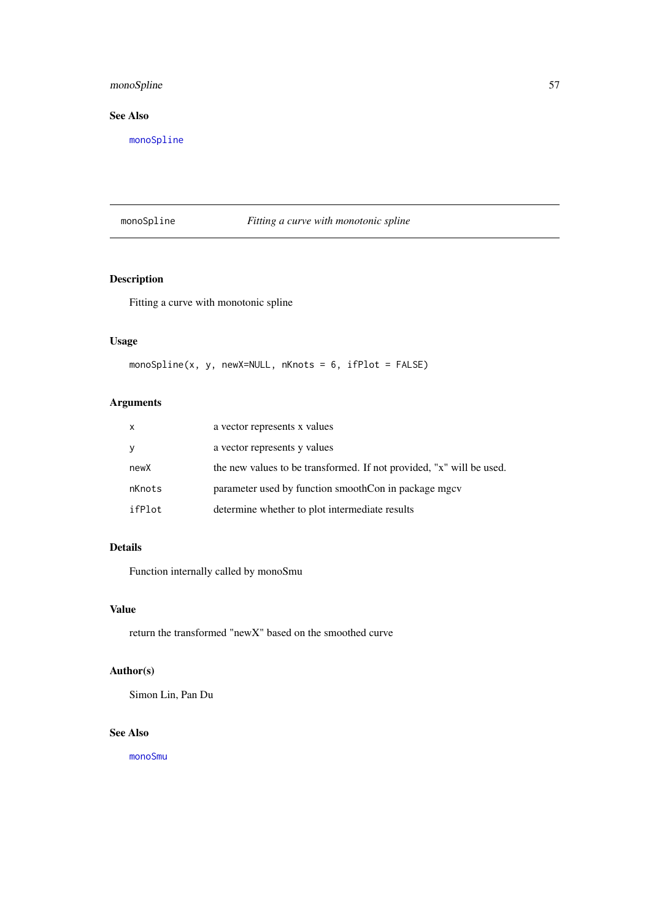### monoSpline 57

# See Also

[monoSpline](#page-56-0)

# <span id="page-56-0"></span>monoSpline *Fitting a curve with monotonic spline*

### Description

Fitting a curve with monotonic spline

# Usage

```
monoSpline(x, y, newX=NULL, nKnots = 6, ifPlot = FALSE)
```
# Arguments

| X      | a vector represents x values                                         |
|--------|----------------------------------------------------------------------|
| У      | a vector represents y values                                         |
| newX   | the new values to be transformed. If not provided, "x" will be used. |
| nKnots | parameter used by function smoothCon in package mgcv                 |
| ifPlot | determine whether to plot intermediate results                       |

# Details

Function internally called by monoSmu

# Value

return the transformed "newX" based on the smoothed curve

# Author(s)

Simon Lin, Pan Du

### See Also

[monoSmu](#page-55-0)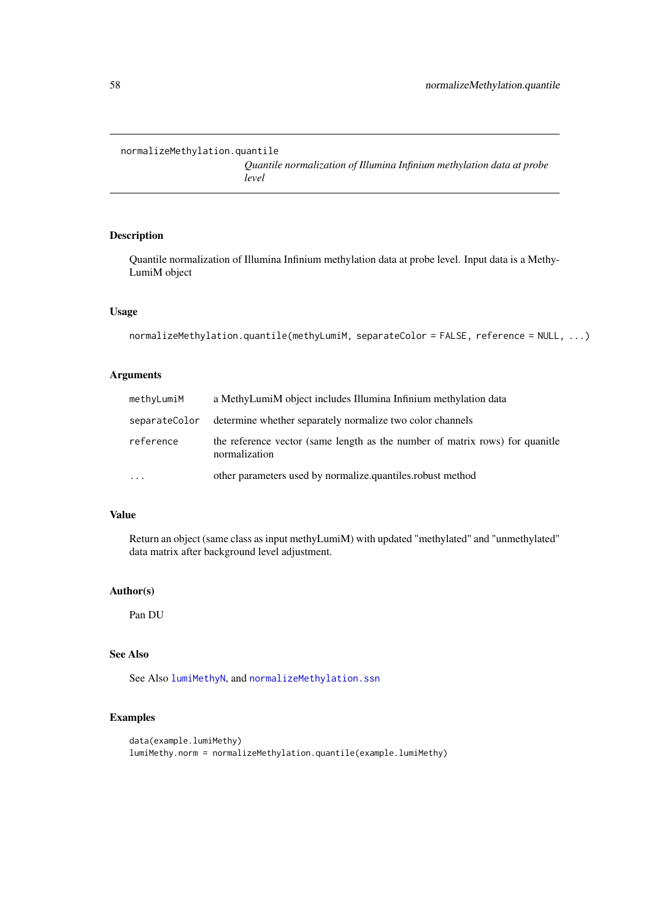```
normalizeMethylation.quantile
```
*Quantile normalization of Illumina Infinium methylation data at probe level*

### Description

Quantile normalization of Illumina Infinium methylation data at probe level. Input data is a Methy-LumiM object

#### Usage

```
normalizeMethylation.quantile(methyLumiM, separateColor = FALSE, reference = NULL, ...)
```
# Arguments

| methyLumiM    | a MethyLumiM object includes Illumina Infinium methylation data                               |
|---------------|-----------------------------------------------------------------------------------------------|
| separateColor | determine whether separately normalize two color channels                                     |
| reference     | the reference vector (same length as the number of matrix rows) for quanitie<br>normalization |
| $\ddotsc$     | other parameters used by normalize quantiles robust method                                    |

### Value

Return an object (same class as input methyLumiM) with updated "methylated" and "unmethylated" data matrix after background level adjustment.

### Author(s)

Pan DU

### See Also

See Also [lumiMethyN](#page-43-0), and [normalizeMethylation.ssn](#page-58-0)

```
data(example.lumiMethy)
lumiMethy.norm = normalizeMethylation.quantile(example.lumiMethy)
```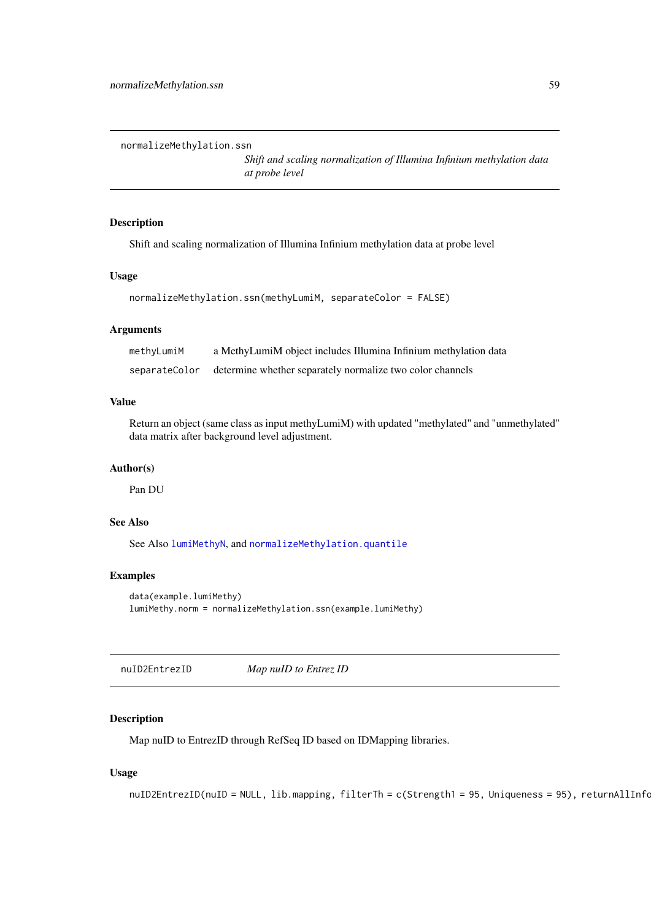<span id="page-58-0"></span>normalizeMethylation.ssn

*Shift and scaling normalization of Illumina Infinium methylation data at probe level*

# Description

Shift and scaling normalization of Illumina Infinium methylation data at probe level

#### Usage

```
normalizeMethylation.ssn(methyLumiM, separateColor = FALSE)
```
#### Arguments

| methyLumiM    | a MethyLumiM object includes Illumina Infinium methylation data |
|---------------|-----------------------------------------------------------------|
| separateColor | determine whether separately normalize two color channels       |

# Value

Return an object (same class as input methyLumiM) with updated "methylated" and "unmethylated" data matrix after background level adjustment.

#### Author(s)

Pan DU

# See Also

See Also [lumiMethyN](#page-43-0), and [normalizeMethylation.quantile](#page-57-0)

### Examples

```
data(example.lumiMethy)
lumiMethy.norm = normalizeMethylation.ssn(example.lumiMethy)
```
nuID2EntrezID *Map nuID to Entrez ID*

# Description

Map nuID to EntrezID through RefSeq ID based on IDMapping libraries.

# Usage

```
nuID2EntrezID(nuID = NULL, lib.mapping, filterTh = c(Strength1 = 95, Uniqueness = 95), returnAllInfo
```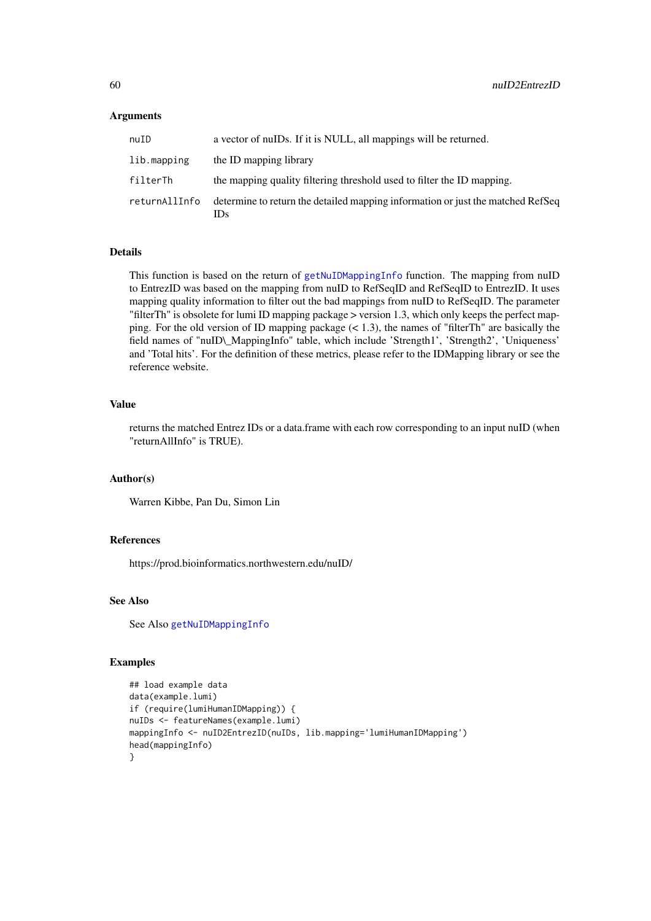#### Arguments

| nuID          | a vector of nuIDs. If it is NULL, all mappings will be returned.                       |
|---------------|----------------------------------------------------------------------------------------|
| lib.mapping   | the ID mapping library                                                                 |
| filterTh      | the mapping quality filtering threshold used to filter the ID mapping.                 |
| returnAllInfo | determine to return the detailed mapping information or just the matched RefSeq<br>IDs |

#### Details

This function is based on the return of [getNuIDMappingInfo](#page-30-0) function. The mapping from nuID to EntrezID was based on the mapping from nuID to RefSeqID and RefSeqID to EntrezID. It uses mapping quality information to filter out the bad mappings from nuID to RefSeqID. The parameter "filterTh" is obsolete for lumi ID mapping package > version 1.3, which only keeps the perfect mapping. For the old version of ID mapping package  $(< 1.3)$ , the names of "filterTh" are basically the field names of "nuID\\_MappingInfo" table, which include 'Strength1', 'Strength2', 'Uniqueness' and 'Total hits'. For the definition of these metrics, please refer to the IDMapping library or see the reference website.

### Value

returns the matched Entrez IDs or a data.frame with each row corresponding to an input nuID (when "returnAllInfo" is TRUE).

#### Author(s)

Warren Kibbe, Pan Du, Simon Lin

#### References

https://prod.bioinformatics.northwestern.edu/nuID/

#### See Also

See Also [getNuIDMappingInfo](#page-30-0)

```
## load example data
data(example.lumi)
if (require(lumiHumanIDMapping)) {
nuIDs <- featureNames(example.lumi)
mappingInfo <- nuID2EntrezID(nuIDs, lib.mapping='lumiHumanIDMapping')
head(mappingInfo)
}
```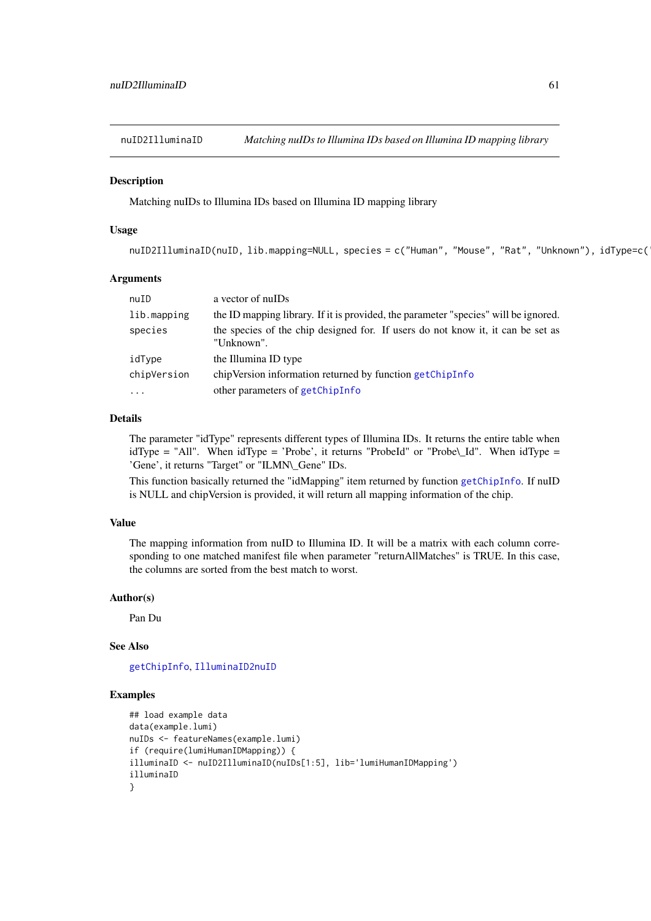<span id="page-60-0"></span>nuID2IlluminaID *Matching nuIDs to Illumina IDs based on Illumina ID mapping library*

#### Description

Matching nuIDs to Illumina IDs based on Illumina ID mapping library

### Usage

nuID2IlluminaID(nuID, lib.mapping=NULL, species = c("Human", "Mouse", "Rat", "Unknown"), idType=c(

#### Arguments

| nuID        | a vector of nuIDs                                                                             |
|-------------|-----------------------------------------------------------------------------------------------|
| lib.mapping | the ID mapping library. If it is provided, the parameter "species" will be ignored.           |
| species     | the species of the chip designed for. If users do not know it, it can be set as<br>"Unknown". |
| idType      | the Illumina ID type                                                                          |
| chipVersion | chipVersion information returned by function getChipInfo                                      |
| $\ddotsc$   | other parameters of getChipInfo                                                               |

### Details

The parameter "idType" represents different types of Illumina IDs. It returns the entire table when idType = "All". When idType = 'Probe', it returns "ProbeId" or "Probe\\_Id". When idType = 'Gene', it returns "Target" or "ILMN\\_Gene" IDs.

This function basically returned the "idMapping" item returned by function [getChipInfo](#page-26-0). If nuID is NULL and chipVersion is provided, it will return all mapping information of the chip.

# Value

The mapping information from nuID to Illumina ID. It will be a matrix with each column corresponding to one matched manifest file when parameter "returnAllMatches" is TRUE. In this case, the columns are sorted from the best match to worst.

### Author(s)

Pan Du

# See Also

[getChipInfo](#page-26-0), [IlluminaID2nuID](#page-33-0)

```
## load example data
data(example.lumi)
nuIDs <- featureNames(example.lumi)
if (require(lumiHumanIDMapping)) {
illuminaID <- nuID2IlluminaID(nuIDs[1:5], lib='lumiHumanIDMapping')
illuminaID
}
```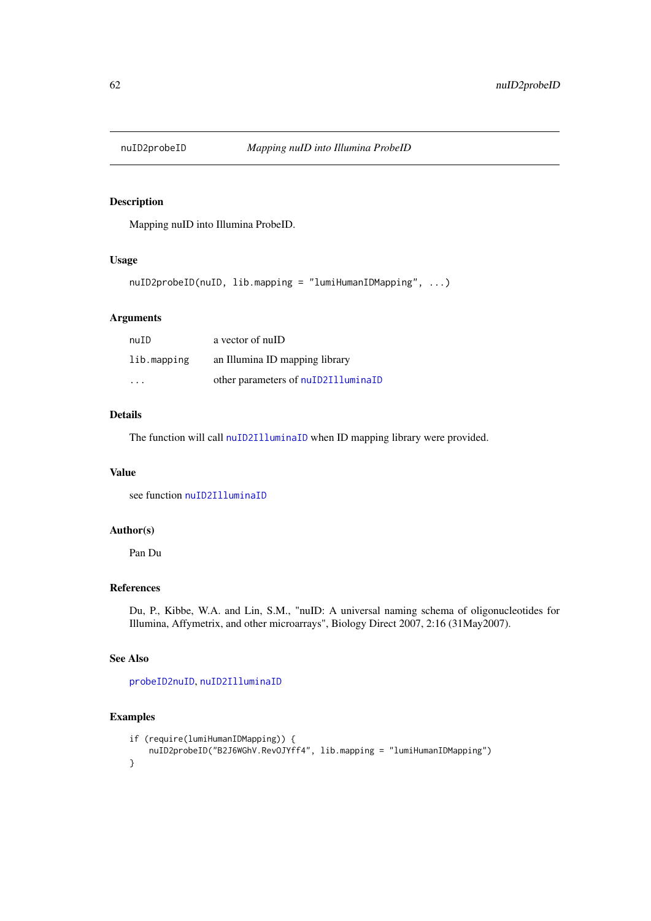Mapping nuID into Illumina ProbeID.

### Usage

nuID2probeID(nuID, lib.mapping = "lumiHumanIDMapping", ...)

# Arguments

| nuID                    | a vector of nuID                    |
|-------------------------|-------------------------------------|
| lib.mapping             | an Illumina ID mapping library      |
| $\cdot$ $\cdot$ $\cdot$ | other parameters of nuID2IlluminaID |

### Details

The function will call [nuID2IlluminaID](#page-60-0) when ID mapping library were provided.

# Value

see function [nuID2IlluminaID](#page-60-0)

#### Author(s)

Pan Du

### References

Du, P., Kibbe, W.A. and Lin, S.M., "nuID: A universal naming schema of oligonucleotides for Illumina, Affymetrix, and other microarrays", Biology Direct 2007, 2:16 (31May2007).

### See Also

[probeID2nuID](#page-76-0), [nuID2IlluminaID](#page-60-0)

```
if (require(lumiHumanIDMapping)) {
    nuID2probeID("B2J6WGhV.RevOJYff4", lib.mapping = "lumiHumanIDMapping")
}
```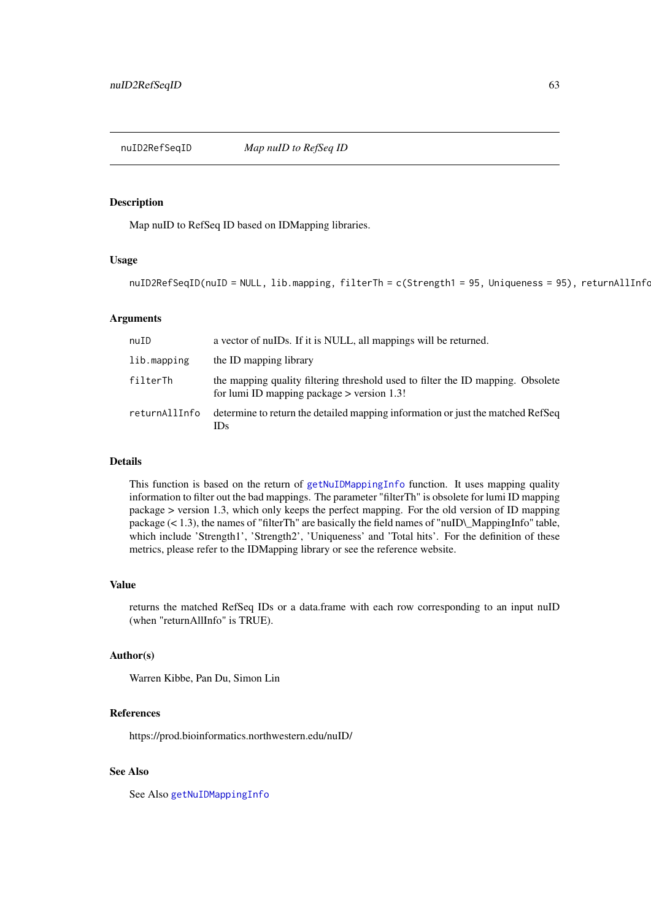nuID2RefSeqID *Map nuID to RefSeq ID*

#### **Description**

Map nuID to RefSeq ID based on IDMapping libraries.

#### Usage

```
nuID2RefSeqID(nuID = NULL, lib.mapping, filterTh = c(Strength1 = 95, Uniqueness = 95), returnAllInfoc1
```
#### Arguments

| nuID          | a vector of nuIDs. If it is NULL, all mappings will be returned.                                                                |
|---------------|---------------------------------------------------------------------------------------------------------------------------------|
| lib.mapping   | the ID mapping library                                                                                                          |
| filterTh      | the mapping quality filtering threshold used to filter the ID mapping. Obsolete<br>for lumi ID mapping package $>$ version 1.3! |
| returnAllInfo | determine to return the detailed mapping information or just the matched RefSeq<br>IDs                                          |

### Details

This function is based on the return of [getNuIDMappingInfo](#page-30-0) function. It uses mapping quality information to filter out the bad mappings. The parameter "filterTh" is obsolete for lumi ID mapping package > version 1.3, which only keeps the perfect mapping. For the old version of ID mapping package (< 1.3), the names of "filterTh" are basically the field names of "nuID\\_MappingInfo" table, which include 'Strength1', 'Strength2', 'Uniqueness' and 'Total hits'. For the definition of these metrics, please refer to the IDMapping library or see the reference website.

#### Value

returns the matched RefSeq IDs or a data.frame with each row corresponding to an input nuID (when "returnAllInfo" is TRUE).

#### Author(s)

Warren Kibbe, Pan Du, Simon Lin

### References

https://prod.bioinformatics.northwestern.edu/nuID/

# See Also

See Also [getNuIDMappingInfo](#page-30-0)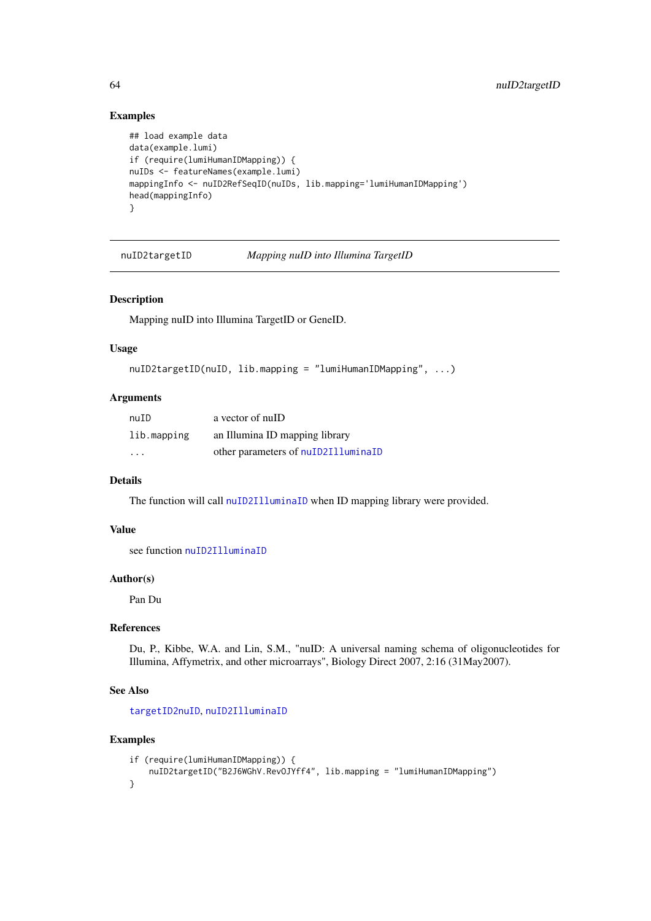# Examples

```
## load example data
data(example.lumi)
if (require(lumiHumanIDMapping)) {
nuIDs <- featureNames(example.lumi)
mappingInfo <- nuID2RefSeqID(nuIDs, lib.mapping='lumiHumanIDMapping')
head(mappingInfo)
}
```
nuID2targetID *Mapping nuID into Illumina TargetID*

#### Description

Mapping nuID into Illumina TargetID or GeneID.

# Usage

```
nuID2targetID(nuID, lib.mapping = "lumiHumanIDMapping", ...)
```
#### Arguments

| nuID                    | a vector of nuID                    |
|-------------------------|-------------------------------------|
| lib.mapping             | an Illumina ID mapping library      |
| $\cdot$ $\cdot$ $\cdot$ | other parameters of nuID2IlluminaID |

### Details

The function will call [nuID2IlluminaID](#page-60-0) when ID mapping library were provided.

### Value

see function [nuID2IlluminaID](#page-60-0)

### Author(s)

Pan Du

### References

Du, P., Kibbe, W.A. and Lin, S.M., "nuID: A universal naming schema of oligonucleotides for Illumina, Affymetrix, and other microarrays", Biology Direct 2007, 2:16 (31May2007).

### See Also

[targetID2nuID](#page-86-0), [nuID2IlluminaID](#page-60-0)

```
if (require(lumiHumanIDMapping)) {
    nuID2targetID("B2J6WGhV.RevOJYff4", lib.mapping = "lumiHumanIDMapping")
}
```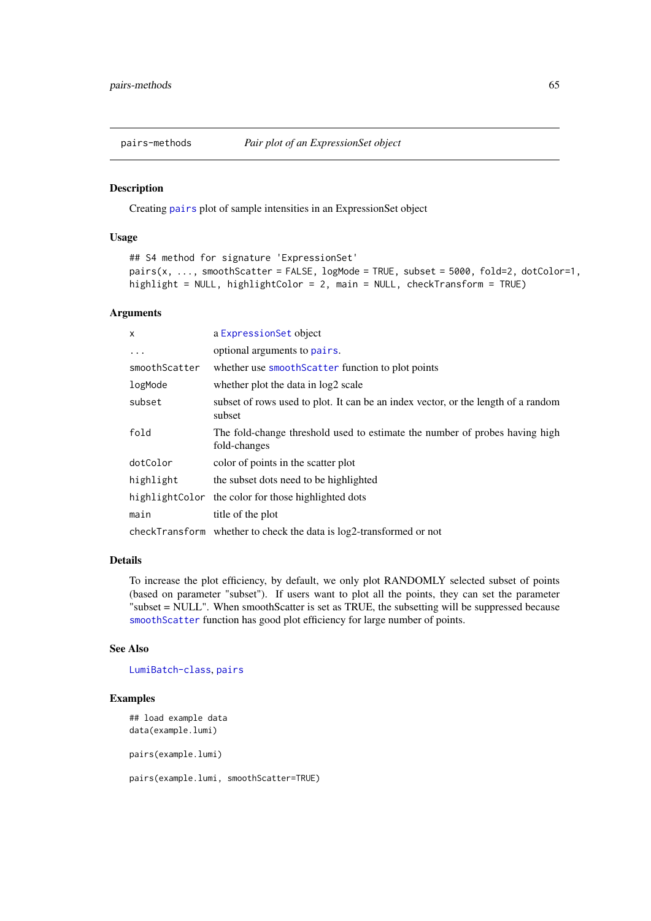<span id="page-64-0"></span>

Creating [pairs](#page-0-0) plot of sample intensities in an ExpressionSet object

# Usage

```
## S4 method for signature 'ExpressionSet'
pairs(x, ..., smoothScatter = FALSE, logMode = TRUE, subset = 5000, fold=2, dotColor=1,
highlight = NULL, highlightColor = 2, main = NULL, checkTransform = TRUE)
```
#### Arguments

| $\mathsf{x}$  | a Expression Set object                                                                     |
|---------------|---------------------------------------------------------------------------------------------|
| .             | optional arguments to pairs.                                                                |
| smoothScatter | whether use smooth Scatter function to plot points                                          |
| logMode       | whether plot the data in log2 scale                                                         |
| subset        | subset of rows used to plot. It can be an index vector, or the length of a random<br>subset |
| fold          | The fold-change threshold used to estimate the number of probes having high<br>fold-changes |
| dotColor      | color of points in the scatter plot                                                         |
| highlight     | the subset dots need to be highlighted                                                      |
|               | highlight Color the color for those highlighted dots                                        |
| main          | title of the plot                                                                           |
|               | checkTransform whether to check the data is log2-transformed or not                         |

### Details

To increase the plot efficiency, by default, we only plot RANDOMLY selected subset of points (based on parameter "subset"). If users want to plot all the points, they can set the parameter "subset = NULL". When smoothScatter is set as TRUE, the subsetting will be suppressed because [smoothScatter](#page-0-0) function has good plot efficiency for large number of points.

### See Also

[LumiBatch-class](#page-38-1), [pairs](#page-0-0)

### Examples

```
## load example data
data(example.lumi)
pairs(example.lumi)
```
pairs(example.lumi, smoothScatter=TRUE)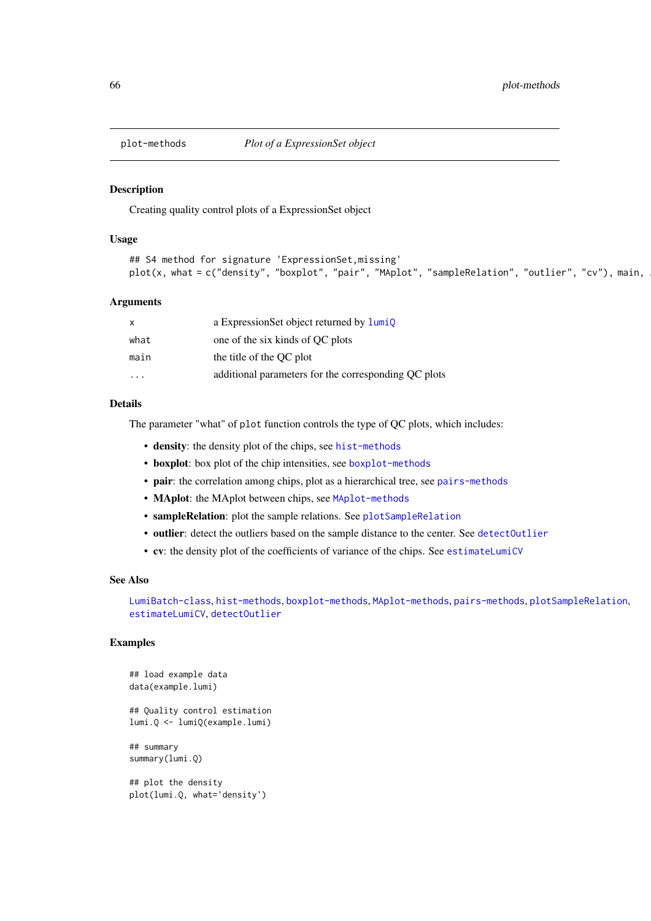Creating quality control plots of a ExpressionSet object

### Usage

```
## S4 method for signature 'ExpressionSet,missing'
plot(x, what = c("density", "boxplot", "pair", "Maplot", "sampleRelation", "outlier", "cv"), main, ...
```
#### Arguments

| x       | a ExpressionSet object returned by lumiQ             |
|---------|------------------------------------------------------|
| what    | one of the six kinds of QC plots                     |
| main    | the title of the OC plot                             |
| $\cdot$ | additional parameters for the corresponding QC plots |

# Details

The parameter "what" of plot function controls the type of QC plots, which includes:

- density: the density plot of the chips, see [hist-methods](#page-31-0)
- boxplot: box plot of the chip intensities, see [boxplot-methods](#page-13-0)
- pair: the correlation among chips, plot as a hierarchical tree, see [pairs-methods](#page-64-0)
- MAplot: the MAplot between chips, see [MAplot-methods](#page-53-0)
- sampleRelation: plot the sample relations. See [plotSampleRelation](#page-73-0)
- outlier: detect the outliers based on the sample distance to the center. See [detectOutlier](#page-17-0)
- cv: the density plot of the coefficients of variance of the chips. See [estimateLumiCV](#page-20-0)

### See Also

[LumiBatch-class](#page-38-1), [hist-methods](#page-31-0), [boxplot-methods](#page-13-0), [MAplot-methods](#page-53-0), [pairs-methods](#page-64-0), [plotSampleRelation](#page-73-0), [estimateLumiCV](#page-20-0), [detectOutlier](#page-17-0)

# Examples

```
## load example data
data(example.lumi)
## Quality control estimation
lumi.Q <- lumiQ(example.lumi)
## summary
summary(lumi.Q)
## plot the density
```
plot(lumi.Q, what='density')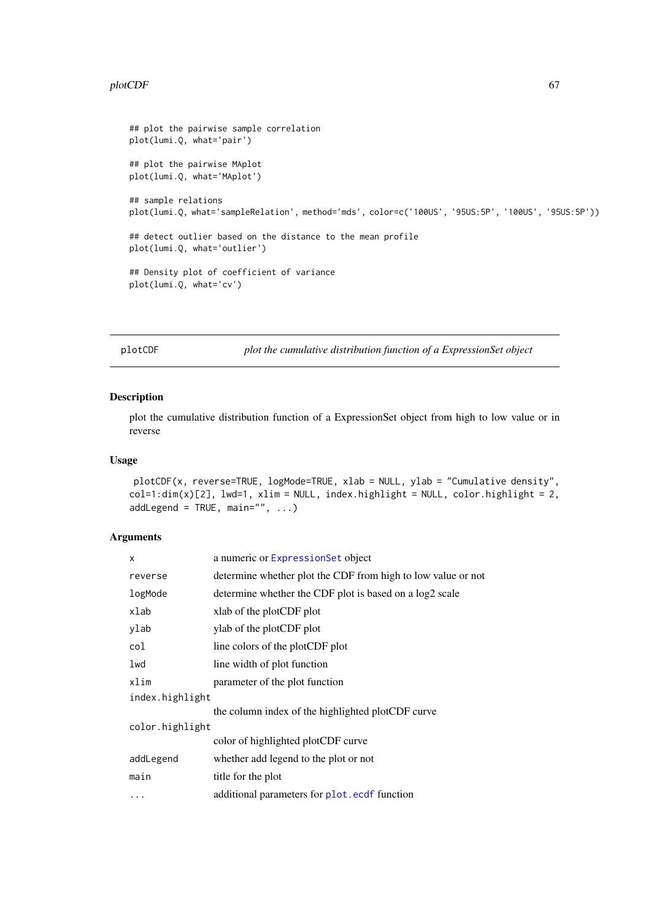#### plotCDF 67

```
## plot the pairwise sample correlation
plot(lumi.Q, what='pair')
## plot the pairwise MAplot
plot(lumi.Q, what='MAplot')
## sample relations
plot(lumi.Q, what='sampleRelation', method='mds', color=c('100US', '95US:5P', '100US', '95US:5P'))
## detect outlier based on the distance to the mean profile
plot(lumi.Q, what='outlier')
## Density plot of coefficient of variance
plot(lumi.Q, what='cv')
```
plotCDF *plot the cumulative distribution function of a ExpressionSet object*

#### Description

plot the cumulative distribution function of a ExpressionSet object from high to low value or in reverse

# Usage

```
plotCDF(x, reverse=TRUE, logMode=TRUE, xlab = NULL, ylab = "Cumulative density",
col=1:dim(x)[2], lwd=1, xlim = NULL, index.highlight = NULL, color.highlight = 2,
addLegend = TRUE, main="", \ldots)
```
# Arguments

| X               | a numeric or ExpressionSet object                            |
|-----------------|--------------------------------------------------------------|
| reverse         | determine whether plot the CDF from high to low value or not |
| logMode         | determine whether the CDF plot is based on a log2 scale      |
| xlab            | xlab of the plotCDF plot                                     |
| ylab            | ylab of the plotCDF plot                                     |
| col             | line colors of the plotCDF plot                              |
| lwd             | line width of plot function                                  |
| xlim            | parameter of the plot function                               |
| index.highlight |                                                              |
|                 | the column index of the highlighted plotCDF curve            |
| color.highlight |                                                              |
|                 | color of highlighted plotCDF curve                           |
| addLegend       | whether add legend to the plot or not                        |
| main            | title for the plot                                           |
| $\cdots$        | additional parameters for plot.ecdf function                 |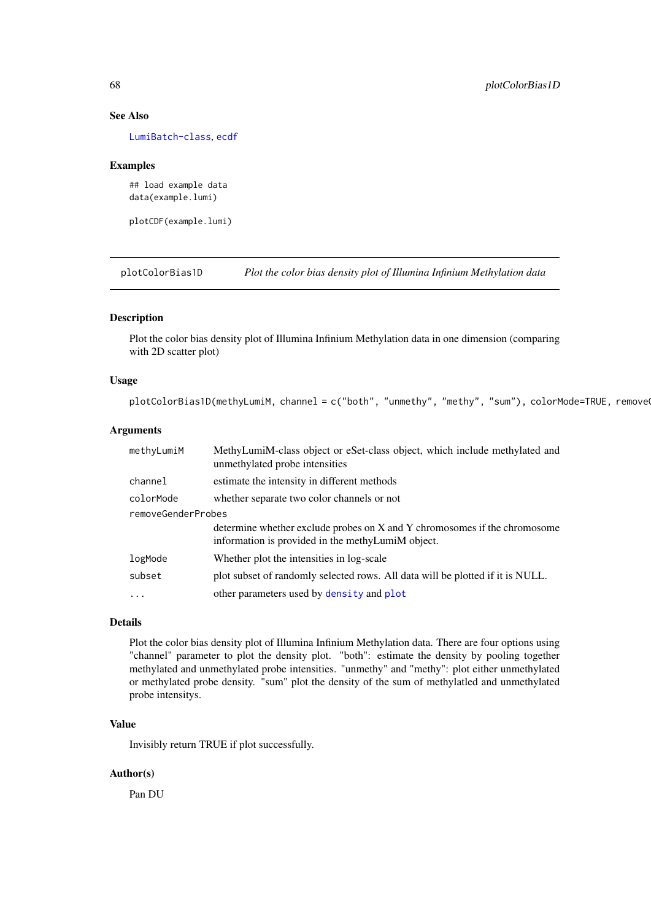### See Also

[LumiBatch-class](#page-38-1), [ecdf](#page-0-0)

#### Examples

## load example data data(example.lumi)

plotCDF(example.lumi)

<span id="page-67-0"></span>plotColorBias1D *Plot the color bias density plot of Illumina Infinium Methylation data*

#### Description

Plot the color bias density plot of Illumina Infinium Methylation data in one dimension (comparing with 2D scatter plot)

### Usage

 $plotColorBias1D(methylumiM, channel = c("both", "unmethyl", "methy", "sumb), colorMode = TRUE, removeQ$ 

# Arguments

| methyLumiM         | MethyLumiM-class object or eSet-class object, which include methylated and<br>unmethylated probe intensities                   |
|--------------------|--------------------------------------------------------------------------------------------------------------------------------|
| channel            | estimate the intensity in different methods                                                                                    |
| colorMode          | whether separate two color channels or not                                                                                     |
| removeGenderProbes |                                                                                                                                |
|                    | determine whether exclude probes on X and Y chromosomes if the chromosome<br>information is provided in the methyLumiM object. |
| logMode            | Whether plot the intensities in log-scale                                                                                      |
| subset             | plot subset of randomly selected rows. All data will be plotted if it is NULL.                                                 |
| .                  | other parameters used by density and plot                                                                                      |

# Details

Plot the color bias density plot of Illumina Infinium Methylation data. There are four options using "channel" parameter to plot the density plot. "both": estimate the density by pooling together methylated and unmethylated probe intensities. "unmethy" and "methy": plot either unmethylated or methylated probe density. "sum" plot the density of the sum of methylatled and unmethylated probe intensitys.

### Value

Invisibly return TRUE if plot successfully.

# Author(s)

Pan DU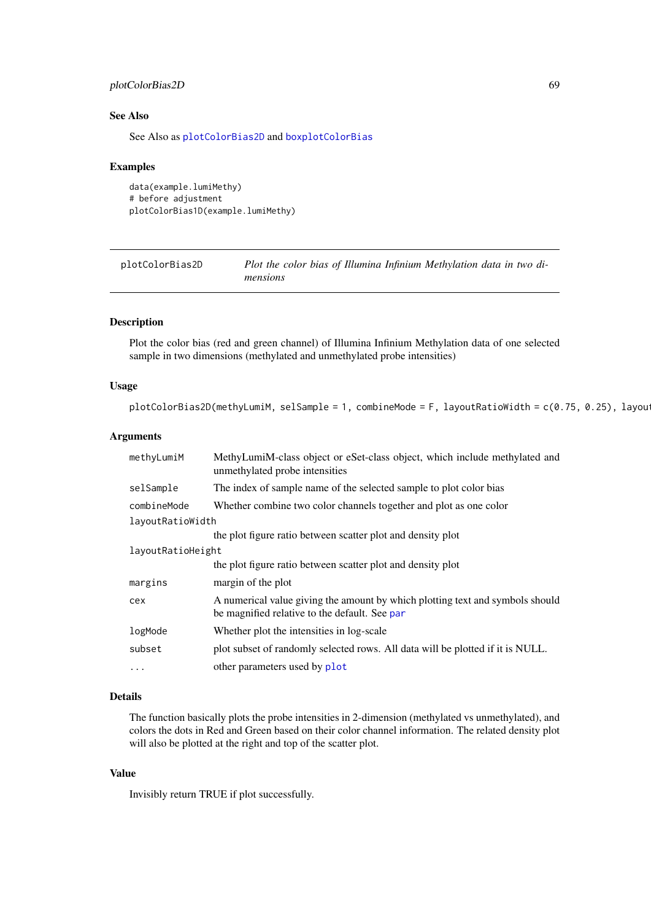#### plotColorBias2D 69

#### See Also

See Also as [plotColorBias2D](#page-68-0) and [boxplotColorBias](#page-14-0)

#### Examples

data(example.lumiMethy) # before adjustment plotColorBias1D(example.lumiMethy)

<span id="page-68-0"></span>plotColorBias2D *Plot the color bias of Illumina Infinium Methylation data in two dimensions*

#### Description

Plot the color bias (red and green channel) of Illumina Infinium Methylation data of one selected sample in two dimensions (methylated and unmethylated probe intensities)

### Usage

```
plotColorBias2D(methyLumiM, selSample = 1, combineMode = F, layoutRatioWidth = c(0.75, 0.25), layou
```
### Arguments

| methyLumiM        | MethyLumiM-class object or eSet-class object, which include methylated and<br>unmethylated probe intensities                   |
|-------------------|--------------------------------------------------------------------------------------------------------------------------------|
| selSample         | The index of sample name of the selected sample to plot color bias                                                             |
| combineMode       | Whether combine two color channels together and plot as one color                                                              |
| layoutRatioWidth  |                                                                                                                                |
|                   | the plot figure ratio between scatter plot and density plot                                                                    |
| layoutRatioHeight |                                                                                                                                |
|                   | the plot figure ratio between scatter plot and density plot                                                                    |
| margins           | margin of the plot                                                                                                             |
| cex               | A numerical value giving the amount by which plotting text and symbols should<br>be magnified relative to the default. See par |
| logMode           | Whether plot the intensities in log-scale                                                                                      |
| subset            | plot subset of randomly selected rows. All data will be plotted if it is NULL.                                                 |
| .                 | other parameters used by plot                                                                                                  |

### Details

The function basically plots the probe intensities in 2-dimension (methylated vs unmethylated), and colors the dots in Red and Green based on their color channel information. The related density plot will also be plotted at the right and top of the scatter plot.

### Value

Invisibly return TRUE if plot successfully.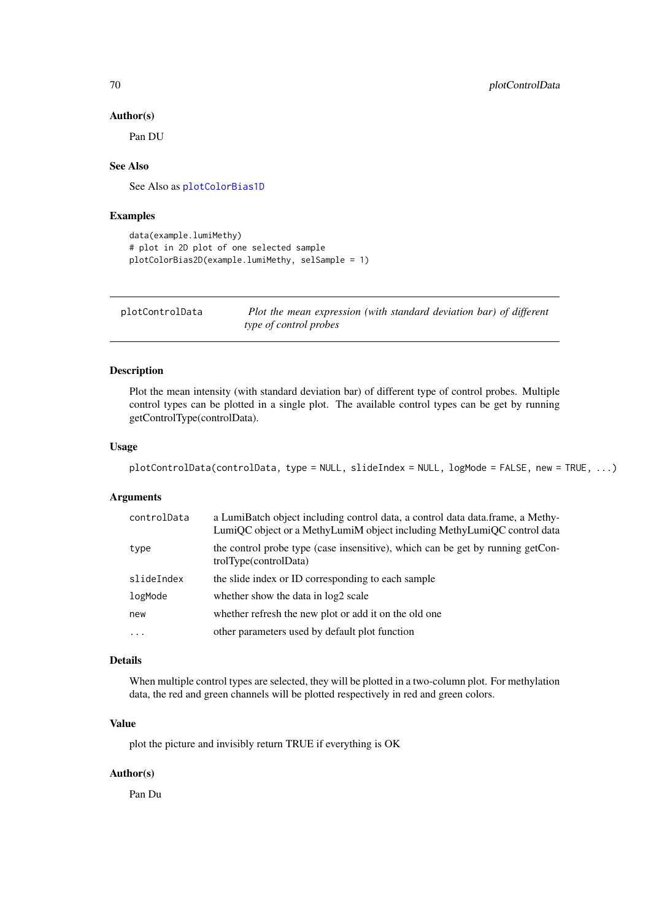#### Author(s)

Pan DU

# See Also

See Also as [plotColorBias1D](#page-67-0)

### Examples

```
data(example.lumiMethy)
# plot in 2D plot of one selected sample
plotColorBias2D(example.lumiMethy, selSample = 1)
```

| plotControlData | Plot the mean expression (with standard deviation bar) of different |
|-----------------|---------------------------------------------------------------------|
|                 | type of control probes                                              |

### Description

Plot the mean intensity (with standard deviation bar) of different type of control probes. Multiple control types can be plotted in a single plot. The available control types can be get by running getControlType(controlData).

#### Usage

```
plotControlData(controlData, type = NULL, slideIndex = NULL, logMode = FALSE, new = TRUE, ...)
```
#### Arguments

| controlData | a LumiBatch object including control data, a control data data. frame, a Methy-<br>LumiQC object or a MethyLumiM object including MethyLumiQC control data |
|-------------|------------------------------------------------------------------------------------------------------------------------------------------------------------|
| type        | the control probe type (case insensitive), which can be get by running getCon-<br>trolType(controlData)                                                    |
| slideIndex  | the slide index or ID corresponding to each sample                                                                                                         |
| logMode     | whether show the data in log2 scale                                                                                                                        |
| new         | whether refresh the new plot or add it on the old one                                                                                                      |
| $\cdot$     | other parameters used by default plot function                                                                                                             |

### Details

When multiple control types are selected, they will be plotted in a two-column plot. For methylation data, the red and green channels will be plotted respectively in red and green colors.

### Value

plot the picture and invisibly return TRUE if everything is OK

# Author(s)

Pan Du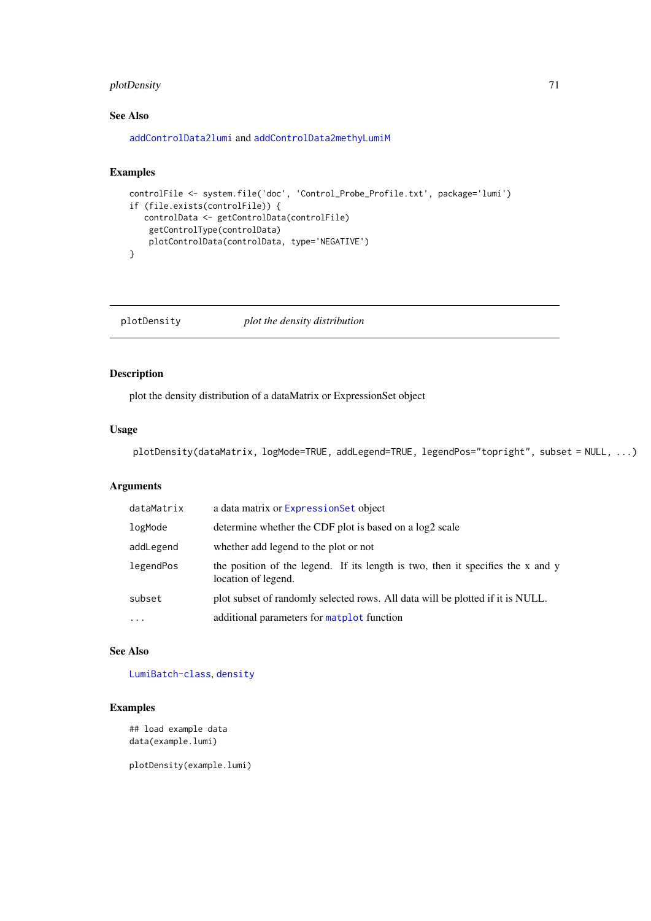# plotDensity 71

### See Also

[addControlData2lumi](#page-4-0) and [addControlData2methyLumiM](#page-5-0)

#### Examples

```
controlFile <- system.file('doc', 'Control_Probe_Profile.txt', package='lumi')
if (file.exists(controlFile)) {
   controlData <- getControlData(controlFile)
   getControlType(controlData)
    plotControlData(controlData, type='NEGATIVE')
}
```
plotDensity *plot the density distribution*

# Description

plot the density distribution of a dataMatrix or ExpressionSet object

# Usage

```
plotDensity(dataMatrix, logMode=TRUE, addLegend=TRUE, legendPos="topright", subset = NULL, ...)
```
# Arguments

| dataMatrix | a data matrix or Expression Set object                                                                 |
|------------|--------------------------------------------------------------------------------------------------------|
| logMode    | determine whether the CDF plot is based on a log2 scale                                                |
| addLegend  | whether add legend to the plot or not                                                                  |
| legendPos  | the position of the legend. If its length is two, then it specifies the x and y<br>location of legend. |
| subset     | plot subset of randomly selected rows. All data will be plotted if it is NULL.                         |
| $\cdots$   | additional parameters for matplot function                                                             |

# See Also

[LumiBatch-class](#page-38-1), [density](#page-0-0)

### Examples

## load example data data(example.lumi)

plotDensity(example.lumi)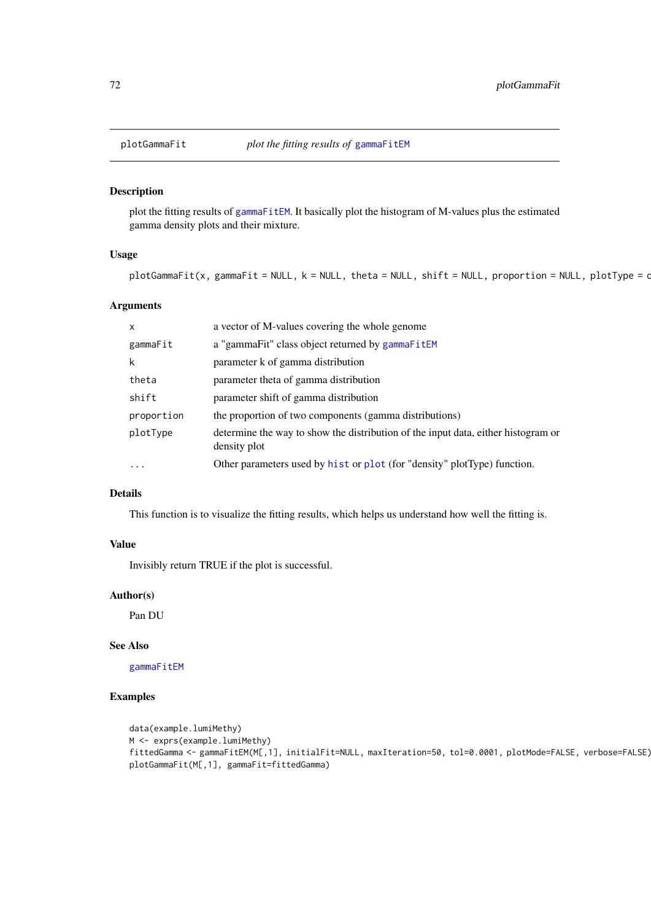plot the fitting results of [gammaFitEM](#page-25-0). It basically plot the histogram of M-values plus the estimated gamma density plots and their mixture.

# Usage

```
plotGammaFit(x, gammaFit = NULL, k = NULL, theta = NULL, shift = NULL, proportion = NULL, plotType = c
```
# Arguments

| $\boldsymbol{\mathsf{x}}$ | a vector of M-values covering the whole genome                                                    |
|---------------------------|---------------------------------------------------------------------------------------------------|
| gammaFit                  | a "gammaFit" class object returned by gammaFitEM                                                  |
| k                         | parameter k of gamma distribution                                                                 |
| theta                     | parameter theta of gamma distribution                                                             |
| shift                     | parameter shift of gamma distribution                                                             |
| proportion                | the proportion of two components (gamma distributions)                                            |
| plotType                  | determine the way to show the distribution of the input data, either histogram or<br>density plot |
| $\ddots$                  | Other parameters used by hist or plot (for "density" plotType) function.                          |

#### Details

This function is to visualize the fitting results, which helps us understand how well the fitting is.

# Value

Invisibly return TRUE if the plot is successful.

### Author(s)

Pan DU

# See Also

[gammaFitEM](#page-25-0)

```
data(example.lumiMethy)
M <- exprs(example.lumiMethy)
fittedGamma <- gammaFitEM(M[,1], initialFit=NULL, maxIteration=50, tol=0.0001, plotMode=FALSE, verbose=FALSE)
plotGammaFit(M[,1], gammaFit=fittedGamma)
```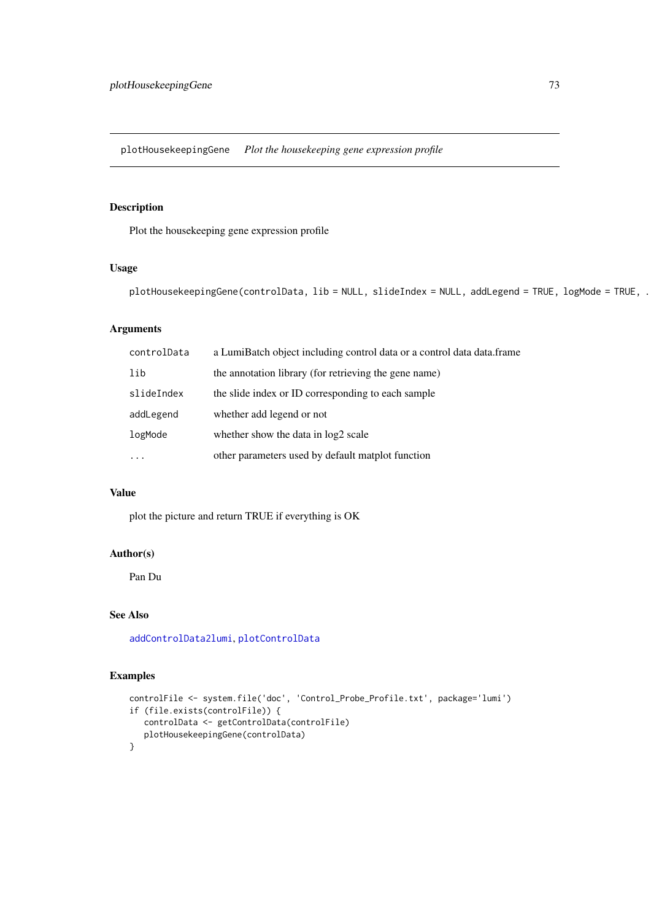<span id="page-72-0"></span>plotHousekeepingGene *Plot the housekeeping gene expression profile*

# Description

Plot the housekeeping gene expression profile

# Usage

plotHousekeepingGene(controlData, lib = NULL, slideIndex = NULL, addLegend = TRUE, logMode = TRUE, .

# Arguments

| controlData | a LumiBatch object including control data or a control data data.frame |
|-------------|------------------------------------------------------------------------|
| lib         | the annotation library (for retrieving the gene name)                  |
| slideIndex  | the slide index or ID corresponding to each sample                     |
| addLegend   | whether add legend or not                                              |
| logMode     | whether show the data in log2 scale                                    |
| $\cdots$    | other parameters used by default matplot function                      |

# Value

plot the picture and return TRUE if everything is OK

#### Author(s)

Pan Du

#### See Also

[addControlData2lumi](#page-4-0), [plotControlData](#page-69-0)

# Examples

```
controlFile <- system.file('doc', 'Control_Probe_Profile.txt', package='lumi')
if (file.exists(controlFile)) {
   controlData <- getControlData(controlFile)
   plotHousekeepingGene(controlData)
}
```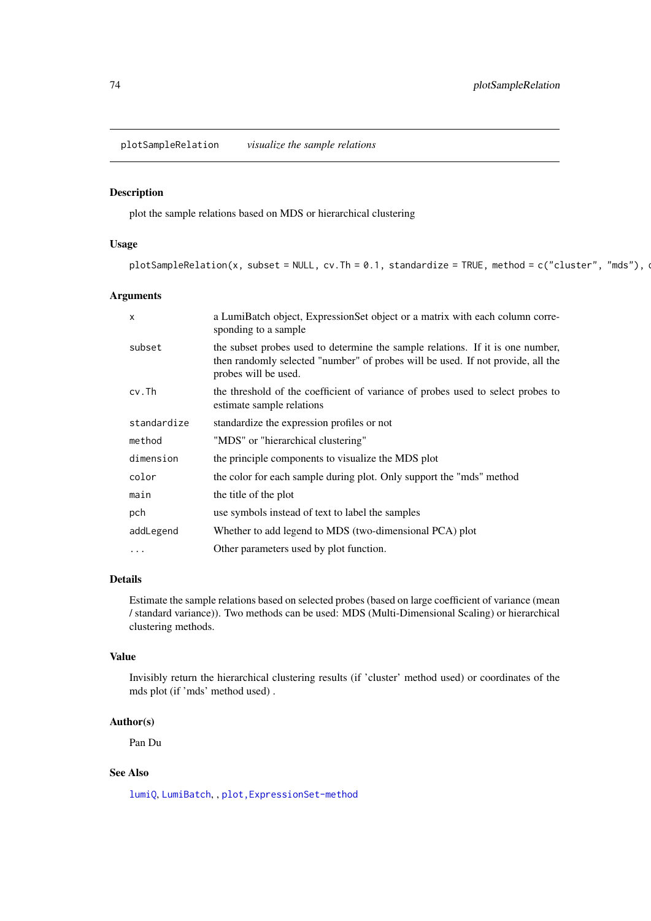<span id="page-73-0"></span>plotSampleRelation *visualize the sample relations*

# Description

plot the sample relations based on MDS or hierarchical clustering

# Usage

```
plotSampleRelation(x, subset = NULL, cv.Th = 0.1, standardize = TRUE, method = c("cluster", "mds"), \alpha
```
# Arguments

| $\mathsf{x}$ | a LumiBatch object, ExpressionSet object or a matrix with each column corre-                                                                                                              |
|--------------|-------------------------------------------------------------------------------------------------------------------------------------------------------------------------------------------|
|              | sponding to a sample                                                                                                                                                                      |
| subset       | the subset probes used to determine the sample relations. If it is one number,<br>then randomly selected "number" of probes will be used. If not provide, all the<br>probes will be used. |
| cv.Th        | the threshold of the coefficient of variance of probes used to select probes to<br>estimate sample relations                                                                              |
| standardize  | standardize the expression profiles or not                                                                                                                                                |
| method       | "MDS" or "hierarchical clustering"                                                                                                                                                        |
| dimension    | the principle components to visualize the MDS plot                                                                                                                                        |
| color        | the color for each sample during plot. Only support the "mds" method                                                                                                                      |
| main         | the title of the plot                                                                                                                                                                     |
| pch          | use symbols instead of text to label the samples                                                                                                                                          |
| addLegend    | Whether to add legend to MDS (two-dimensional PCA) plot                                                                                                                                   |
| $\cdots$     | Other parameters used by plot function.                                                                                                                                                   |

# Details

Estimate the sample relations based on selected probes (based on large coefficient of variance (mean / standard variance)). Two methods can be used: MDS (Multi-Dimensional Scaling) or hierarchical clustering methods.

# Value

Invisibly return the hierarchical clustering results (if 'cluster' method used) or coordinates of the mds plot (if 'mds' method used) .

#### Author(s)

Pan Du

# See Also

[lumiQ](#page-47-0), [LumiBatch](#page-38-0), , [plot,ExpressionSet-method](#page-0-0)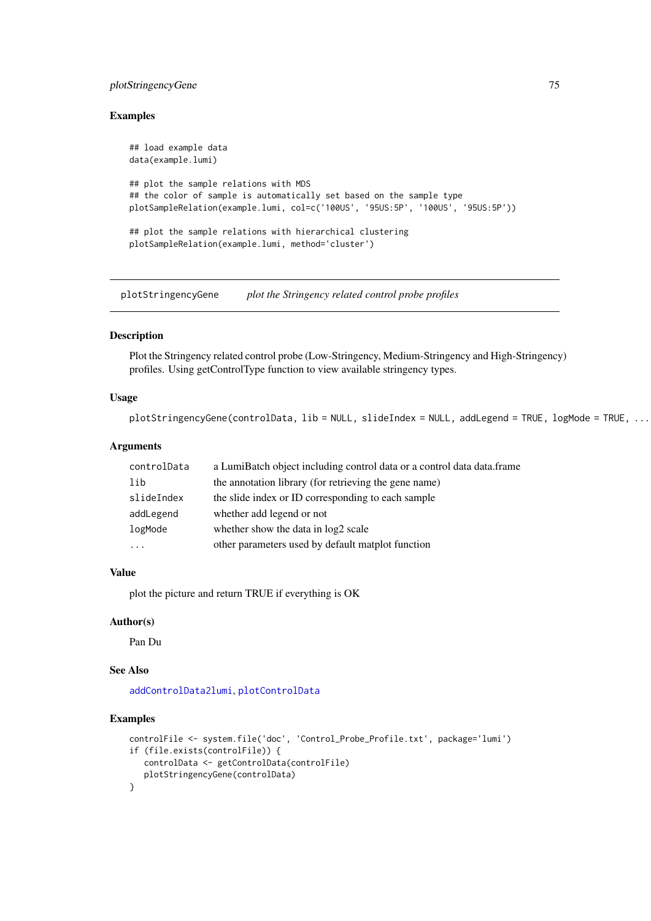#### <span id="page-74-0"></span>plotStringencyGene 75

#### Examples

```
## load example data
data(example.lumi)
## plot the sample relations with MDS
## the color of sample is automatically set based on the sample type
plotSampleRelation(example.lumi, col=c('100US', '95US:5P', '100US', '95US:5P'))
## plot the sample relations with hierarchical clustering
plotSampleRelation(example.lumi, method='cluster')
```
plotStringencyGene *plot the Stringency related control probe profiles*

#### Description

Plot the Stringency related control probe (Low-Stringency, Medium-Stringency and High-Stringency) profiles. Using getControlType function to view available stringency types.

#### Usage

```
plotStringencyGene(controlData, lib = NULL, slideIndex = NULL, addLegend = TRUE, logMode = TRUE, ...
```
#### Arguments

| controlData | a LumiBatch object including control data or a control data data.frame |
|-------------|------------------------------------------------------------------------|
| lib         | the annotation library (for retrieving the gene name)                  |
| slideIndex  | the slide index or ID corresponding to each sample                     |
| addLegend   | whether add legend or not                                              |
| logMode     | whether show the data in log2 scale                                    |
|             | other parameters used by default matplot function                      |

# Value

plot the picture and return TRUE if everything is OK

# Author(s)

Pan Du

#### See Also

[addControlData2lumi](#page-4-0), [plotControlData](#page-69-0)

# Examples

```
controlFile <- system.file('doc', 'Control_Probe_Profile.txt', package='lumi')
if (file.exists(controlFile)) {
   controlData <- getControlData(controlFile)
   plotStringencyGene(controlData)
}
```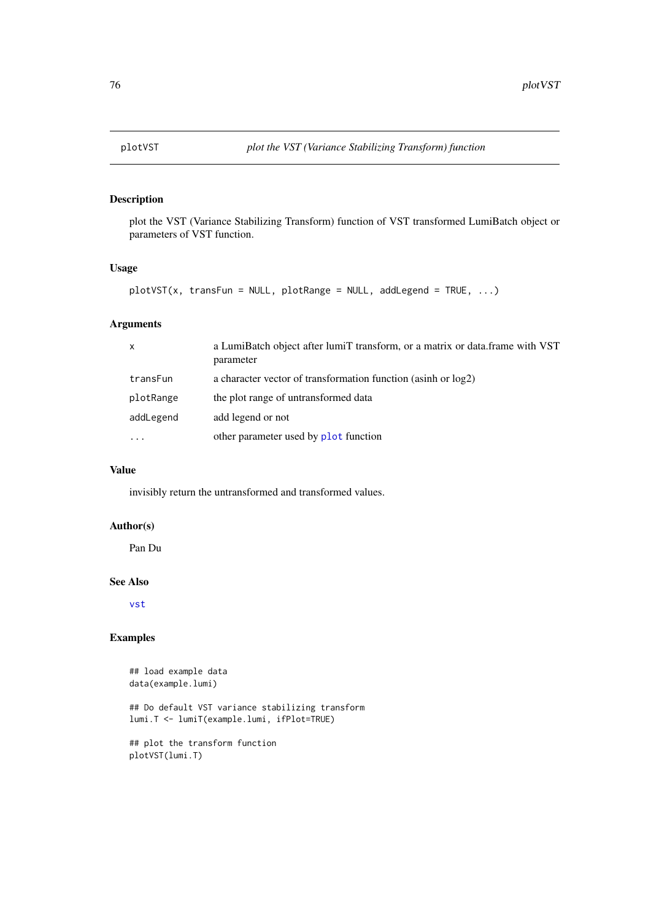#### <span id="page-75-0"></span>Description

plot the VST (Variance Stabilizing Transform) function of VST transformed LumiBatch object or parameters of VST function.

# Usage

```
plotVST(x, transFun = NULL, plotRange = NULL, addLegend = TRUE, ...)
```
# Arguments

| $\mathsf{x}$ | a LumiBatch object after lumiT transform, or a matrix or data frame with VST<br>parameter |
|--------------|-------------------------------------------------------------------------------------------|
| transFun     | a character vector of transformation function (asinh or log2)                             |
| plotRange    | the plot range of untransformed data                                                      |
| addLegend    | add legend or not                                                                         |
| $\cdots$     | other parameter used by plot function                                                     |

#### Value

invisibly return the untransformed and transformed values.

# Author(s)

Pan Du

# See Also

[vst](#page-87-0)

#### Examples

plotVST(lumi.T)

```
## load example data
data(example.lumi)
## Do default VST variance stabilizing transform
lumi.T <- lumiT(example.lumi, ifPlot=TRUE)
## plot the transform function
```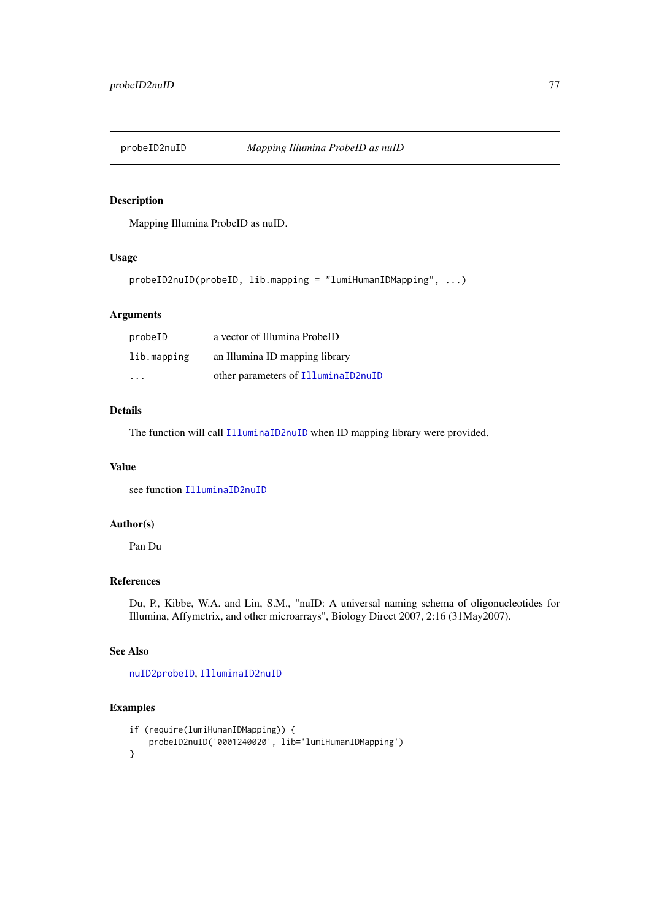<span id="page-76-0"></span>

# Description

Mapping Illumina ProbeID as nuID.

# Usage

```
probeID2nuID(probeID, lib.mapping = "lumiHumanIDMapping", ...)
```
# Arguments

| probeID                 | a vector of Illumina ProbeID        |
|-------------------------|-------------------------------------|
| lib.mapping             | an Illumina ID mapping library      |
| $\cdot$ $\cdot$ $\cdot$ | other parameters of IlluminaID2nuID |

#### Details

The function will call [IlluminaID2nuID](#page-33-0) when ID mapping library were provided.

#### Value

see function [IlluminaID2nuID](#page-33-0)

# Author(s)

Pan Du

# References

Du, P., Kibbe, W.A. and Lin, S.M., "nuID: A universal naming schema of oligonucleotides for Illumina, Affymetrix, and other microarrays", Biology Direct 2007, 2:16 (31May2007).

# See Also

[nuID2probeID](#page-61-0), [IlluminaID2nuID](#page-33-0)

# Examples

```
if (require(lumiHumanIDMapping)) {
   probeID2nuID('0001240020', lib='lumiHumanIDMapping')
}
```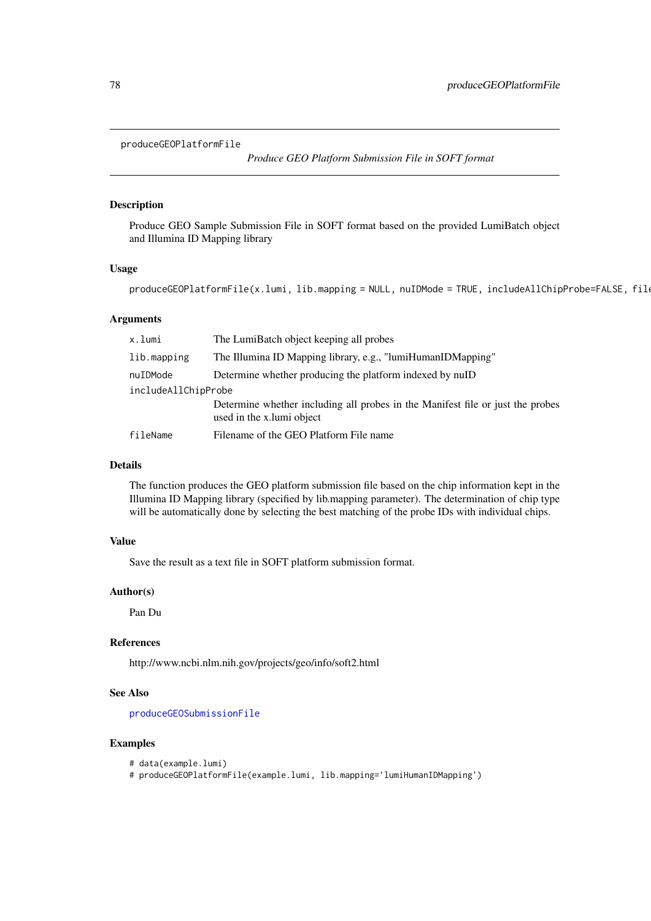#### <span id="page-77-1"></span><span id="page-77-0"></span>produceGEOPlatformFile

*Produce GEO Platform Submission File in SOFT format*

#### Description

Produce GEO Sample Submission File in SOFT format based on the provided LumiBatch object and Illumina ID Mapping library

#### Usage

 $p$ roduceGEOPlatformFile(x.lumi, lib.mapping = NULL, nuIDMode = TRUE, includeAllChipProbe=FALSE, file

# Arguments

| x.lumi              | The LumiBatch object keeping all probes                                                                     |  |
|---------------------|-------------------------------------------------------------------------------------------------------------|--|
| lib.mapping         | The Illumina ID Mapping library, e.g., "lumiHumanIDMapping"                                                 |  |
| nuIDMode            | Determine whether producing the platform indexed by nuID                                                    |  |
| includeAllChipProbe |                                                                                                             |  |
|                     | Determine whether including all probes in the Manifest file or just the probes<br>used in the x.lumi object |  |
| fileName            | Filename of the GEO Platform File name                                                                      |  |

#### Details

The function produces the GEO platform submission file based on the chip information kept in the Illumina ID Mapping library (specified by lib.mapping parameter). The determination of chip type will be automatically done by selecting the best matching of the probe IDs with individual chips.

# Value

Save the result as a text file in SOFT platform submission format.

#### Author(s)

Pan Du

#### References

http://www.ncbi.nlm.nih.gov/projects/geo/info/soft2.html

# See Also

[produceGEOSubmissionFile](#page-79-0)

# Examples

```
# data(example.lumi)
```
# produceGEOPlatformFile(example.lumi, lib.mapping='lumiHumanIDMapping')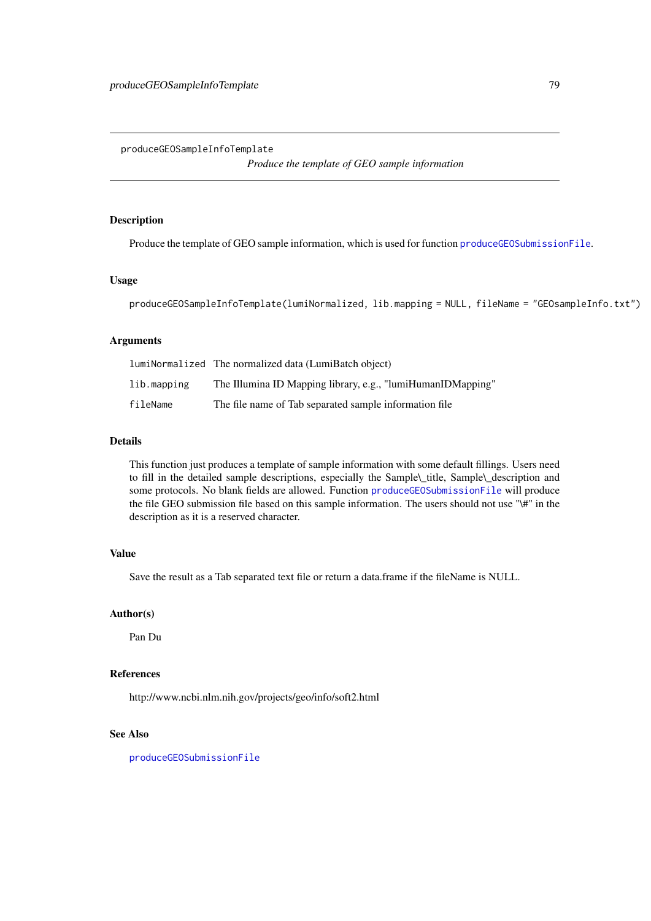<span id="page-78-1"></span><span id="page-78-0"></span>produceGEOSampleInfoTemplate

*Produce the template of GEO sample information*

# Description

Produce the template of GEO sample information, which is used for function [produceGEOSubmissionFile](#page-79-0).

# Usage

produceGEOSampleInfoTemplate(lumiNormalized, lib.mapping = NULL, fileName = "GEOsampleInfo.txt")

# Arguments

|             | lumiNormalized The normalized data (LumiBatch object)       |
|-------------|-------------------------------------------------------------|
| lib.mapping | The Illumina ID Mapping library, e.g., "lumiHumanIDMapping" |
| fileName    | The file name of Tab separated sample information file      |

# Details

This function just produces a template of sample information with some default fillings. Users need to fill in the detailed sample descriptions, especially the Sample\\_title, Sample\\_description and some protocols. No blank fields are allowed. Function [produceGEOSubmissionFile](#page-79-0) will produce the file GEO submission file based on this sample information. The users should not use "\#" in the description as it is a reserved character.

#### Value

Save the result as a Tab separated text file or return a data.frame if the fileName is NULL.

#### Author(s)

Pan Du

# References

http://www.ncbi.nlm.nih.gov/projects/geo/info/soft2.html

# See Also

[produceGEOSubmissionFile](#page-79-0)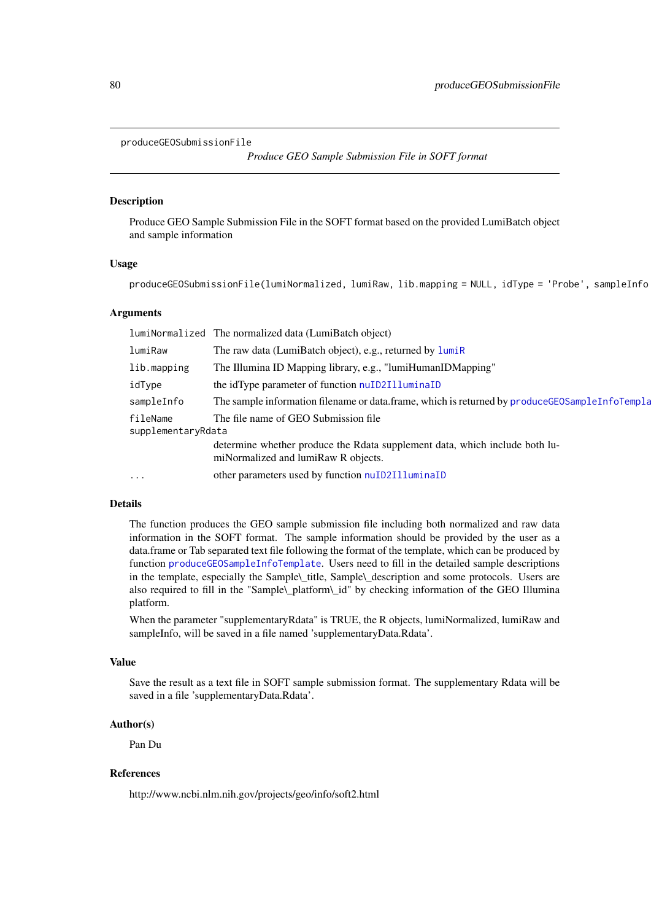```
produceGEOSubmissionFile
```
*Produce GEO Sample Submission File in SOFT format*

#### Description

Produce GEO Sample Submission File in the SOFT format based on the provided LumiBatch object and sample information

#### Usage

```
produceGEOSubmissionFile(lumiNormalized, lumiRaw, lib.mapping = NULL, idType = 'Probe', sampleInfo
```
#### Arguments

|                                | lumiNormalized The normalized data (LumiBatch object)                                                              |
|--------------------------------|--------------------------------------------------------------------------------------------------------------------|
| lumiRaw                        | The raw data (LumiBatch object), e.g., returned by lumiR                                                           |
| lib.mapping                    | The Illumina ID Mapping library, e.g., "lumiHumanIDMapping"                                                        |
| idType                         | the idType parameter of function nuID2IlluminaID                                                                   |
| sampleInfo                     | The sample information filename or data.frame, which is returned by produce GEOSampleInfoTempla                    |
| fileName<br>supplementaryRdata | The file name of GEO Submission file                                                                               |
|                                | determine whether produce the Rdata supplement data, which include both lu-<br>miNormalized and lumiRaw R objects. |
| $\ddots$                       | other parameters used by function nuID2IlluminaID                                                                  |
|                                |                                                                                                                    |

# Details

The function produces the GEO sample submission file including both normalized and raw data information in the SOFT format. The sample information should be provided by the user as a data.frame or Tab separated text file following the format of the template, which can be produced by function [produceGEOSampleInfoTemplate](#page-78-0). Users need to fill in the detailed sample descriptions in the template, especially the Sample\\_title, Sample\\_description and some protocols. Users are also required to fill in the "Sample\\_platform\\_id" by checking information of the GEO Illumina platform.

When the parameter "supplementaryRdata" is TRUE, the R objects, lumiNormalized, lumiRaw and sampleInfo, will be saved in a file named 'supplementaryData.Rdata'.

#### Value

Save the result as a text file in SOFT sample submission format. The supplementary Rdata will be saved in a file 'supplementaryData.Rdata'.

#### Author(s)

Pan Du

# References

http://www.ncbi.nlm.nih.gov/projects/geo/info/soft2.html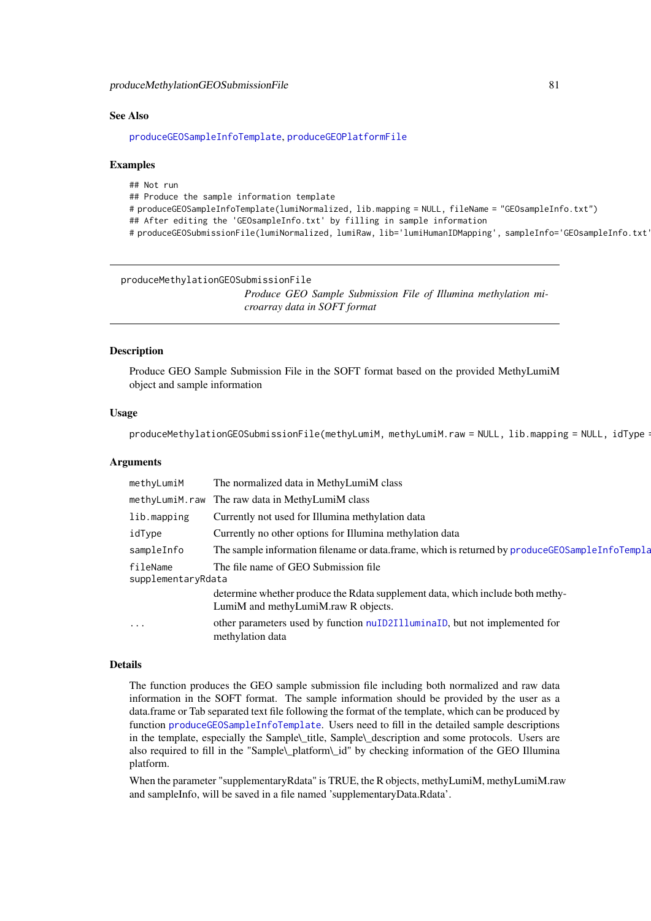<span id="page-80-0"></span>produceMethylationGEOSubmissionFile 81

#### See Also

[produceGEOSampleInfoTemplate](#page-78-0), [produceGEOPlatformFile](#page-77-0)

#### Examples

## Not run ## Produce the sample information template # produceGEOSampleInfoTemplate(lumiNormalized, lib.mapping = NULL, fileName = "GEOsampleInfo.txt") ## After editing the 'GEOsampleInfo.txt' by filling in sample information # produceGEOSubmissionFile(lumiNormalized, lumiRaw, lib='lumiHumanIDMapping', sampleInfo='GEOsampleInfo.txt')

produceMethylationGEOSubmissionFile

*Produce GEO Sample Submission File of Illumina methylation microarray data in SOFT format*

#### Description

Produce GEO Sample Submission File in the SOFT format based on the provided MethyLumiM object and sample information

#### Usage

produceMethylationGEOSubmissionFile(methyLumiM, methyLumiM.raw = NULL, lib.mapping = NULL, idType:

#### Arguments

| methyLumiM                                                             | The normalized data in MethyLumiM class                                                                               |
|------------------------------------------------------------------------|-----------------------------------------------------------------------------------------------------------------------|
|                                                                        | methyLumiM.raw The raw data in MethyLumiM class                                                                       |
| lib.mapping                                                            | Currently not used for Illumina methylation data                                                                      |
| idType                                                                 | Currently no other options for Illumina methylation data                                                              |
| sampleInfo                                                             | The sample information filename or data.frame, which is returned by produce GEOSampleInfoTempla                       |
| The file name of GEO Submission file<br>fileName<br>supplementaryRdata |                                                                                                                       |
|                                                                        | determine whether produce the Rdata supplement data, which include both methy-<br>LumiM and methyLumiM.raw R objects. |
| $\cdots$                                                               | other parameters used by function nuID2I11uminaID, but not implemented for<br>methylation data                        |

#### Details

The function produces the GEO sample submission file including both normalized and raw data information in the SOFT format. The sample information should be provided by the user as a data.frame or Tab separated text file following the format of the template, which can be produced by function [produceGEOSampleInfoTemplate](#page-78-0). Users need to fill in the detailed sample descriptions in the template, especially the Sample\\_title, Sample\\_description and some protocols. Users are also required to fill in the "Sample\\_platform\\_id" by checking information of the GEO Illumina platform.

When the parameter "supplementaryRdata" is TRUE, the R objects, methyLumiM, methyLumiM.raw and sampleInfo, will be saved in a file named 'supplementaryData.Rdata'.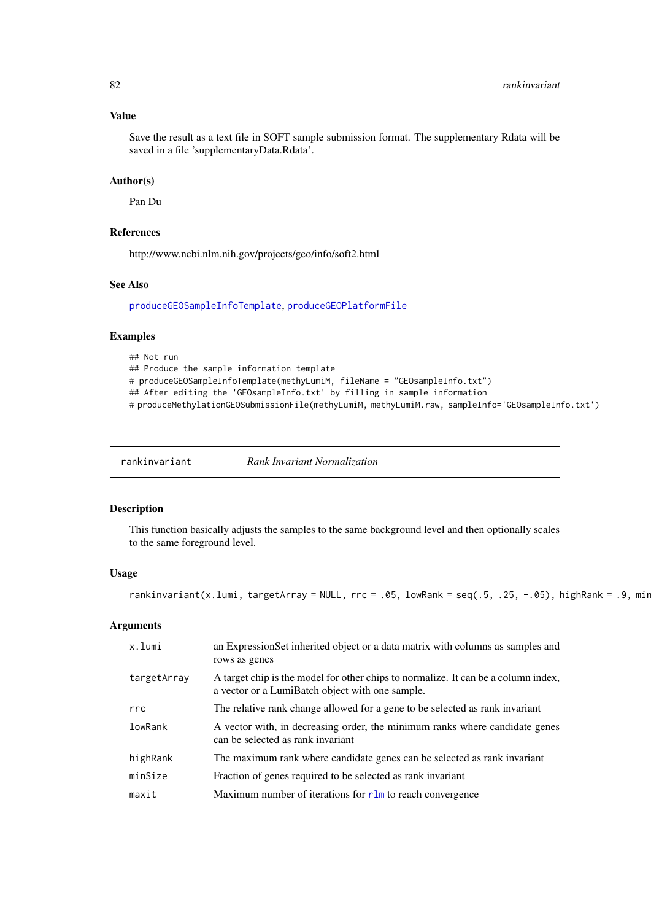# Value

Save the result as a text file in SOFT sample submission format. The supplementary Rdata will be saved in a file 'supplementaryData.Rdata'.

# Author(s)

Pan Du

# References

http://www.ncbi.nlm.nih.gov/projects/geo/info/soft2.html

# See Also

[produceGEOSampleInfoTemplate](#page-78-0), [produceGEOPlatformFile](#page-77-0)

#### Examples

```
## Not run
## Produce the sample information template
# produceGEOSampleInfoTemplate(methyLumiM, fileName = "GEOsampleInfo.txt")
## After editing the 'GEOsampleInfo.txt' by filling in sample information
# produceMethylationGEOSubmissionFile(methyLumiM, methyLumiM.raw, sampleInfo='GEOsampleInfo.txt')
```
rankinvariant *Rank Invariant Normalization*

# Description

This function basically adjusts the samples to the same background level and then optionally scales to the same foreground level.

# Usage

```
rankinvariant(x.lumi, targetArray = NULL, rrc = .05, lowRank = seq(.5, .25, -.05), highRank = .9, min
```
#### Arguments

| an ExpressionSet inherited object or a data matrix with columns as samples and<br>rows as genes                                       |
|---------------------------------------------------------------------------------------------------------------------------------------|
| A target chip is the model for other chips to normalize. It can be a column index,<br>a vector or a LumiBatch object with one sample. |
| The relative rank change allowed for a gene to be selected as rank invariant                                                          |
| A vector with, in decreasing order, the minimum ranks where candidate genes<br>can be selected as rank invariant                      |
| The maximum rank where candidate genes can be selected as rank invariant                                                              |
| Fraction of genes required to be selected as rank invariant                                                                           |
| Maximum number of iterations for $r \ln$ to reach convergence                                                                         |
|                                                                                                                                       |

<span id="page-81-0"></span>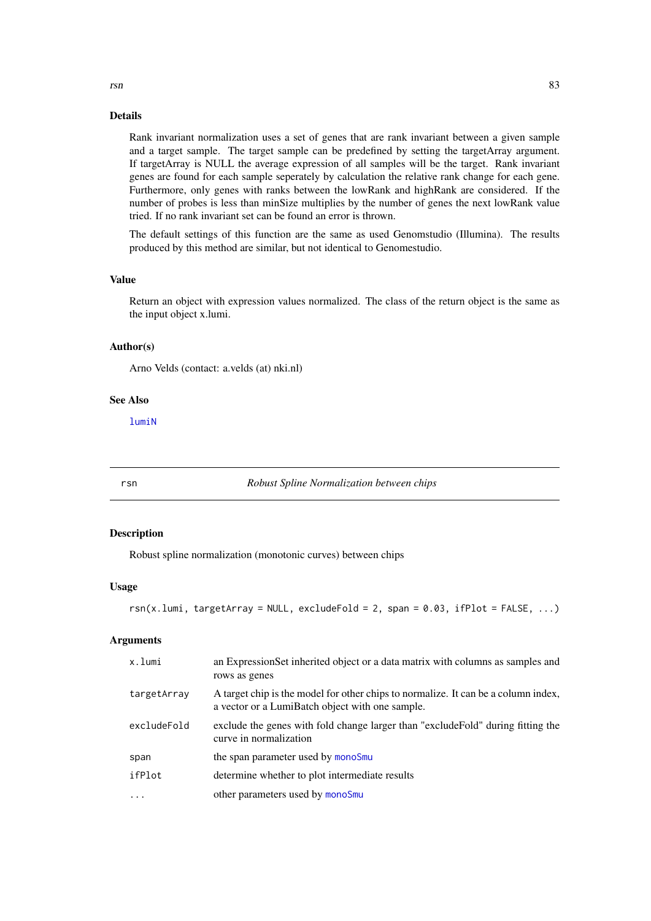#### Details

Rank invariant normalization uses a set of genes that are rank invariant between a given sample and a target sample. The target sample can be predefined by setting the targetArray argument. If targetArray is NULL the average expression of all samples will be the target. Rank invariant genes are found for each sample seperately by calculation the relative rank change for each gene. Furthermore, only genes with ranks between the lowRank and highRank are considered. If the number of probes is less than minSize multiplies by the number of genes the next lowRank value tried. If no rank invariant set can be found an error is thrown.

The default settings of this function are the same as used Genomstudio (Illumina). The results produced by this method are similar, but not identical to Genomestudio.

#### Value

Return an object with expression values normalized. The class of the return object is the same as the input object x.lumi.

#### Author(s)

Arno Velds (contact: a.velds (at) nki.nl)

#### See Also

[lumiN](#page-46-0)

rsn *Robust Spline Normalization between chips*

#### Description

Robust spline normalization (monotonic curves) between chips

#### Usage

```
rsn(x.lumi, targetArray = NULL, excludedFold = 2, span = 0.03, ifPlot = FALSE, ...)
```
# Arguments

| x.lumi      | an ExpressionSet inherited object or a data matrix with columns as samples and<br>rows as genes                                       |
|-------------|---------------------------------------------------------------------------------------------------------------------------------------|
| targetArray | A target chip is the model for other chips to normalize. It can be a column index,<br>a vector or a LumiBatch object with one sample. |
| excludeFold | exclude the genes with fold change larger than "exclude Fold" during fitting the<br>curve in normalization                            |
| span        | the span parameter used by monoSmu                                                                                                    |
| ifPlot      | determine whether to plot intermediate results                                                                                        |
| $\ddots$    | other parameters used by monoSmu                                                                                                      |

<span id="page-82-0"></span>rsn 83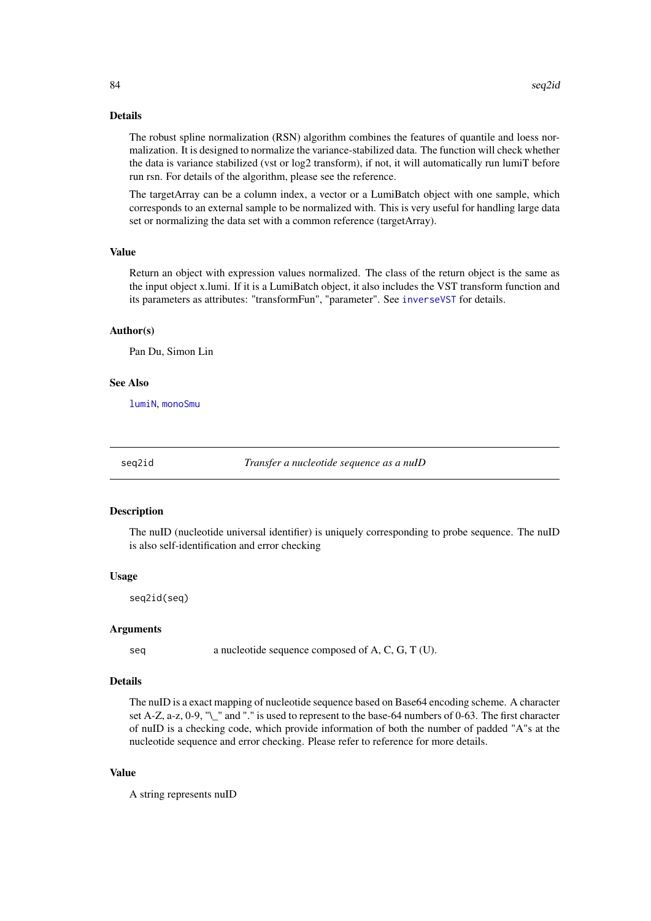#### <span id="page-83-0"></span>Details

The robust spline normalization (RSN) algorithm combines the features of quantile and loess normalization. It is designed to normalize the variance-stabilized data. The function will check whether the data is variance stabilized (vst or log2 transform), if not, it will automatically run lumiT before run rsn. For details of the algorithm, please see the reference.

The targetArray can be a column index, a vector or a LumiBatch object with one sample, which corresponds to an external sample to be normalized with. This is very useful for handling large data set or normalizing the data set with a common reference (targetArray).

# Value

Return an object with expression values normalized. The class of the return object is the same as the input object x.lumi. If it is a LumiBatch object, it also includes the VST transform function and its parameters as attributes: "transformFun", "parameter". See [inverseVST](#page-35-0) for details.

#### Author(s)

Pan Du, Simon Lin

#### See Also

[lumiN](#page-46-0), [monoSmu](#page-55-0)

seq2id *Transfer a nucleotide sequence as a nuID*

#### Description

The nuID (nucleotide universal identifier) is uniquely corresponding to probe sequence. The nuID is also self-identification and error checking

#### Usage

seq2id(seq)

#### Arguments

seq a nucleotide sequence composed of A, C, G, T (U).

#### Details

The nuID is a exact mapping of nucleotide sequence based on Base64 encoding scheme. A character set A-Z, a-z, 0-9, "\\_" and "." is used to represent to the base-64 numbers of 0-63. The first character of nuID is a checking code, which provide information of both the number of padded "A"s at the nucleotide sequence and error checking. Please refer to reference for more details.

#### Value

A string represents nuID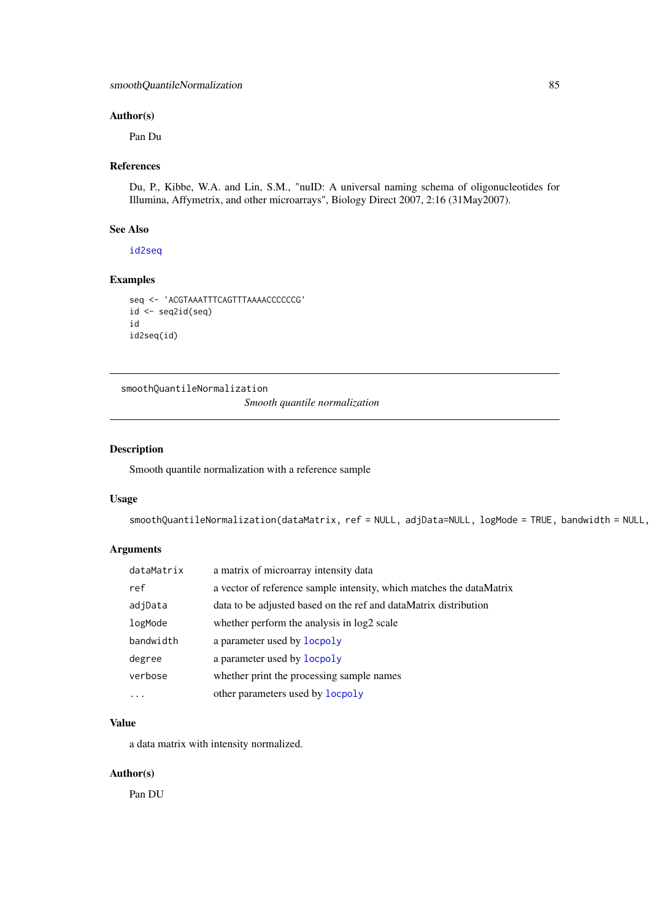#### <span id="page-84-0"></span>Author(s)

Pan Du

# References

Du, P., Kibbe, W.A. and Lin, S.M., "nuID: A universal naming schema of oligonucleotides for Illumina, Affymetrix, and other microarrays", Biology Direct 2007, 2:16 (31May2007).

### See Also

[id2seq](#page-32-0)

# Examples

```
seq <- 'ACGTAAATTTCAGTTTAAAACCCCCCG'
id <- seq2id(seq)
id
id2seq(id)
```
smoothQuantileNormalization *Smooth quantile normalization*

# Description

Smooth quantile normalization with a reference sample

# Usage

```
smoothQuantileNormalization(dataMatrix, ref = NULL, adjData=NULL, logMode = TRUE, bandwidth = NULL,
```
# Arguments

| dataMatrix | a matrix of microarray intensity data                                |
|------------|----------------------------------------------------------------------|
| ref        | a vector of reference sample intensity, which matches the dataMatrix |
| adjData    | data to be adjusted based on the ref and dataMatrix distribution     |
| logMode    | whether perform the analysis in log2 scale                           |
| bandwidth  | a parameter used by locpoly                                          |
| degree     | a parameter used by locpoly                                          |
| verbose    | whether print the processing sample names                            |
|            | other parameters used by <b>locpoly</b>                              |

#### Value

a data matrix with intensity normalized.

# Author(s)

Pan DU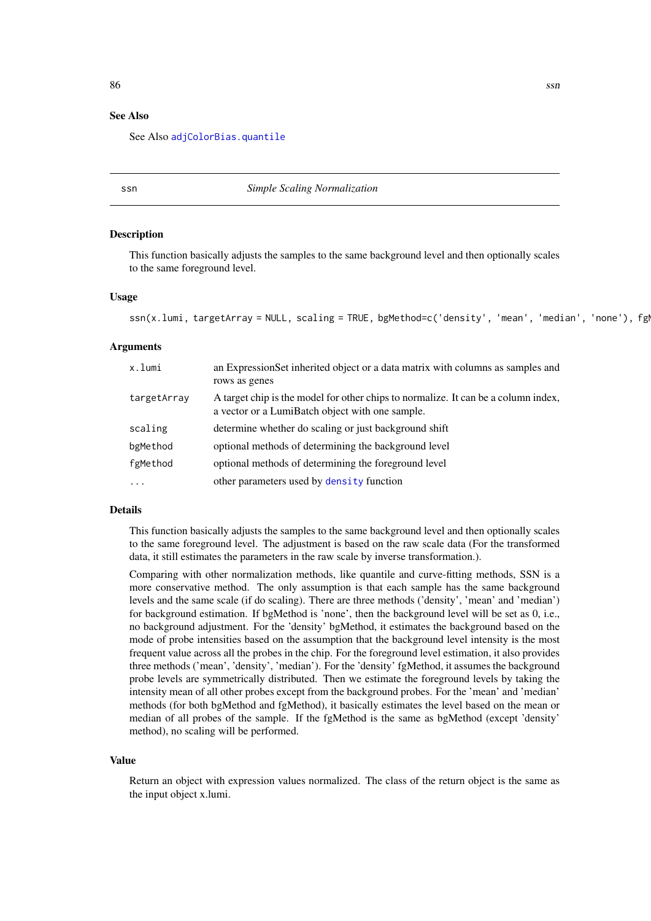#### See Also

See Also [adjColorBias.quantile](#page-7-0)

ssn *Simple Scaling Normalization*

#### Description

This function basically adjusts the samples to the same background level and then optionally scales to the same foreground level.

#### Usage

```
ssn(x.lumi, targetArray = NULL, scaling = TRUE, bgMethod=c('density', 'mean', 'median', 'none'), fg
```
#### Arguments

| x.lumi      | an ExpressionSet inherited object or a data matrix with columns as samples and<br>rows as genes                                       |
|-------------|---------------------------------------------------------------------------------------------------------------------------------------|
| targetArray | A target chip is the model for other chips to normalize. It can be a column index,<br>a vector or a LumiBatch object with one sample. |
| scaling     | determine whether do scaling or just background shift                                                                                 |
| bgMethod    | optional methods of determining the background level                                                                                  |
| fgMethod    | optional methods of determining the foreground level                                                                                  |
| $\cdots$    | other parameters used by density function                                                                                             |

#### Details

This function basically adjusts the samples to the same background level and then optionally scales to the same foreground level. The adjustment is based on the raw scale data (For the transformed data, it still estimates the parameters in the raw scale by inverse transformation.).

Comparing with other normalization methods, like quantile and curve-fitting methods, SSN is a more conservative method. The only assumption is that each sample has the same background levels and the same scale (if do scaling). There are three methods ('density', 'mean' and 'median') for background estimation. If bgMethod is 'none', then the background level will be set as 0, i.e., no background adjustment. For the 'density' bgMethod, it estimates the background based on the mode of probe intensities based on the assumption that the background level intensity is the most frequent value across all the probes in the chip. For the foreground level estimation, it also provides three methods ('mean', 'density', 'median'). For the 'density' fgMethod, it assumes the background probe levels are symmetrically distributed. Then we estimate the foreground levels by taking the intensity mean of all other probes except from the background probes. For the 'mean' and 'median' methods (for both bgMethod and fgMethod), it basically estimates the level based on the mean or median of all probes of the sample. If the fgMethod is the same as bgMethod (except 'density' method), no scaling will be performed.

#### Value

Return an object with expression values normalized. The class of the return object is the same as the input object x.lumi.

<span id="page-85-0"></span>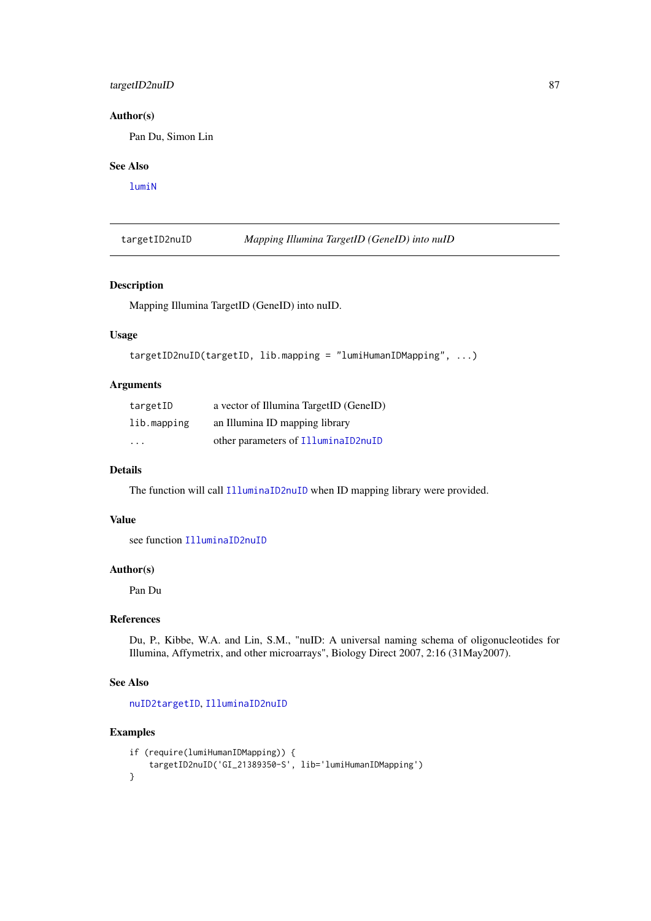#### <span id="page-86-0"></span>targetID2nuID 87

#### Author(s)

Pan Du, Simon Lin

#### See Also

[lumiN](#page-46-0)

targetID2nuID *Mapping Illumina TargetID (GeneID) into nuID*

# Description

Mapping Illumina TargetID (GeneID) into nuID.

# Usage

```
targetID2nuID(targetID, lib.mapping = "lumiHumanIDMapping", ...)
```
# Arguments

| targetID    | a vector of Illumina TargetID (GeneID) |
|-------------|----------------------------------------|
| lib.mapping | an Illumina ID mapping library         |
| $\cdot$     | other parameters of IlluminaID2nuID    |

#### Details

The function will call [IlluminaID2nuID](#page-33-0) when ID mapping library were provided.

#### Value

see function [IlluminaID2nuID](#page-33-0)

# Author(s)

Pan Du

#### References

Du, P., Kibbe, W.A. and Lin, S.M., "nuID: A universal naming schema of oligonucleotides for Illumina, Affymetrix, and other microarrays", Biology Direct 2007, 2:16 (31May2007).

#### See Also

[nuID2targetID](#page-63-0), [IlluminaID2nuID](#page-33-0)

#### Examples

```
if (require(lumiHumanIDMapping)) {
    targetID2nuID('GI_21389350-S', lib='lumiHumanIDMapping')
}
```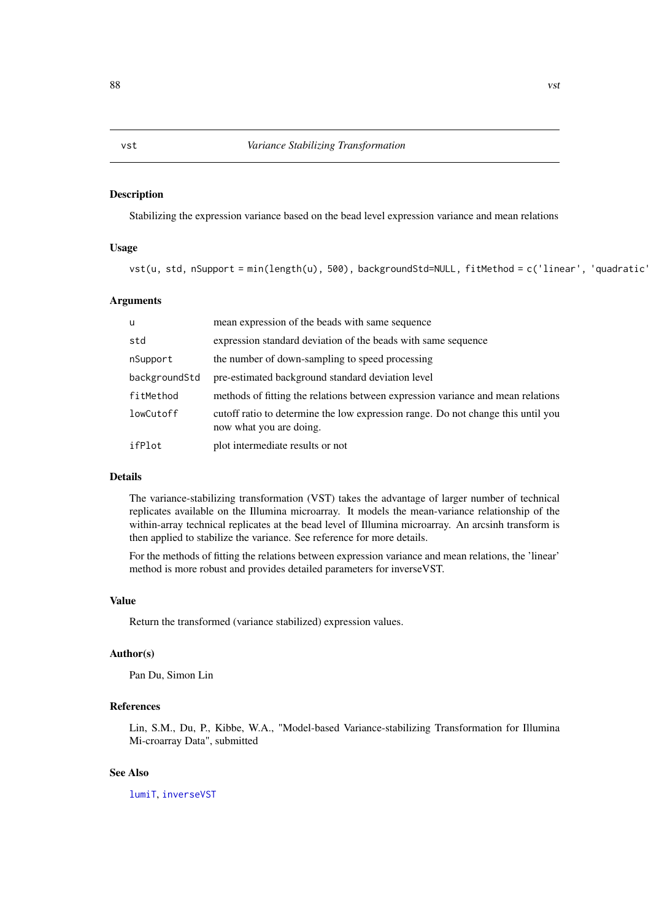#### <span id="page-87-1"></span><span id="page-87-0"></span>Description

Stabilizing the expression variance based on the bead level expression variance and mean relations

#### Usage

vst(u, std, nSupport = min(length(u), 500), backgroundStd=NULL, fitMethod = c('linear', 'quadratic'

#### Arguments

| <b>u</b>      | mean expression of the beads with same sequence                                                             |
|---------------|-------------------------------------------------------------------------------------------------------------|
| std           | expression standard deviation of the beads with same sequence                                               |
| nSupport      | the number of down-sampling to speed processing                                                             |
| backgroundStd | pre-estimated background standard deviation level                                                           |
| fitMethod     | methods of fitting the relations between expression variance and mean relations                             |
| lowCutoff     | cutoff ratio to determine the low expression range. Do not change this until you<br>now what you are doing. |
| ifPlot        | plot intermediate results or not                                                                            |

# Details

The variance-stabilizing transformation (VST) takes the advantage of larger number of technical replicates available on the Illumina microarray. It models the mean-variance relationship of the within-array technical replicates at the bead level of Illumina microarray. An arcsinh transform is then applied to stabilize the variance. See reference for more details.

For the methods of fitting the relations between expression variance and mean relations, the 'linear' method is more robust and provides detailed parameters for inverseVST.

#### Value

Return the transformed (variance stabilized) expression values.

#### Author(s)

Pan Du, Simon Lin

#### References

Lin, S.M., Du, P., Kibbe, W.A., "Model-based Variance-stabilizing Transformation for Illumina Mi-croarray Data", submitted

# See Also

[lumiT](#page-51-0), [inverseVST](#page-35-0)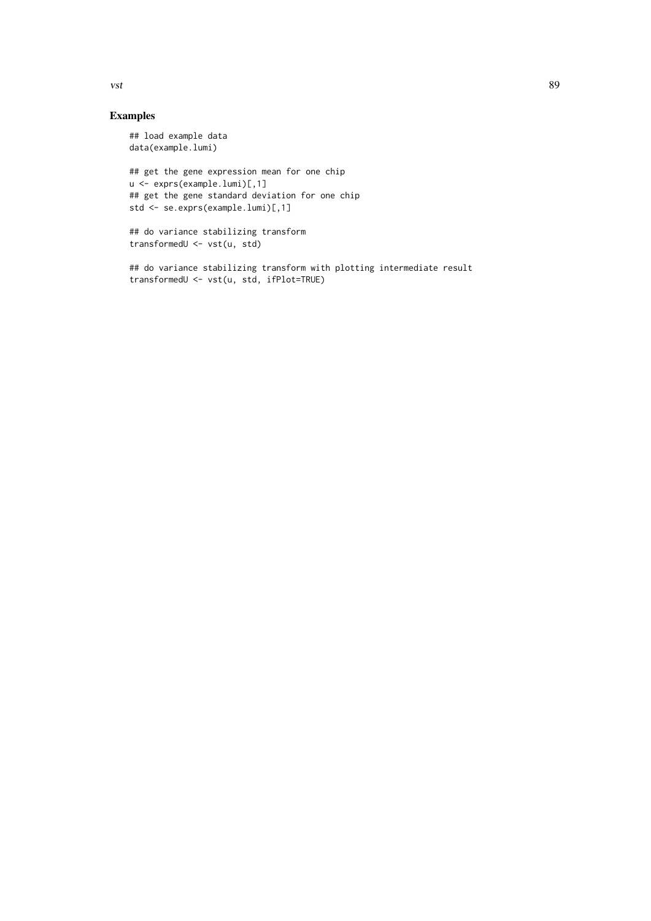Examples

# ## load example data data(example.lumi)

```
## get the gene expression mean for one chip
u <- exprs(example.lumi)[,1]
## get the gene standard deviation for one chip
std <- se.exprs(example.lumi)[,1]
```

```
## do variance stabilizing transform
transformedU <- vst(u, std)
```
## do variance stabilizing transform with plotting intermediate result transformedU <- vst(u, std, ifPlot=TRUE)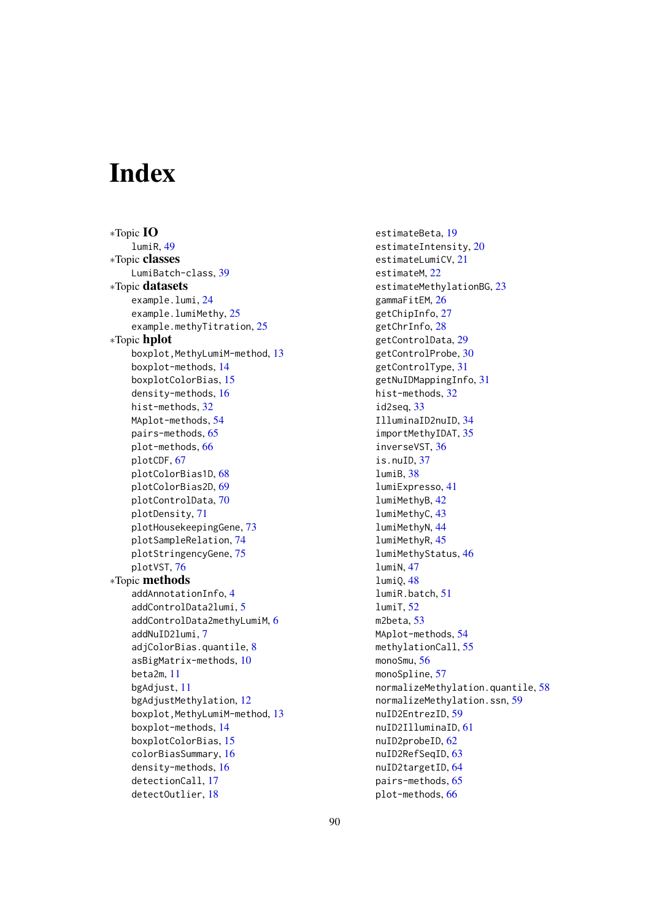# Index

∗Topic IO lumiR, [49](#page-48-1) ∗Topic classes LumiBatch-class, [39](#page-38-1) ∗Topic datasets example.lumi, [24](#page-23-0) example.lumiMethy, [25](#page-24-0) example.methyTitration, [25](#page-24-0) ∗Topic hplot boxplot, MethyLumiM-method, [13](#page-12-0) boxplot-methods, [14](#page-13-0) boxplotColorBias, [15](#page-14-0) density-methods, [16](#page-15-0) hist-methods, [32](#page-31-0) MAplot-methods, [54](#page-53-0) pairs-methods, [65](#page-64-0) plot-methods, [66](#page-65-0) plotCDF, [67](#page-66-0) plotColorBias1D, [68](#page-67-0) plotColorBias2D, [69](#page-68-0) plotControlData, [70](#page-69-1) plotDensity, [71](#page-70-0) plotHousekeepingGene, [73](#page-72-0) plotSampleRelation, [74](#page-73-0) plotStringencyGene, [75](#page-74-0) plotVST, [76](#page-75-0) ∗Topic methods addAnnotationInfo, [4](#page-3-0) addControlData2lumi, [5](#page-4-1) addControlData2methyLumiM, [6](#page-5-0) addNuID2lumi, [7](#page-6-0) adjColorBias.quantile, [8](#page-7-1) asBigMatrix-methods, [10](#page-9-0) beta2m, [11](#page-10-0) bgAdjust, [11](#page-10-0) bgAdjustMethylation, [12](#page-11-0) boxplot, MethyLumiM-method, [13](#page-12-0) boxplot-methods, [14](#page-13-0) boxplotColorBias, [15](#page-14-0) colorBiasSummary, [16](#page-15-0) density-methods, [16](#page-15-0) detectionCall, [17](#page-16-0) detectOutlier, [18](#page-17-0)

estimateBeta, [19](#page-18-0) estimateIntensity, [20](#page-19-0) estimateLumiCV, [21](#page-20-0) estimateM, [22](#page-21-0) estimateMethylationBG, [23](#page-22-0) gammaFitEM, [26](#page-25-0) getChipInfo, [27](#page-26-0) getChrInfo, [28](#page-27-0) getControlData, [29](#page-28-0) getControlProbe, [30](#page-29-0) getControlType, [31](#page-30-0) getNuIDMappingInfo, [31](#page-30-0) hist-methods, [32](#page-31-0) id2seq, [33](#page-32-1) IlluminaID2nuID, [34](#page-33-1) importMethyIDAT, [35](#page-34-0) inverseVST, [36](#page-35-1) is.nuID, [37](#page-36-0) lumiB, [38](#page-37-0) lumiExpresso, [41](#page-40-0) lumiMethyB, [42](#page-41-0) lumiMethyC, [43](#page-42-0) lumiMethyN, [44](#page-43-0) lumiMethyR, [45](#page-44-0) lumiMethyStatus, [46](#page-45-0) lumiN, [47](#page-46-1) lumiQ, [48](#page-47-1) lumiR.batch, [51](#page-50-0) lumiT, [52](#page-51-1) m2beta, [53](#page-52-0) MAplot-methods, [54](#page-53-0) methylationCall, [55](#page-54-0) monoSmu, [56](#page-55-1) monoSpline, [57](#page-56-0) normalizeMethylation.quantile, [58](#page-57-0) normalizeMethylation.ssn, [59](#page-58-0) nuID2EntrezID, [59](#page-58-0) nuID2IlluminaID, [61](#page-60-1) nuID2probeID, [62](#page-61-1) nuID2RefSeqID, [63](#page-62-0) nuID2targetID, [64](#page-63-1) pairs-methods, [65](#page-64-0) plot-methods, [66](#page-65-0)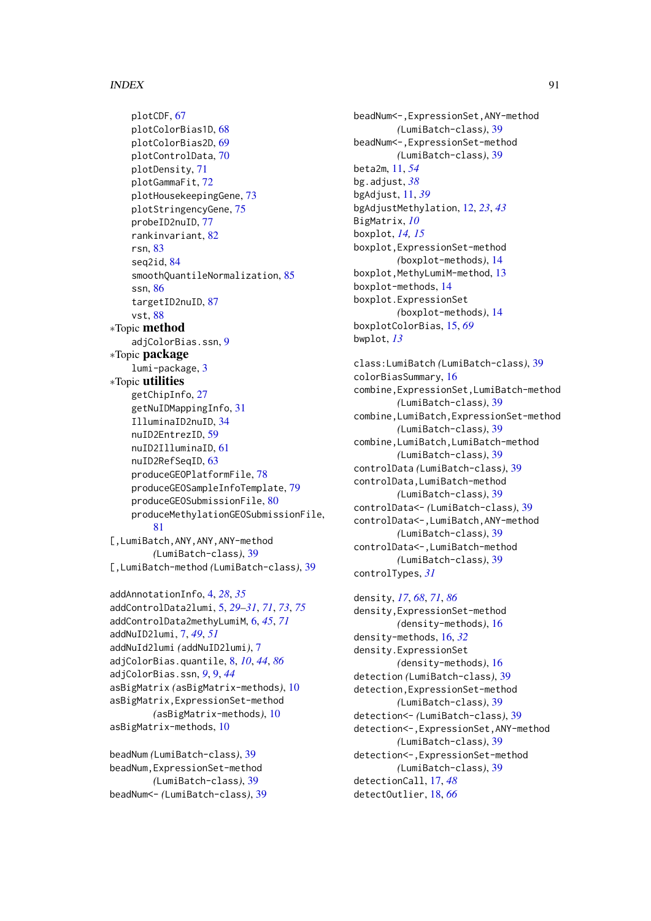#### INDEX  $91$

plotCDF, [67](#page-66-0) plotColorBias1D, [68](#page-67-0) plotColorBias2D, [69](#page-68-0) plotControlData, [70](#page-69-1) plotDensity, [71](#page-70-0) plotGammaFit, [72](#page-71-0) plotHousekeepingGene, [73](#page-72-0) plotStringencyGene, [75](#page-74-0) probeID2nuID, [77](#page-76-0) rankinvariant, [82](#page-81-0) rsn, [83](#page-82-0) seq2id, [84](#page-83-0) smoothQuantileNormalization, [85](#page-84-0) ssn, [86](#page-85-0) targetID2nuID, [87](#page-86-0) vst, [88](#page-87-1) ∗Topic method adjColorBias.ssn, [9](#page-8-0) ∗Topic package lumi-package, [3](#page-2-0) ∗Topic utilities getChipInfo, [27](#page-26-0) getNuIDMappingInfo, [31](#page-30-0) IlluminaID2nuID, [34](#page-33-1) nuID2EntrezID, [59](#page-58-0) nuID2IlluminaID, [61](#page-60-1) nuID2RefSeqID, [63](#page-62-0) produceGEOPlatformFile, [78](#page-77-1) produceGEOSampleInfoTemplate, [79](#page-78-1) produceGEOSubmissionFile, [80](#page-79-1) produceMethylationGEOSubmissionFile, [81](#page-80-0) [,LumiBatch,ANY,ANY,ANY-method *(*LumiBatch-class*)*, [39](#page-38-1) [,LumiBatch-method *(*LumiBatch-class*)*, [39](#page-38-1) addAnnotationInfo, [4,](#page-3-0) *[28](#page-27-0)*, *[35](#page-34-0)* addControlData2lumi, [5,](#page-4-1) *[29–](#page-28-0)[31](#page-30-0)*, *[71](#page-70-0)*, *[73](#page-72-0)*, *[75](#page-74-0)* addControlData2methyLumiM, [6,](#page-5-0) *[45](#page-44-0)*, *[71](#page-70-0)* addNuID2lumi, [7,](#page-6-0) *[49](#page-48-1)*, *[51](#page-50-0)* addNuId2lumi *(*addNuID2lumi*)*, [7](#page-6-0) adjColorBias.quantile, [8,](#page-7-1) *[10](#page-9-0)*, *[44](#page-43-0)*, *[86](#page-85-0)* adjColorBias.ssn, *[9](#page-8-0)*, [9,](#page-8-0) *[44](#page-43-0)* asBigMatrix *(*asBigMatrix-methods*)*, [10](#page-9-0) asBigMatrix,ExpressionSet-method *(*asBigMatrix-methods*)*, [10](#page-9-0) asBigMatrix-methods, [10](#page-9-0) beadNum *(*LumiBatch-class*)*, [39](#page-38-1)

```
beadNum,ExpressionSet-method
        (LumiBatch-class), 39
beadNum<- (LumiBatch-class), 39
```
beadNum<-,ExpressionSet,ANY-method *(*LumiBatch-class*)*, [39](#page-38-1) beadNum<-,ExpressionSet-method *(*LumiBatch-class*)*, [39](#page-38-1) beta2m, [11,](#page-10-0) *[54](#page-53-0)* bg.adjust, *[38](#page-37-0)* bgAdjust, [11,](#page-10-0) *[39](#page-38-1)* bgAdjustMethylation, [12,](#page-11-0) *[23](#page-22-0)*, *[43](#page-42-0)* BigMatrix, *[10](#page-9-0)* boxplot, *[14,](#page-13-0) [15](#page-14-0)* boxplot,ExpressionSet-method *(*boxplot-methods*)*, [14](#page-13-0) boxplot, MethyLumiM-method, [13](#page-12-0) boxplot-methods, [14](#page-13-0) boxplot.ExpressionSet *(*boxplot-methods*)*, [14](#page-13-0) boxplotColorBias, [15,](#page-14-0) *[69](#page-68-0)* bwplot, *[13](#page-12-0)*

class:LumiBatch *(*LumiBatch-class*)*, [39](#page-38-1) colorBiasSummary, [16](#page-15-0) combine,ExpressionSet,LumiBatch-method *(*LumiBatch-class*)*, [39](#page-38-1) combine,LumiBatch,ExpressionSet-method *(*LumiBatch-class*)*, [39](#page-38-1) combine,LumiBatch,LumiBatch-method *(*LumiBatch-class*)*, [39](#page-38-1) controlData *(*LumiBatch-class*)*, [39](#page-38-1) controlData,LumiBatch-method *(*LumiBatch-class*)*, [39](#page-38-1) controlData<- *(*LumiBatch-class*)*, [39](#page-38-1) controlData<-,LumiBatch,ANY-method *(*LumiBatch-class*)*, [39](#page-38-1) controlData<-,LumiBatch-method *(*LumiBatch-class*)*, [39](#page-38-1) controlTypes, *[31](#page-30-0)*

```
density, 17, 68, 71, 86
density,ExpressionSet-method
        (density-methods), 16
density-methods, 16, 32
density.ExpressionSet
        (density-methods), 16
detection (LumiBatch-class), 39
detection,ExpressionSet-method
        (LumiBatch-class), 39
detection<- (LumiBatch-class), 39
detection<-,ExpressionSet,ANY-method
        (LumiBatch-class), 39
detection<-,ExpressionSet-method
        (LumiBatch-class), 39
detectionCall, 17, 48
detectOutlier, 18, 66
```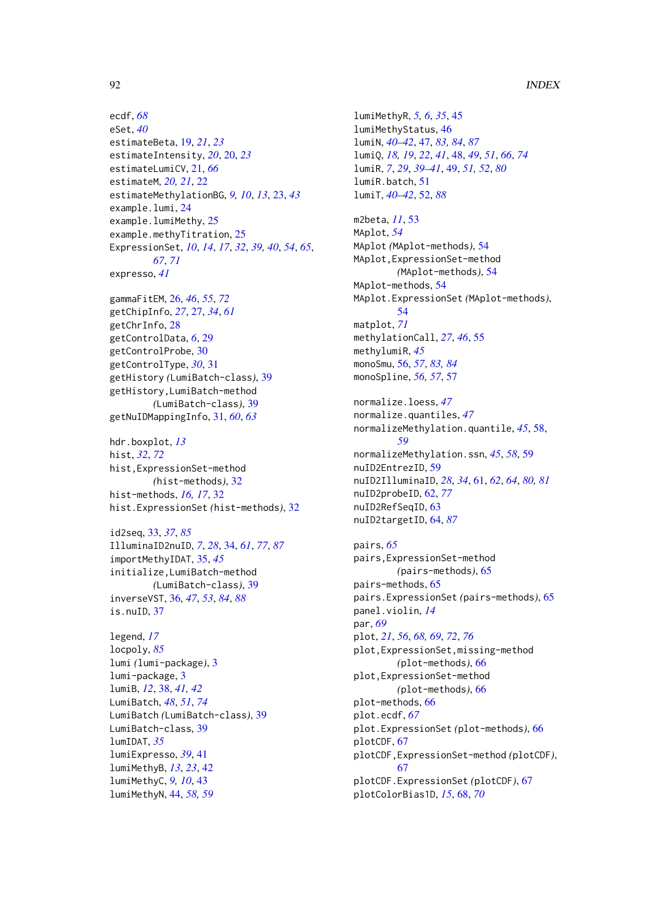```
ecdf, 68
eSet, 40
estimateBeta, 19, 21, 23
estimateIntensity, 20, 20, 23
estimateLumiCV, 21, 66
estimateM, 20, 21, 22
estimateMethylationBG, 9, 10, 13, 23, 43
example.lumi, 24
example.lumiMethy, 25
example.methyTitration, 25
ExpressionSet, 10, 14, 17, 32, 39, 40, 54, 65,
         67, 71
expresso, 41
```
gammaFitEM, [26,](#page-25-0) *[46](#page-45-0)*, *[55](#page-54-0)*, *[72](#page-71-0)* getChipInfo, *[27](#page-26-0)*, [27,](#page-26-0) *[34](#page-33-1)*, *[61](#page-60-1)* getChrInfo, [28](#page-27-0) getControlData, *[6](#page-5-0)*, [29](#page-28-0) getControlProbe, [30](#page-29-0) getControlType, *[30](#page-29-0)*, [31](#page-30-0) getHistory *(*LumiBatch-class*)*, [39](#page-38-1) getHistory,LumiBatch-method *(*LumiBatch-class*)*, [39](#page-38-1) getNuIDMappingInfo, [31,](#page-30-0) *[60](#page-59-0)*, *[63](#page-62-0)*

hdr.boxplot, *[13](#page-12-0)* hist, *[32](#page-31-0)*, *[72](#page-71-0)* hist,ExpressionSet-method *(*hist-methods*)*, [32](#page-31-0) hist-methods, *[16,](#page-15-0) [17](#page-16-0)*, [32](#page-31-0) hist.ExpressionSet *(*hist-methods*)*, [32](#page-31-0)

id2seq, [33,](#page-32-1) *[37](#page-36-0)*, *[85](#page-84-0)* IlluminaID2nuID, *[7](#page-6-0)*, *[28](#page-27-0)*, [34,](#page-33-1) *[61](#page-60-1)*, *[77](#page-76-0)*, *[87](#page-86-0)* importMethyIDAT, [35,](#page-34-0) *[45](#page-44-0)* initialize,LumiBatch-method *(*LumiBatch-class*)*, [39](#page-38-1) inverseVST, [36,](#page-35-1) *[47](#page-46-1)*, *[53](#page-52-0)*, *[84](#page-83-0)*, *[88](#page-87-1)* is.nuID, [37](#page-36-0)

legend, *[17](#page-16-0)* locpoly, *[85](#page-84-0)* lumi *(*lumi-package*)*, [3](#page-2-0) lumi-package, [3](#page-2-0) lumiB, *[12](#page-11-0)*, [38,](#page-37-0) *[41,](#page-40-0) [42](#page-41-0)* LumiBatch, *[48](#page-47-1)*, *[51](#page-50-0)*, *[74](#page-73-0)* LumiBatch *(*LumiBatch-class*)*, [39](#page-38-1) LumiBatch-class, [39](#page-38-1) lumIDAT, *[35](#page-34-0)* lumiExpresso, *[39](#page-38-1)*, [41](#page-40-0) lumiMethyB, *[13](#page-12-0)*, *[23](#page-22-0)*, [42](#page-41-0) lumiMethyC, *[9,](#page-8-0) [10](#page-9-0)*, [43](#page-42-0) lumiMethyN, [44,](#page-43-0) *[58,](#page-57-0) [59](#page-58-0)*

lumiMethyR, *[5,](#page-4-1) [6](#page-5-0)*, *[35](#page-34-0)*, [45](#page-44-0) lumiMethyStatus, [46](#page-45-0) lumiN, *[40](#page-39-0)[–42](#page-41-0)*, [47,](#page-46-1) *[83,](#page-82-0) [84](#page-83-0)*, *[87](#page-86-0)* lumiQ, *[18,](#page-17-0) [19](#page-18-0)*, *[22](#page-21-0)*, *[41](#page-40-0)*, [48,](#page-47-1) *[49](#page-48-1)*, *[51](#page-50-0)*, *[66](#page-65-0)*, *[74](#page-73-0)* lumiR, *[7](#page-6-0)*, *[29](#page-28-0)*, *[39](#page-38-1)[–41](#page-40-0)*, [49,](#page-48-1) *[51,](#page-50-0) [52](#page-51-1)*, *[80](#page-79-1)* lumiR.batch, [51](#page-50-0) lumiT, *[40](#page-39-0)[–42](#page-41-0)*, [52,](#page-51-1) *[88](#page-87-1)* m2beta, *[11](#page-10-0)*, [53](#page-52-0) MAplot, *[54](#page-53-0)* MAplot *(*MAplot-methods*)*, [54](#page-53-0) MAplot,ExpressionSet-method *(*MAplot-methods*)*, [54](#page-53-0) MAplot-methods, [54](#page-53-0) MAplot.ExpressionSet *(*MAplot-methods*)*, [54](#page-53-0) matplot, *[71](#page-70-0)* methylationCall, *[27](#page-26-0)*, *[46](#page-45-0)*, [55](#page-54-0) methylumiR, *[45](#page-44-0)* monoSmu, [56,](#page-55-1) *[57](#page-56-0)*, *[83,](#page-82-0) [84](#page-83-0)* monoSpline, *[56,](#page-55-1) [57](#page-56-0)*, [57](#page-56-0) normalize.loess, *[47](#page-46-1)* normalize.quantiles, *[47](#page-46-1)* normalizeMethylation.quantile, *[45](#page-44-0)*, [58,](#page-57-0) *[59](#page-58-0)* normalizeMethylation.ssn, *[45](#page-44-0)*, *[58](#page-57-0)*, [59](#page-58-0) nuID2EntrezID, [59](#page-58-0) nuID2IlluminaID, *[28](#page-27-0)*, *[34](#page-33-1)*, [61,](#page-60-1) *[62](#page-61-1)*, *[64](#page-63-1)*, *[80,](#page-79-1) [81](#page-80-0)* nuID2probeID, [62,](#page-61-1) *[77](#page-76-0)* nuID2RefSeqID, [63](#page-62-0) nuID2targetID, [64,](#page-63-1) *[87](#page-86-0)* pairs, *[65](#page-64-0)*

pairs,ExpressionSet-method *(*pairs-methods*)*, [65](#page-64-0) pairs-methods, [65](#page-64-0) pairs.ExpressionSet *(*pairs-methods*)*, [65](#page-64-0) panel.violin, *[14](#page-13-0)* par, *[69](#page-68-0)* plot, *[21](#page-20-0)*, *[56](#page-55-1)*, *[68,](#page-67-0) [69](#page-68-0)*, *[72](#page-71-0)*, *[76](#page-75-0)* plot,ExpressionSet,missing-method *(*plot-methods*)*, [66](#page-65-0) plot,ExpressionSet-method *(*plot-methods*)*, [66](#page-65-0) plot-methods, [66](#page-65-0) plot.ecdf, *[67](#page-66-0)* plot.ExpressionSet *(*plot-methods*)*, [66](#page-65-0) plotCDF, [67](#page-66-0) plotCDF,ExpressionSet-method *(*plotCDF*)*, [67](#page-66-0) plotCDF.ExpressionSet *(*plotCDF*)*, [67](#page-66-0) plotColorBias1D, *[15](#page-14-0)*, [68,](#page-67-0) *[70](#page-69-1)*